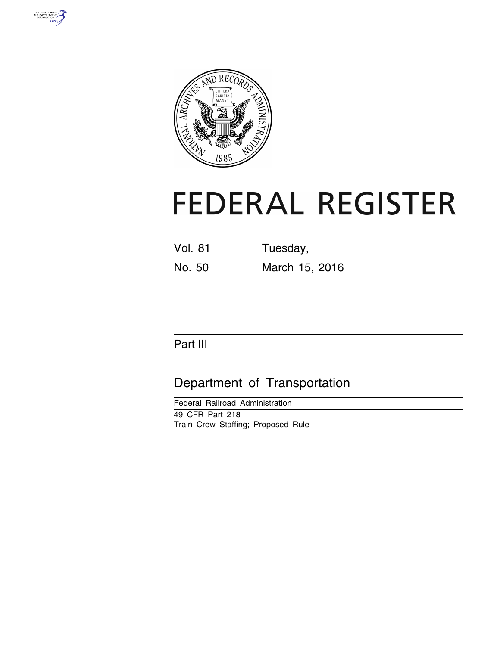



# **FEDERAL REGISTER**

| Vol. 81 | Tuesday, |
|---------|----------|
|         |          |

No. 50 March 15, 2016

# Part III

# Department of Transportation

Federal Railroad Administration 49 CFR Part 218 Train Crew Staffing; Proposed Rule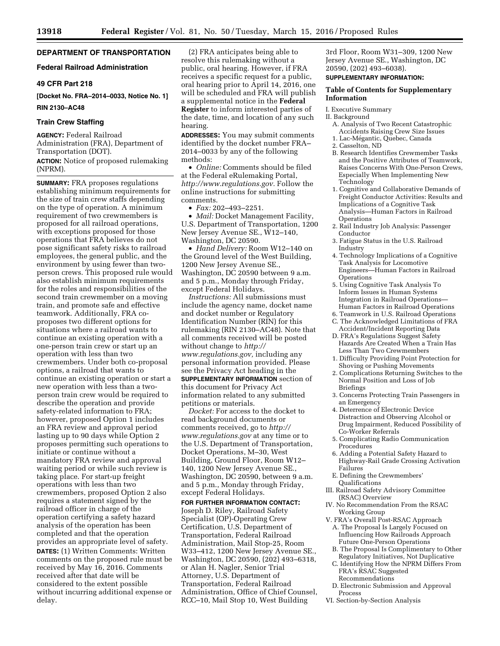# **DEPARTMENT OF TRANSPORTATION**

# **Federal Railroad Administration**

#### **49 CFR Part 218**

**[Docket No. FRA–2014–0033, Notice No. 1] RIN 2130–AC48** 

#### **Train Crew Staffing**

**AGENCY:** Federal Railroad Administration (FRA), Department of Transportation (DOT).

**ACTION:** Notice of proposed rulemaking (NPRM).

**SUMMARY:** FRA proposes regulations establishing minimum requirements for the size of train crew staffs depending on the type of operation. A minimum requirement of two crewmembers is proposed for all railroad operations, with exceptions proposed for those operations that FRA believes do not pose significant safety risks to railroad employees, the general public, and the environment by using fewer than twoperson crews. This proposed rule would also establish minimum requirements for the roles and responsibilities of the second train crewmember on a moving train, and promote safe and effective teamwork. Additionally, FRA coproposes two different options for situations where a railroad wants to continue an existing operation with a one-person train crew or start up an operation with less than two crewmembers. Under both co-proposal options, a railroad that wants to continue an existing operation or start a new operation with less than a twoperson train crew would be required to describe the operation and provide safety-related information to FRA; however, proposed Option 1 includes an FRA review and approval period lasting up to 90 days while Option 2 proposes permitting such operations to initiate or continue without a mandatory FRA review and approval waiting period or while such review is taking place. For start-up freight operations with less than two crewmembers, proposed Option 2 also requires a statement signed by the railroad officer in charge of the operation certifying a safety hazard analysis of the operation has been completed and that the operation provides an appropriate level of safety. **DATES:** (1) Written Comments: Written comments on the proposed rule must be received by May 16, 2016. Comments received after that date will be considered to the extent possible without incurring additional expense or delay.

(2) FRA anticipates being able to resolve this rulemaking without a public, oral hearing. However, if FRA receives a specific request for a public, oral hearing prior to April 14, 2016, one will be scheduled and FRA will publish a supplemental notice in the **Federal Register** to inform interested parties of the date, time, and location of any such hearing.

**ADDRESSES:** You may submit comments identified by the docket number FRA– 2014–0033 by any of the following methods:

• *Online:* Comments should be filed at the Federal eRulemaking Portal, *[http://www.regulations.gov.](http://www.regulations.gov)* Follow the online instructions for submitting comments.

• *Fax:* 202–493–2251.

• *Mail:* Docket Management Facility, U.S. Department of Transportation, 1200 New Jersey Avenue SE., W12–140, Washington, DC 20590.

• *Hand Delivery:* Room W12–140 on the Ground level of the West Building, 1200 New Jersey Avenue SE., Washington, DC 20590 between 9 a.m. and 5 p.m., Monday through Friday, except Federal Holidays.

*Instructions:* All submissions must include the agency name, docket name and docket number or Regulatory Identification Number (RIN) for this rulemaking (RIN 2130–AC48). Note that all comments received will be posted without change to *[http://](http://www.regulations.gov) [www.regulations.gov,](http://www.regulations.gov)* including any personal information provided. Please see the Privacy Act heading in the **SUPPLEMENTARY INFORMATION** section of this document for Privacy Act information related to any submitted petitions or materials.

*Docket:* For access to the docket to read background documents or comments received, go to *[http://](http://www.regulations.gov) [www.regulations.gov](http://www.regulations.gov)* at any time or to the U.S. Department of Transportation, Docket Operations, M–30, West Building, Ground Floor, Room W12– 140, 1200 New Jersey Avenue SE., Washington, DC 20590, between 9 a.m. and 5 p.m., Monday through Friday, except Federal Holidays.

# **FOR FURTHER INFORMATION CONTACT:**  Joseph D. Riley, Railroad Safety Specialist (OP)-Operating Crew Certification, U.S. Department of Transportation, Federal Railroad Administration, Mail Stop-25, Room W33–412, 1200 New Jersey Avenue SE., Washington, DC 20590, (202) 493–6318, or Alan H. Nagler, Senior Trial Attorney, U.S. Department of Transportation, Federal Railroad Administration, Office of Chief Counsel, RCC–10, Mail Stop 10, West Building

3rd Floor, Room W31–309, 1200 New Jersey Avenue SE., Washington, DC 20590, (202) 493–6038).

#### **SUPPLEMENTARY INFORMATION:**

# **Table of Contents for Supplementary Information**

I. Executive Summary

- II. Background
	- A. Analysis of Two Recent Catastrophic Accidents Raising Crew Size Issues
	- 1. Lac-Mégantic, Quebec, Canada
	- 2. Casselton, ND
	- B. Research Identifies Crewmember Tasks and the Positive Attributes of Teamwork, Raises Concerns With One-Person Crews, Especially When Implementing New Technology
	- 1. Cognitive and Collaborative Demands of Freight Conductor Activities: Results and Implications of a Cognitive Task Analysis—Human Factors in Railroad **Operations**
	- 2. Rail Industry Job Analysis: Passenger Conductor
	- 3. Fatigue Status in the U.S. Railroad Industry
	- 4. Technology Implications of a Cognitive Task Analysis for Locomotive Engineers—Human Factors in Railroad **Operations**
	- 5. Using Cognitive Task Analysis To Inform Issues in Human Systems Integration in Railroad Operations— Human Factors in Railroad Operations
	- 6. Teamwork in U.S. Railroad Operations
	- C. The Acknowledged Limitations of FRA Accident/Incident Reporting Data
	- D. FRA's Regulations Suggest Safety Hazards Are Created When a Train Has Less Than Two Crewmembers
	- 1. Difficulty Providing Point Protection for Shoving or Pushing Movements
	- 2. Complications Returning Switches to the Normal Position and Loss of Job Briefings
	- 3. Concerns Protecting Train Passengers in an Emergency
	- 4. Deterrence of Electronic Device Distraction and Observing Alcohol or Drug Impairment, Reduced Possibility of Co-Worker Referrals
	- 5. Complicating Radio Communication Procedures
	- 6. Adding a Potential Safety Hazard to Highway-Rail Grade Crossing Activation Failures
	- E. Defining the Crewmembers' Qualifications
- III. Railroad Safety Advisory Committee (RSAC) Overview
- IV. No Recommendation From the RSAC Working Group
- V. FRA's Overall Post-RSAC Approach
	- A. The Proposal Is Largely Focused on Influencing How Railroads Approach Future One-Person Operations
	- B. The Proposal Is Complimentary to Other Regulatory Initiatives, Not Duplicative
	- C. Identifying How the NPRM Differs From FRA's RSAC Suggested Recommendations
- D. Electronic Submission and Approval Process
- VI. Section-by-Section Analysis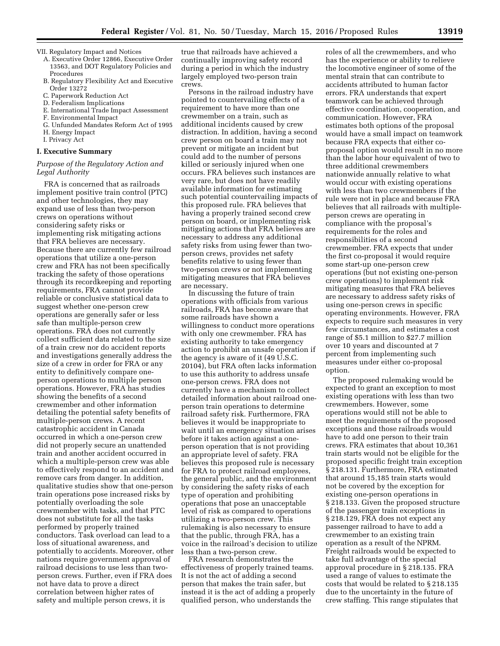VII. Regulatory Impact and Notices

- A. Executive Order 12866, Executive Order 13563, and DOT Regulatory Policies and Procedures
- B. Regulatory Flexibility Act and Executive Order 13272
- C. Paperwork Reduction Act
- D. Federalism Implications
- E. International Trade Impact Assessment
- F. Environmental Impact
- G. Unfunded Mandates Reform Act of 1995
- H. Energy Impact
- I. Privacy Act

# **I. Executive Summary**

#### *Purpose of the Regulatory Action and Legal Authority*

FRA is concerned that as railroads implement positive train control (PTC) and other technologies, they may expand use of less than two-person crews on operations without considering safety risks or implementing risk mitigating actions that FRA believes are necessary. Because there are currently few railroad operations that utilize a one-person crew and FRA has not been specifically tracking the safety of those operations through its recordkeeping and reporting requirements, FRA cannot provide reliable or conclusive statistical data to suggest whether one-person crew operations are generally safer or less safe than multiple-person crew operations. FRA does not currently collect sufficient data related to the size of a train crew nor do accident reports and investigations generally address the size of a crew in order for FRA or any entity to definitively compare oneperson operations to multiple person operations. However, FRA has studies showing the benefits of a second crewmember and other information detailing the potential safety benefits of multiple-person crews. A recent catastrophic accident in Canada occurred in which a one-person crew did not properly secure an unattended train and another accident occurred in which a multiple-person crew was able to effectively respond to an accident and remove cars from danger. In addition, qualitative studies show that one-person train operations pose increased risks by potentially overloading the sole crewmember with tasks, and that PTC does not substitute for all the tasks performed by properly trained conductors. Task overload can lead to a loss of situational awareness, and potentially to accidents. Moreover, other nations require government approval of railroad decisions to use less than twoperson crews. Further, even if FRA does not have data to prove a direct correlation between higher rates of safety and multiple person crews, it is

true that railroads have achieved a continually improving safety record during a period in which the industry largely employed two-person train crews.

Persons in the railroad industry have pointed to countervailing effects of a requirement to have more than one crewmember on a train, such as additional incidents caused by crew distraction. In addition, having a second crew person on board a train may not prevent or mitigate an incident but could add to the number of persons killed or seriously injured when one occurs. FRA believes such instances are very rare, but does not have readily available information for estimating such potential countervailing impacts of this proposed rule. FRA believes that having a properly trained second crew person on board, or implementing risk mitigating actions that FRA believes are necessary to address any additional safety risks from using fewer than twoperson crews, provides net safety benefits relative to using fewer than two-person crews or not implementing mitigating measures that FRA believes are necessary.

In discussing the future of train operations with officials from various railroads, FRA has become aware that some railroads have shown a willingness to conduct more operations with only one crewmember. FRA has existing authority to take emergency action to prohibit an unsafe operation if the agency is aware of it (49 U.S.C. 20104), but FRA often lacks information to use this authority to address unsafe one-person crews. FRA does not currently have a mechanism to collect detailed information about railroad oneperson train operations to determine railroad safety risk. Furthermore, FRA believes it would be inappropriate to wait until an emergency situation arises before it takes action against a oneperson operation that is not providing an appropriate level of safety. FRA believes this proposed rule is necessary for FRA to protect railroad employees, the general public, and the environment by considering the safety risks of each type of operation and prohibiting operations that pose an unacceptable level of risk as compared to operations utilizing a two-person crew. This rulemaking is also necessary to ensure that the public, through FRA, has a voice in the railroad's decision to utilize less than a two-person crew.

FRA research demonstrates the effectiveness of properly trained teams. It is not the act of adding a second person that makes the train safer, but instead it is the act of adding a properly qualified person, who understands the

roles of all the crewmembers, and who has the experience or ability to relieve the locomotive engineer of some of the mental strain that can contribute to accidents attributed to human factor errors. FRA understands that expert teamwork can be achieved through effective coordination, cooperation, and communication. However, FRA estimates both options of the proposal would have a small impact on teamwork because FRA expects that either coproposal option would result in no more than the labor hour equivalent of two to three additional crewmembers nationwide annually relative to what would occur with existing operations with less than two crewmembers if the rule were not in place and because FRA believes that all railroads with multipleperson crews are operating in compliance with the proposal's requirements for the roles and responsibilities of a second crewmember. FRA expects that under the first co-proposal it would require some start-up one-person crew operations (but not existing one-person crew operations) to implement risk mitigating measures that FRA believes are necessary to address safety risks of using one-person crews in specific operating environments. However, FRA expects to require such measures in very few circumstances, and estimates a cost range of \$5.1 million to \$27.7 million over 10 years and discounted at 7 percent from implementing such measures under either co-proposal option.

The proposed rulemaking would be expected to grant an exception to most existing operations with less than two crewmembers. However, some operations would still not be able to meet the requirements of the proposed exceptions and those railroads would have to add one person to their train crews. FRA estimates that about 10,361 train starts would not be eligible for the proposed specific freight train exception § 218.131. Furthermore, FRA estimated that around 15,185 train starts would not be covered by the exception for existing one-person operations in § 218.133. Given the proposed structure of the passenger train exceptions in § 218.129, FRA does not expect any passenger railroad to have to add a crewmember to an existing train operation as a result of the NPRM. Freight railroads would be expected to take full advantage of the special approval procedure in § 218.135. FRA used a range of values to estimate the costs that would be related to § 218.135 due to the uncertainty in the future of crew staffing. This range stipulates that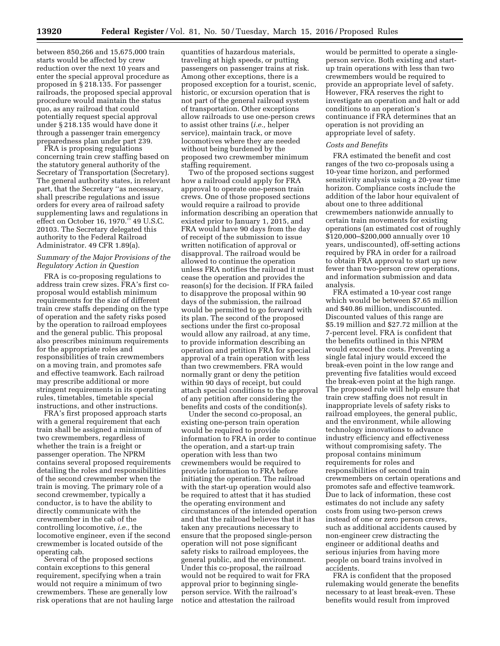between 850,266 and 15,675,000 train starts would be affected by crew reduction over the next 10 years and enter the special approval procedure as proposed in § 218.135. For passenger railroads, the proposed special approval procedure would maintain the status quo, as any railroad that could potentially request special approval under § 218.135 would have done it through a passenger train emergency preparedness plan under part 239.

FRA is proposing regulations concerning train crew staffing based on the statutory general authority of the Secretary of Transportation (Secretary). The general authority states, in relevant part, that the Secretary ''as necessary, shall prescribe regulations and issue orders for every area of railroad safety supplementing laws and regulations in effect on October 16, 1970.'' 49 U.S.C. 20103. The Secretary delegated this authority to the Federal Railroad Administrator. 49 CFR 1.89(a).

#### *Summary of the Major Provisions of the Regulatory Action in Question*

FRA is co-proposing regulations to address train crew sizes. FRA's first coproposal would establish minimum requirements for the size of different train crew staffs depending on the type of operation and the safety risks posed by the operation to railroad employees and the general public. This proposal also prescribes minimum requirements for the appropriate roles and responsibilities of train crewmembers on a moving train, and promotes safe and effective teamwork. Each railroad may prescribe additional or more stringent requirements in its operating rules, timetables, timetable special instructions, and other instructions.

FRA's first proposed approach starts with a general requirement that each train shall be assigned a minimum of two crewmembers, regardless of whether the train is a freight or passenger operation. The NPRM contains several proposed requirements detailing the roles and responsibilities of the second crewmember when the train is moving. The primary role of a second crewmember, typically a conductor, is to have the ability to directly communicate with the crewmember in the cab of the controlling locomotive, *i.e.,* the locomotive engineer, even if the second crewmember is located outside of the operating cab.

Several of the proposed sections contain exceptions to this general requirement, specifying when a train would not require a minimum of two crewmembers. These are generally low risk operations that are not hauling large quantities of hazardous materials, traveling at high speeds, or putting passengers on passenger trains at risk. Among other exceptions, there is a proposed exception for a tourist, scenic, historic, or excursion operation that is not part of the general railroad system of transportation. Other exceptions allow railroads to use one-person crews to assist other trains (*i.e.,* helper service), maintain track, or move locomotives where they are needed without being burdened by the proposed two crewmember minimum staffing requirement.

Two of the proposed sections suggest how a railroad could apply for FRA approval to operate one-person train crews. One of those proposed sections would require a railroad to provide information describing an operation that existed prior to January 1, 2015, and FRA would have 90 days from the day of receipt of the submission to issue written notification of approval or disapproval. The railroad would be allowed to continue the operation unless FRA notifies the railroad it must cease the operation and provides the reason(s) for the decision. If FRA failed to disapprove the proposal within 90 days of the submission, the railroad would be permitted to go forward with its plan. The second of the proposed sections under the first co-proposal would allow any railroad, at any time, to provide information describing an operation and petition FRA for special approval of a train operation with less than two crewmembers. FRA would normally grant or deny the petition within 90 days of receipt, but could attach special conditions to the approval of any petition after considering the benefits and costs of the condition(s).

Under the second co-proposal, an existing one-person train operation would be required to provide information to FRA in order to continue the operation, and a start-up train operation with less than two crewmembers would be required to provide information to FRA before initiating the operation. The railroad with the start-up operation would also be required to attest that it has studied the operating environment and circumstances of the intended operation and that the railroad believes that it has taken any precautions necessary to ensure that the proposed single-person operation will not pose significant safety risks to railroad employees, the general public, and the environment. Under this co-proposal, the railroad would not be required to wait for FRA approval prior to beginning singleperson service. With the railroad's notice and attestation the railroad

would be permitted to operate a singleperson service. Both existing and startup train operations with less than two crewmembers would be required to provide an appropriate level of safety. However, FRA reserves the right to investigate an operation and halt or add conditions to an operation's continuance if FRA determines that an operation is not providing an appropriate level of safety.

#### *Costs and Benefits*

FRA estimated the benefit and cost ranges of the two co-proposals using a 10-year time horizon, and performed sensitivity analysis using a 20-year time horizon. Compliance costs include the addition of the labor hour equivalent of about one to three additional crewmembers nationwide annually to certain train movements for existing operations (an estimated cost of roughly \$120,000–\$200,000 annually over 10 years, undiscounted), off-setting actions required by FRA in order for a railroad to obtain FRA approval to start up new fewer than two-person crew operations, and information submission and data analysis.

FRA estimated a 10-year cost range which would be between \$7.65 million and \$40.86 million, undiscounted. Discounted values of this range are \$5.19 million and \$27.72 million at the 7-percent level. FRA is confident that the benefits outlined in this NPRM would exceed the costs. Preventing a single fatal injury would exceed the break-even point in the low range and preventing five fatalities would exceed the break-even point at the high range. The proposed rule will help ensure that train crew staffing does not result in inappropriate levels of safety risks to railroad employees, the general public, and the environment, while allowing technology innovations to advance industry efficiency and effectiveness without compromising safety. The proposal contains minimum requirements for roles and responsibilities of second train crewmembers on certain operations and promotes safe and effective teamwork. Due to lack of information, these cost estimates do not include any safety costs from using two-person crews instead of one or zero person crews, such as additional accidents caused by non-engineer crew distracting the engineer or additional deaths and serious injuries from having more people on board trains involved in accidents.

FRA is confident that the proposed rulemaking would generate the benefits necessary to at least break-even. These benefits would result from improved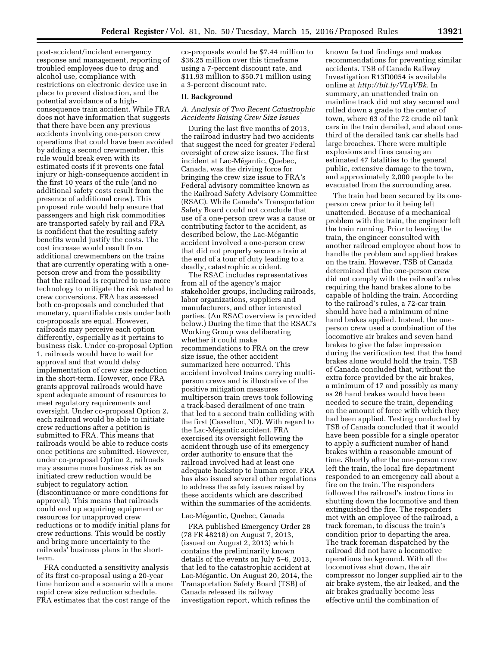post-accident/incident emergency response and management, reporting of troubled employees due to drug and alcohol use, compliance with restrictions on electronic device use in place to prevent distraction, and the potential avoidance of a highconsequence train accident. While FRA does not have information that suggests that there have been any previous accidents involving one-person crew operations that could have been avoided by adding a second crewmember, this rule would break even with its estimated costs if it prevents one fatal injury or high-consequence accident in the first 10 years of the rule (and no additional safety costs result from the presence of additional crew). This proposed rule would help ensure that passengers and high risk commodities are transported safely by rail and FRA is confident that the resulting safety benefits would justify the costs. The cost increase would result from additional crewmembers on the trains that are currently operating with a oneperson crew and from the possibility that the railroad is required to use more technology to mitigate the risk related to crew conversions. FRA has assessed both co-proposals and concluded that monetary, quantifiable costs under both co-proposals are equal. However, railroads may perceive each option differently, especially as it pertains to business risk. Under co-proposal Option 1, railroads would have to wait for approval and that would delay implementation of crew size reduction in the short-term. However, once FRA grants approval railroads would have spent adequate amount of resources to meet regulatory requirements and oversight. Under co-proposal Option 2, each railroad would be able to initiate crew reductions after a petition is submitted to FRA. This means that railroads would be able to reduce costs once petitions are submitted. However, under co-proposal Option 2, railroads may assume more business risk as an initiated crew reduction would be subject to regulatory action (discontinuance or more conditions for approval). This means that railroads could end up acquiring equipment or resources for unapproved crew reductions or to modify initial plans for crew reductions. This would be costly and bring more uncertainty to the railroads' business plans in the shortterm.

FRA conducted a sensitivity analysis of its first co-proposal using a 20-year time horizon and a scenario with a more rapid crew size reduction schedule. FRA estimates that the cost range of the

co-proposals would be \$7.44 million to \$36.25 million over this timeframe using a 7-percent discount rate, and \$11.93 million to \$50.71 million using a 3-percent discount rate.

#### **II. Background**

# *A. Analysis of Two Recent Catastrophic Accidents Raising Crew Size Issues*

During the last five months of 2013, the railroad industry had two accidents that suggest the need for greater Federal oversight of crew size issues. The first incident at Lac-Mégantic, Quebec, Canada, was the driving force for bringing the crew size issue to FRA's Federal advisory committee known as the Railroad Safety Advisory Committee (RSAC). While Canada's Transportation Safety Board could not conclude that use of a one-person crew was a cause or contributing factor to the accident, as described below, the Lac-Mégantic accident involved a one-person crew that did not properly secure a train at the end of a tour of duty leading to a deadly, catastrophic accident.

The RSAC includes representatives from all of the agency's major stakeholder groups, including railroads, labor organizations, suppliers and manufacturers, and other interested parties. (An RSAC overview is provided below.) During the time that the RSAC's Working Group was deliberating whether it could make recommendations to FRA on the crew size issue, the other accident summarized here occurred. This accident involved trains carrying multiperson crews and is illustrative of the positive mitigation measures multiperson train crews took following a track-based derailment of one train that led to a second train colliding with the first (Casselton, ND). With regard to the Lac-Mégantic accident, FRA exercised its oversight following the accident through use of its emergency order authority to ensure that the railroad involved had at least one adequate backstop to human error. FRA has also issued several other regulations to address the safety issues raised by these accidents which are described within the summaries of the accidents.

#### Lac-Mégantic, Quebec, Canada

FRA published Emergency Order 28 (78 FR 48218) on August 7, 2013, (issued on August 2, 2013) which contains the preliminarily known details of the events on July 5–6, 2013, that led to the catastrophic accident at Lac-Mégantic. On August 20, 2014, the Transportation Safety Board (TSB) of Canada released its railway investigation report, which refines the

known factual findings and makes recommendations for preventing similar accidents. TSB of Canada Railway Investigation R13D0054 is available online at *[http://bit.ly/VLqVBk.](http://bit.ly/VLqVBk)* In summary, an unattended train on mainline track did not stay secured and rolled down a grade to the center of town, where 63 of the 72 crude oil tank cars in the train derailed, and about onethird of the derailed tank car shells had large breaches. There were multiple explosions and fires causing an estimated 47 fatalities to the general public, extensive damage to the town, and approximately 2,000 people to be evacuated from the surrounding area.

The train had been secured by its oneperson crew prior to it being left unattended. Because of a mechanical problem with the train, the engineer left the train running. Prior to leaving the train, the engineer consulted with another railroad employee about how to handle the problem and applied brakes on the train. However, TSB of Canada determined that the one-person crew did not comply with the railroad's rules requiring the hand brakes alone to be capable of holding the train. According to the railroad's rules, a 72-car train should have had a minimum of nine hand brakes applied. Instead, the oneperson crew used a combination of the locomotive air brakes and seven hand brakes to give the false impression during the verification test that the hand brakes alone would hold the train. TSB of Canada concluded that, without the extra force provided by the air brakes, a minimum of 17 and possibly as many as 26 hand brakes would have been needed to secure the train, depending on the amount of force with which they had been applied. Testing conducted by TSB of Canada concluded that it would have been possible for a single operator to apply a sufficient number of hand brakes within a reasonable amount of time. Shortly after the one-person crew left the train, the local fire department responded to an emergency call about a fire on the train. The responders followed the railroad's instructions in shutting down the locomotive and then extinguished the fire. The responders met with an employee of the railroad, a track foreman, to discuss the train's condition prior to departing the area. The track foreman dispatched by the railroad did not have a locomotive operations background. With all the locomotives shut down, the air compressor no longer supplied air to the air brake system, the air leaked, and the air brakes gradually become less effective until the combination of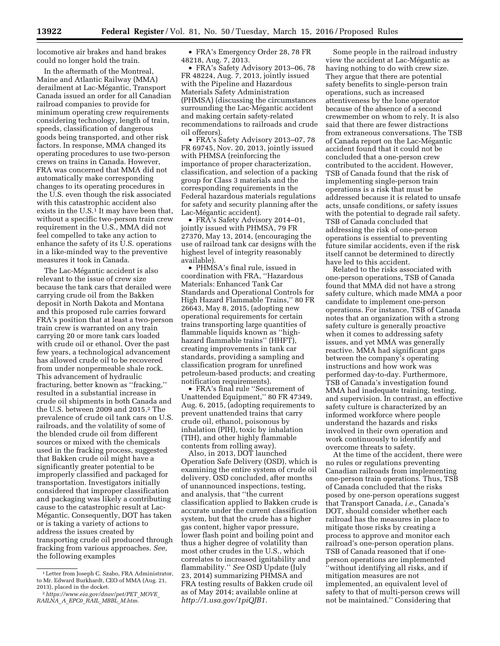locomotive air brakes and hand brakes could no longer hold the train.

In the aftermath of the Montreal, Maine and Atlantic Railway (MMA) derailment at Lac-Mégantic, Transport Canada issued an order for all Canadian railroad companies to provide for minimum operating crew requirements considering technology, length of train, speeds, classification of dangerous goods being transported, and other risk factors. In response, MMA changed its operating procedures to use two-person crews on trains in Canada. However, FRA was concerned that MMA did not automatically make corresponding changes to its operating procedures in the U.S. even though the risk associated with this catastrophic accident also exists in the  $U.S.<sup>1</sup>$  It may have been that, without a specific two-person train crew requirement in the U.S., MMA did not feel compelled to take any action to enhance the safety of its U.S. operations in a like-minded way to the preventive measures it took in Canada.

The Lac-Mégantic accident is also relevant to the issue of crew size because the tank cars that derailed were carrying crude oil from the Bakken deposit in North Dakota and Montana and this proposed rule carries forward FRA's position that at least a two-person train crew is warranted on any train carrying 20 or more tank cars loaded with crude oil or ethanol. Over the past few years, a technological advancement has allowed crude oil to be recovered from under nonpermeable shale rock. This advancement of hydraulic fracturing, better known as ''fracking,'' resulted in a substantial increase in crude oil shipments in both Canada and the U.S. between 2009 and 2015.2 The prevalence of crude oil tank cars on U.S. railroads, and the volatility of some of the blended crude oil from different sources or mixed with the chemicals used in the fracking process, suggested that Bakken crude oil might have a significantly greater potential to be improperly classified and packaged for transportation. Investigators initially considered that improper classification and packaging was likely a contributing cause to the catastrophic result at Lac-Mégantic. Consequently, DOT has taken or is taking a variety of actions to address the issues created by transporting crude oil produced through fracking from various approaches. *See,*  the following examples

• FRA's Emergency Order 28, 78 FR 48218, Aug. 7, 2013.

• FRA's Safety Advisory 2013–06, 78 FR 48224, Aug. 7, 2013, jointly issued with the Pipeline and Hazardous Materials Safety Administration (PHMSA) (discussing the circumstances surrounding the Lac-Mégantic accident and making certain safety-related recommendations to railroads and crude oil offerors).

• FRA's Safety Advisory 2013–07, 78 FR 69745, Nov. 20, 2013, jointly issued with PHMSA (reinforcing the importance of proper characterization, classification, and selection of a packing group for Class 3 materials and the corresponding requirements in the Federal hazardous materials regulations for safety and security planning after the Lac-Mégantic accident).

• FRA's Safety Advisory 2014–01, jointly issued with PHMSA, 79 FR 27370, May 13, 2014, (encouraging the use of railroad tank car designs with the highest level of integrity reasonably available).

• PHMSA's final rule, issued in coordination with FRA, ''Hazardous Materials: Enhanced Tank Car Standards and Operational Controls for High Hazard Flammable Trains,'' 80 FR 26643, May 8, 2015, (adopting new operational requirements for certain trains transporting large quantities of flammable liquids known as ''highhazard flammable trains'' (HHFT), creating improvements in tank car standards, providing a sampling and classification program for unrefined petroleum-based products; and creating notification requirements).

• FRA's final rule ''Securement of Unattended Equipment,'' 80 FR 47349, Aug. 6, 2015, (adopting requirements to prevent unattended trains that carry crude oil, ethanol, poisonous by inhalation (PIH), toxic by inhalation (TIH), and other highly flammable contents from rolling away).

Also, in 2013, DOT launched Operation Safe Delivery (OSD), which is examining the entire system of crude oil delivery. OSD concluded, after months of unannounced inspections, testing, and analysis, that ''the current classification applied to Bakken crude is accurate under the current classification system, but that the crude has a higher gas content, higher vapor pressure, lower flash point and boiling point and thus a higher degree of volatility than most other crudes in the U.S., which correlates to increased ignitability and flammability.'' *See* OSD Update (July 23, 2014) summarizing PHMSA and FRA testing results of Bakken crude oil as of May 2014; available online at *[http://1.usa.gov/1piQJB1.](http://1.usa.gov/1piQJB1)* 

Some people in the railroad industry view the accident at Lac-Mégantic as having nothing to do with crew size. They argue that there are potential safety benefits to single-person train operations, such as increased attentiveness by the lone operator because of the absence of a second crewmember on whom to rely. It is also said that there are fewer distractions from extraneous conversations. The TSB of Canada report on the Lac-Mégantic accident found that it could not be concluded that a one-person crew contributed to the accident. However, TSB of Canada found that the risk of implementing single-person train operations is a risk that must be addressed because it is related to unsafe acts, unsafe conditions, or safety issues with the potential to degrade rail safety. TSB of Canada concluded that addressing the risk of one-person operations is essential to preventing future similar accidents, even if the risk itself cannot be determined to directly have led to this accident.

Related to the risks associated with one-person operations, TSB of Canada found that MMA did not have a strong safety culture, which made MMA a poor candidate to implement one-person operations. For instance, TSB of Canada notes that an organization with a strong safety culture is generally proactive when it comes to addressing safety issues, and yet MMA was generally reactive. MMA had significant gaps between the company's operating instructions and how work was performed day-to-day. Furthermore, TSB of Canada's investigation found MMA had inadequate training, testing, and supervision. In contrast, an effective safety culture is characterized by an informed workforce where people understand the hazards and risks involved in their own operation and work continuously to identify and overcome threats to safety.

At the time of the accident, there were no rules or regulations preventing Canadian railroads from implementing one-person train operations. Thus, TSB of Canada concluded that the risks posed by one-person operations suggest that Transport Canada, *i.e.,* Canada's DOT, should consider whether each railroad has the measures in place to mitigate those risks by creating a process to approve and monitor each railroad's one-person operation plans. TSB of Canada reasoned that if oneperson operations are implemented ''without identifying all risks, and if mitigation measures are not implemented, an equivalent level of safety to that of multi-person crews will not be maintained.'' Considering that

<sup>&</sup>lt;sup>1</sup> Letter from Joseph C. Szabo, FRA Administrator, to Mr. Edward Burkhardt, CEO of MMA (Aug. 21, 2013), placed in the docket.

<sup>2</sup>*[https://www.eia.gov/dnav/pet/PET](https://www.eia.gov/dnav/pet/PET_MOVE_RAILNA_A_EPC0_RAIL_MBBL_M.htm)*\_*MOVE*\_ *[RAILNA](https://www.eia.gov/dnav/pet/PET_MOVE_RAILNA_A_EPC0_RAIL_MBBL_M.htm)*\_*A*\_*EPC0*\_*RAIL*\_*MBBL*\_*M.htm.*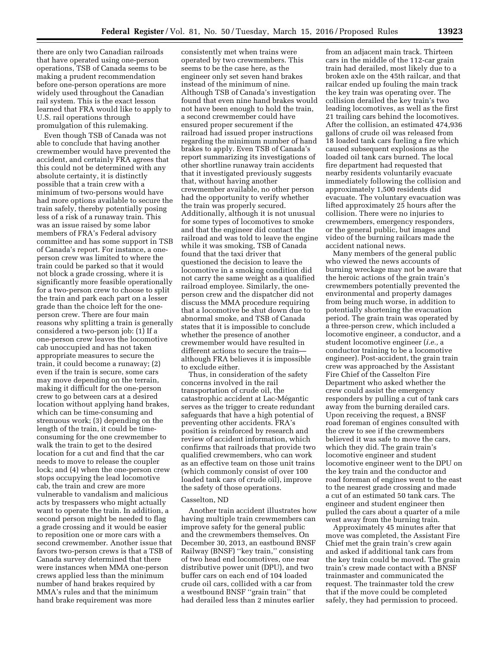there are only two Canadian railroads that have operated using one-person operations, TSB of Canada seems to be making a prudent recommendation before one-person operations are more widely used throughout the Canadian rail system. This is the exact lesson learned that FRA would like to apply to U.S. rail operations through promulgation of this rulemaking.

Even though TSB of Canada was not able to conclude that having another crewmember would have prevented the accident, and certainly FRA agrees that this could not be determined with any absolute certainty, it is distinctly possible that a train crew with a minimum of two-persons would have had more options available to secure the train safely, thereby potentially posing less of a risk of a runaway train. This was an issue raised by some labor members of FRA's Federal advisory committee and has some support in TSB of Canada's report. For instance, a oneperson crew was limited to where the train could be parked so that it would not block a grade crossing, where it is significantly more feasible operationally for a two-person crew to choose to split the train and park each part on a lesser grade than the choice left for the oneperson crew. There are four main reasons why splitting a train is generally considered a two-person job: (1) If a one-person crew leaves the locomotive cab unoccupied and has not taken appropriate measures to secure the train, it could become a runaway; (2) even if the train is secure, some cars may move depending on the terrain, making it difficult for the one-person crew to go between cars at a desired location without applying hand brakes, which can be time-consuming and strenuous work; (3) depending on the length of the train, it could be timeconsuming for the one crewmember to walk the train to get to the desired location for a cut and find that the car needs to move to release the coupler lock; and (4) when the one-person crew stops occupying the lead locomotive cab, the train and crew are more vulnerable to vandalism and malicious acts by trespassers who might actually want to operate the train. In addition, a second person might be needed to flag a grade crossing and it would be easier to reposition one or more cars with a second crewmember. Another issue that favors two-person crews is that a TSB of Canada survey determined that there were instances when MMA one-person crews applied less than the minimum number of hand brakes required by MMA's rules and that the minimum hand brake requirement was more

consistently met when trains were operated by two crewmembers. This seems to be the case here, as the engineer only set seven hand brakes instead of the minimum of nine. Although TSB of Canada's investigation found that even nine hand brakes would not have been enough to hold the train, a second crewmember could have ensured proper securement if the railroad had issued proper instructions regarding the minimum number of hand brakes to apply. Even TSB of Canada's report summarizing its investigations of other shortline runaway train accidents that it investigated previously suggests that, without having another crewmember available, no other person had the opportunity to verify whether the train was properly secured. Additionally, although it is not unusual for some types of locomotives to smoke and that the engineer did contact the railroad and was told to leave the engine while it was smoking, TSB of Canada found that the taxi driver that questioned the decision to leave the locomotive in a smoking condition did not carry the same weight as a qualified railroad employee. Similarly, the oneperson crew and the dispatcher did not discuss the MMA procedure requiring that a locomotive be shut down due to abnormal smoke, and TSB of Canada states that it is impossible to conclude whether the presence of another crewmember would have resulted in different actions to secure the train although FRA believes it is impossible to exclude either.

Thus, in consideration of the safety concerns involved in the rail transportation of crude oil, the catastrophic accident at Lac-Mégantic serves as the trigger to create redundant safeguards that have a high potential of preventing other accidents. FRA's position is reinforced by research and review of accident information, which confirms that railroads that provide two qualified crewmembers, who can work as an effective team on those unit trains (which commonly consist of over 100 loaded tank cars of crude oil), improve the safety of those operations.

#### Casselton, ND

Another train accident illustrates how having multiple train crewmembers can improve safety for the general public and the crewmembers themselves. On December 30, 2013, an eastbound BNSF Railway (BNSF) ''key train,'' consisting of two head end locomotives, one rear distributive power unit (DPU), and two buffer cars on each end of 104 loaded crude oil cars, collided with a car from a westbound BNSF ''grain train'' that had derailed less than 2 minutes earlier

from an adjacent main track. Thirteen cars in the middle of the 112-car grain train had derailed, most likely due to a broken axle on the 45th railcar, and that railcar ended up fouling the main track the key train was operating over. The collision derailed the key train's two leading locomotives, as well as the first 21 trailing cars behind the locomotives. After the collision, an estimated 474,936 gallons of crude oil was released from 18 loaded tank cars fueling a fire which caused subsequent explosions as the loaded oil tank cars burned. The local fire department had requested that nearby residents voluntarily evacuate immediately following the collision and approximately 1,500 residents did evacuate. The voluntary evacuation was lifted approximately 25 hours after the collision. There were no injuries to crewmembers, emergency responders, or the general public, but images and video of the burning railcars made the accident national news.

Many members of the general public who viewed the news accounts of burning wreckage may not be aware that the heroic actions of the grain train's crewmembers potentially prevented the environmental and property damages from being much worse, in addition to potentially shortening the evacuation period. The grain train was operated by a three-person crew, which included a locomotive engineer, a conductor, and a student locomotive engineer (*i.e.,* a conductor training to be a locomotive engineer). Post-accident, the grain train crew was approached by the Assistant Fire Chief of the Casselton Fire Department who asked whether the crew could assist the emergency responders by pulling a cut of tank cars away from the burning derailed cars. Upon receiving the request, a BNSF road foreman of engines consulted with the crew to see if the crewmembers believed it was safe to move the cars, which they did. The grain train's locomotive engineer and student locomotive engineer went to the DPU on the key train and the conductor and road foreman of engines went to the east to the nearest grade crossing and made a cut of an estimated 50 tank cars. The engineer and student engineer then pulled the cars about a quarter of a mile west away from the burning train.

Approximately 45 minutes after that move was completed, the Assistant Fire Chief met the grain train's crew again and asked if additional tank cars from the key train could be moved. The grain train's crew made contact with a BNSF trainmaster and communicated the request. The trainmaster told the crew that if the move could be completed safely, they had permission to proceed.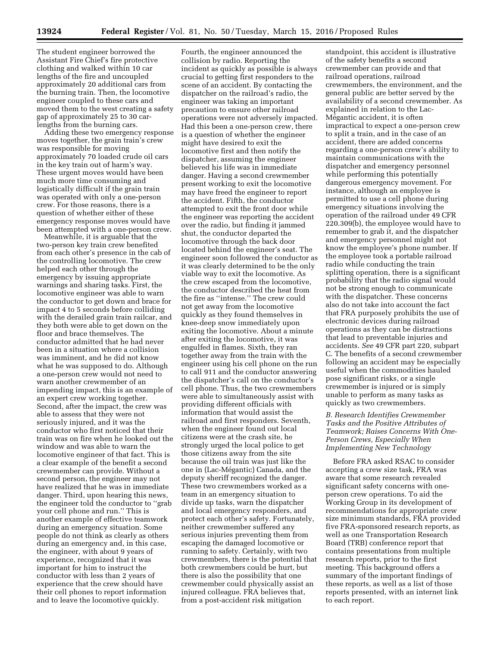The student engineer borrowed the Assistant Fire Chief's fire protective clothing and walked within 10 car lengths of the fire and uncoupled approximately 20 additional cars from the burning train. Then, the locomotive engineer coupled to these cars and moved them to the west creating a safety gap of approximately 25 to 30 carlengths from the burning cars.

Adding these two emergency response moves together, the grain train's crew was responsible for moving approximately 70 loaded crude oil cars in the key train out of harm's way. These urgent moves would have been much more time consuming and logistically difficult if the grain train was operated with only a one-person crew. For those reasons, there is a question of whether either of these emergency response moves would have been attempted with a one-person crew.

Meanwhile, it is arguable that the two-person key train crew benefited from each other's presence in the cab of the controlling locomotive. The crew helped each other through the emergency by issuing appropriate warnings and sharing tasks. First, the locomotive engineer was able to warn the conductor to get down and brace for impact 4 to 5 seconds before colliding with the derailed grain train railcar, and they both were able to get down on the floor and brace themselves. The conductor admitted that he had never been in a situation where a collision was imminent, and he did not know what he was supposed to do. Although a one-person crew would not need to warn another crewmember of an impending impact, this is an example of an expert crew working together. Second, after the impact, the crew was able to assess that they were not seriously injured, and it was the conductor who first noticed that their train was on fire when he looked out the window and was able to warn the locomotive engineer of that fact. This is a clear example of the benefit a second crewmember can provide. Without a second person, the engineer may not have realized that he was in immediate danger. Third, upon hearing this news, the engineer told the conductor to ''grab your cell phone and run.'' This is another example of effective teamwork during an emergency situation. Some people do not think as clearly as others during an emergency and, in this case, the engineer, with about 9 years of experience, recognized that it was important for him to instruct the conductor with less than 2 years of experience that the crew should have their cell phones to report information and to leave the locomotive quickly.

Fourth, the engineer announced the collision by radio. Reporting the incident as quickly as possible is always crucial to getting first responders to the scene of an accident. By contacting the dispatcher on the railroad's radio, the engineer was taking an important precaution to ensure other railroad operations were not adversely impacted. Had this been a one-person crew, there is a question of whether the engineer might have desired to exit the locomotive first and then notify the dispatcher, assuming the engineer believed his life was in immediate danger. Having a second crewmember present working to exit the locomotive may have freed the engineer to report the accident. Fifth, the conductor attempted to exit the front door while the engineer was reporting the accident over the radio, but finding it jammed shut, the conductor departed the locomotive through the back door located behind the engineer's seat. The engineer soon followed the conductor as it was clearly determined to be the only viable way to exit the locomotive. As the crew escaped from the locomotive, the conductor described the heat from the fire as ''intense.'' The crew could not get away from the locomotive quickly as they found themselves in knee-deep snow immediately upon exiting the locomotive. About a minute after exiting the locomotive, it was engulfed in flames. Sixth, they ran together away from the train with the engineer using his cell phone on the run to call 911 and the conductor answering the dispatcher's call on the conductor's cell phone. Thus, the two crewmembers were able to simultaneously assist with providing different officials with information that would assist the railroad and first responders. Seventh, when the engineer found out local citizens were at the crash site, he strongly urged the local police to get those citizens away from the site because the oil train was just like the one in (Lac-Mégantic) Canada, and the deputy sheriff recognized the danger. These two crewmembers worked as a team in an emergency situation to divide up tasks, warn the dispatcher and local emergency responders, and protect each other's safety. Fortunately, neither crewmember suffered any serious injuries preventing them from escaping the damaged locomotive or running to safety. Certainly, with two crewmembers, there is the potential that both crewmembers could be hurt, but there is also the possibility that one crewmember could physically assist an injured colleague. FRA believes that, from a post-accident risk mitigation

standpoint, this accident is illustrative of the safety benefits a second crewmember can provide and that railroad operations, railroad crewmembers, the environment, and the general public are better served by the availability of a second crewmember. As explained in relation to the Lac-Mégantic accident, it is often impractical to expect a one-person crew to split a train, and in the case of an accident, there are added concerns regarding a one-person crew's ability to maintain communications with the dispatcher and emergency personnel while performing this potentially dangerous emergency movement. For instance, although an employee is permitted to use a cell phone during emergency situations involving the operation of the railroad under 49 CFR 220.309(b), the employee would have to remember to grab it, and the dispatcher and emergency personnel might not know the employee's phone number. If the employee took a portable railroad radio while conducting the train splitting operation, there is a significant probability that the radio signal would not be strong enough to communicate with the dispatcher. These concerns also do not take into account the fact that FRA purposely prohibits the use of electronic devices during railroad operations as they can be distractions that lead to preventable injuries and accidents. *See* 49 CFR part 220, subpart C. The benefits of a second crewmember following an accident may be especially useful when the commodities hauled pose significant risks, or a single crewmember is injured or is simply unable to perform as many tasks as quickly as two crewmembers.

*B. Research Identifies Crewmember Tasks and the Positive Attributes of Teamwork; Raises Concerns With One-Person Crews, Especially When Implementing New Technology* 

Before FRA asked RSAC to consider accepting a crew size task, FRA was aware that some research revealed significant safety concerns with oneperson crew operations. To aid the Working Group in its development of recommendations for appropriate crew size minimum standards, FRA provided five FRA-sponsored research reports, as well as one Transportation Research Board (TRB) conference report that contains presentations from multiple research reports, prior to the first meeting. This background offers a summary of the important findings of these reports, as well as a list of those reports presented, with an internet link to each report.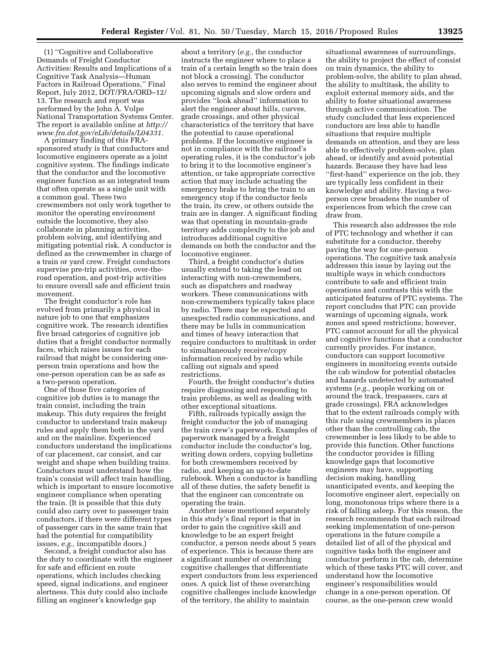(1) ''Cognitive and Collaborative Demands of Freight Conductor Activities: Results and Implications of a Cognitive Task Analysis—Human Factors in Railroad Operations,'' Final Report, July 2012, DOT/FRA/ORD–12/ 13. The research and report was performed by the John A. Volpe National Transportation Systems Center. The report is available online at *[http://](http://www.fra.dot.gov/eLib/details/L04331) [www.fra.dot.gov/eLib/details/L04331.](http://www.fra.dot.gov/eLib/details/L04331)* 

A primary finding of this FRAsponsored study is that conductors and locomotive engineers operate as a joint cognitive system. The findings indicate that the conductor and the locomotive engineer function as an integrated team that often operate as a single unit with a common goal. These two crewmembers not only work together to monitor the operating environment outside the locomotive, they also collaborate in planning activities, problem solving, and identifying and mitigating potential risk. A conductor is defined as the crewmember in charge of a train or yard crew. Freight conductors supervise pre-trip activities, over-theroad operation, and post-trip activities to ensure overall safe and efficient train movement.

The freight conductor's role has evolved from primarily a physical in nature job to one that emphasizes cognitive work. The research identifies five broad categories of cognitive job duties that a freight conductor normally faces, which raises issues for each railroad that might be considering oneperson train operations and how the one-person operation can be as safe as a two-person operation.

One of those five categories of cognitive job duties is to manage the train consist, including the train makeup. This duty requires the freight conductor to understand train makeup rules and apply them both in the yard and on the mainline. Experienced conductors understand the implications of car placement, car consist, and car weight and shape when building trains. Conductors must understand how the train's consist will affect train handling, which is important to ensure locomotive engineer compliance when operating the train. (It is possible that this duty could also carry over to passenger train conductors, if there were different types of passenger cars in the same train that had the potential for compatibility issues, *e.g.,* incompatible doors.)

Second, a freight conductor also has the duty to coordinate with the engineer for safe and efficient en route operations, which includes checking speed, signal indications, and engineer alertness. This duty could also include filling an engineer's knowledge gap

about a territory (*e.g.,* the conductor instructs the engineer where to place a train of a certain length so the train does not block a crossing). The conductor also serves to remind the engineer about upcoming signals and slow orders and provides ''look ahead'' information to alert the engineer about hills, curves, grade crossings, and other physical characteristics of the territory that have the potential to cause operational problems. If the locomotive engineer is not in compliance with the railroad's operating rules, it is the conductor's job to bring it to the locomotive engineer's attention, or take appropriate corrective action that may include actuating the emergency brake to bring the train to an emergency stop if the conductor feels the train, its crew, or others outside the train are in danger. A significant finding was that operating in mountain-grade territory adds complexity to the job and introduces additional cognitive demands on both the conductor and the locomotive engineer.

Third, a freight conductor's duties usually extend to taking the lead on interacting with non-crewmembers, such as dispatchers and roadway workers. These communications with non-crewmembers typically takes place by radio. There may be expected and unexpected radio communications, and there may be lulls in communication and times of heavy interaction that require conductors to multitask in order to simultaneously receive/copy information received by radio while calling out signals and speed restrictions.

Fourth, the freight conductor's duties require diagnosing and responding to train problems, as well as dealing with other exceptional situations.

Fifth, railroads typically assign the freight conductor the job of managing the train crew's paperwork. Examples of paperwork managed by a freight conductor include the conductor's log, writing down orders, copying bulletins for both crewmembers received by radio, and keeping an up-to-date rulebook. When a conductor is handling all of these duties, the safety benefit is that the engineer can concentrate on operating the train.

Another issue mentioned separately in this study's final report is that in order to gain the cognitive skill and knowledge to be an expert freight conductor, a person needs about 5 years of experience. This is because there are a significant number of overarching cognitive challenges that differentiate expert conductors from less experienced ones. A quick list of these overarching cognitive challenges include knowledge of the territory, the ability to maintain

situational awareness of surroundings, the ability to project the effect of consist on train dynamics, the ability to problem-solve, the ability to plan ahead, the ability to multitask, the ability to exploit external memory aids, and the ability to foster situational awareness through active communication. The study concluded that less experienced conductors are less able to handle situations that require multiple demands on attention, and they are less able to effectively problem-solve, plan ahead, or identify and avoid potential hazards. Because they have had less ''first-hand'' experience on the job, they are typically less confident in their knowledge and ability. Having a twoperson crew broadens the number of experiences from which the crew can draw from.

This research also addresses the role of PTC technology and whether it can substitute for a conductor, thereby paving the way for one-person operations. The cognitive task analysis addresses this issue by laying out the multiple ways in which conductors contribute to safe and efficient train operations and contrasts this with the anticipated features of PTC systems. The report concludes that PTC can provide warnings of upcoming signals, work zones and speed restrictions; however, PTC cannot account for all the physical and cognitive functions that a conductor currently provides. For instance, conductors can support locomotive engineers in monitoring events outside the cab window for potential obstacles and hazards undetected by automated systems (*e.g.,* people working on or around the track, trespassers, cars at grade crossings). FRA acknowledges that to the extent railroads comply with this rule using crewmembers in places other than the controlling cab, the crewmember is less likely to be able to provide this function. Other functions the conductor provides is filling knowledge gaps that locomotive engineers may have, supporting decision making, handling unanticipated events, and keeping the locomotive engineer alert, especially on long, monotonous trips where there is a risk of falling asleep. For this reason, the research recommends that each railroad seeking implementation of one-person operations in the future compile a detailed list of all of the physical and cognitive tasks both the engineer and conductor perform in the cab, determine which of these tasks PTC will cover, and understand how the locomotive engineer's responsibilities would change in a one-person operation. Of course, as the one-person crew would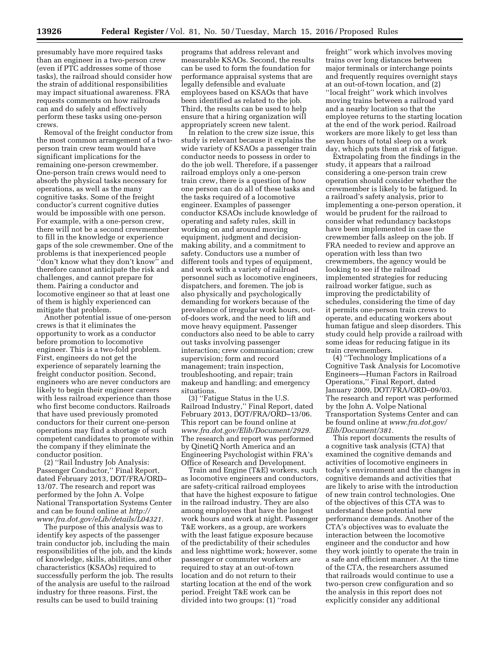Removal of the freight conductor from the most common arrangement of a twoperson train crew team would have significant implications for the remaining one-person crewmember. One-person train crews would need to absorb the physical tasks necessary for operations, as well as the many cognitive tasks. Some of the freight conductor's current cognitive duties would be impossible with one person. For example, with a one-person crew, there will not be a second crewmember to fill in the knowledge or experience gaps of the sole crewmember. One of the problems is that inexperienced people ''don't know what they don't know'' and therefore cannot anticipate the risk and challenges, and cannot prepare for them. Pairing a conductor and locomotive engineer so that at least one of them is highly experienced can mitigate that problem.

Another potential issue of one-person crews is that it eliminates the opportunity to work as a conductor before promotion to locomotive engineer. This is a two-fold problem. First, engineers do not get the experience of separately learning the freight conductor position. Second, engineers who are never conductors are likely to begin their engineer careers with less railroad experience than those who first become conductors. Railroads that have used previously promoted conductors for their current one-person operations may find a shortage of such competent candidates to promote within the company if they eliminate the conductor position.

(2) ''Rail Industry Job Analysis: Passenger Conductor,'' Final Report, dated February 2013, DOT/FRA/ORD– 13/07. The research and report was performed by the John A. Volpe National Transportation Systems Center and can be found online at *[http://](http://www.fra.dot.gov/eLib/details/L04321) [www.fra.dot.gov/eLib/details/L04321.](http://www.fra.dot.gov/eLib/details/L04321)* 

The purpose of this analysis was to identify key aspects of the passenger train conductor job, including the main responsibilities of the job, and the kinds of knowledge, skills, abilities, and other characteristics (KSAOs) required to successfully perform the job. The results of the analysis are useful to the railroad industry for three reasons. First, the results can be used to build training

programs that address relevant and measurable KSAOs. Second, the results can be used to form the foundation for performance appraisal systems that are legally defensible and evaluate employees based on KSAOs that have been identified as related to the job. Third, the results can be used to help ensure that a hiring organization will appropriately screen new talent.

In relation to the crew size issue, this study is relevant because it explains the wide variety of KSAOs a passenger train conductor needs to possess in order to do the job well. Therefore, if a passenger railroad employs only a one-person train crew, there is a question of how one person can do all of these tasks and the tasks required of a locomotive engineer. Examples of passenger conductor KSAOs include knowledge of operating and safety rules, skill in working on and around moving equipment, judgment and decisionmaking ability, and a commitment to safety. Conductors use a number of different tools and types of equipment, and work with a variety of railroad personnel such as locomotive engineers, dispatchers, and foremen. The job is also physically and psychologically demanding for workers because of the prevalence of irregular work hours, outof-doors work, and the need to lift and move heavy equipment. Passenger conductors also need to be able to carry out tasks involving passenger interaction; crew communication; crew supervision; form and record management; train inspection, troubleshooting, and repair; train makeup and handling; and emergency situations.

(3) ''Fatigue Status in the U.S. Railroad Industry,'' Final Report, dated February 2013, DOT/FRA/ORD–13/06. This report can be found online at *[www.fra.dot.gov/Elib/Document/2929.](http://www.fra.dot.gov/Elib/Document/2929)*  The research and report was performed by QinetiQ North America and an Engineering Psychologist within FRA's Office of Research and Development.

Train and Engine (T&E) workers, such as locomotive engineers and conductors, are safety-critical railroad employees that have the highest exposure to fatigue in the railroad industry. They are also among employees that have the longest work hours and work at night. Passenger T&E workers, as a group, are workers with the least fatigue exposure because of the predictability of their schedules and less nighttime work; however, some passenger or commuter workers are required to stay at an out-of-town location and do not return to their starting location at the end of the work period. Freight T&E work can be divided into two groups: (1) ''road

freight'' work which involves moving trains over long distances between major terminals or interchange points and frequently requires overnight stays at an out-of-town location, and (2) ''local freight'' work which involves moving trains between a railroad yard and a nearby location so that the employee returns to the starting location at the end of the work period. Railroad workers are more likely to get less than seven hours of total sleep on a work day, which puts them at risk of fatigue.

Extrapolating from the findings in the study, it appears that a railroad considering a one-person train crew operation should consider whether the crewmember is likely to be fatigued. In a railroad's safety analysis, prior to implementing a one-person operation, it would be prudent for the railroad to consider what redundancy backstops have been implemented in case the crewmember falls asleep on the job. If FRA needed to review and approve an operation with less than two crewmembers, the agency would be looking to see if the railroad implemented strategies for reducing railroad worker fatigue, such as improving the predictability of schedules, considering the time of day it permits one-person train crews to operate, and educating workers about human fatigue and sleep disorders. This study could help provide a railroad with some ideas for reducing fatigue in its train crewmembers.

(4) ''Technology Implications of a Cognitive Task Analysis for Locomotive Engineers—Human Factors in Railroad Operations,'' Final Report, dated January 2009, DOT/FRA/ORD–09/03. The research and report was performed by the John A. Volpe National Transportation Systems Center and can be found online at *[www.fra.dot.gov/](http://www.fra.dot.gov/Elib/Document/381) [Elib/Document/381.](http://www.fra.dot.gov/Elib/Document/381)* 

This report documents the results of a cognitive task analysis (CTA) that examined the cognitive demands and activities of locomotive engineers in today's environment and the changes in cognitive demands and activities that are likely to arise with the introduction of new train control technologies. One of the objectives of this CTA was to understand these potential new performance demands. Another of the CTA's objectives was to evaluate the interaction between the locomotive engineer and the conductor and how they work jointly to operate the train in a safe and efficient manner. At the time of the CTA, the researchers assumed that railroads would continue to use a two-person crew configuration and so the analysis in this report does not explicitly consider any additional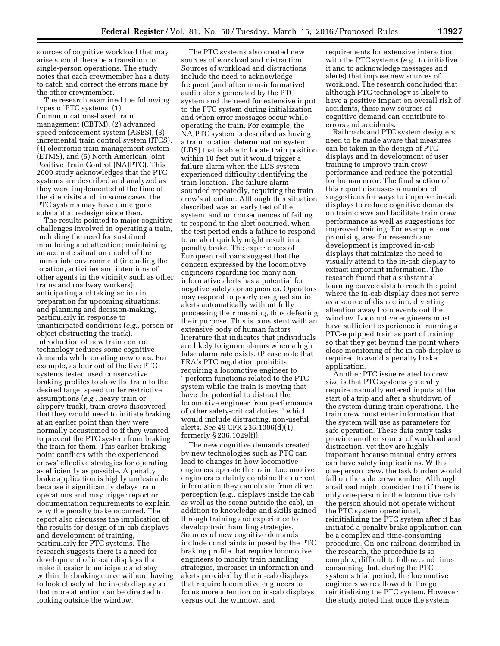sources of cognitive workload that may arise should there be a transition to single-person operations. The study notes that each crewmember has a duty to catch and correct the errors made by the other crewmember.

The research examined the following types of PTC systems: (1) Communications-based train management (CBTM), (2) advanced speed enforcement system (ASES), (3) incremental train control system (ITCS), (4) electronic train management system (ETMS), and (5) North American Joint Positive Train Control (NAJPTC). This 2009 study acknowledges that the PTC systems are described and analyzed as they were implemented at the time of the site visits and, in some cases, the PTC systems may have undergone substantial redesign since then.

The results pointed to major cognitive challenges involved in operating a train, including the need for sustained monitoring and attention; maintaining an accurate situation model of the immediate environment (including the location, activities and intentions of other agents in the vicinity such as other trains and roadway workers); anticipating and taking action in preparation for upcoming situations; and planning and decision-making, particularly in response to unanticipated conditions (*e.g.,* person or object obstructing the track). Introduction of new train control technology reduces some cognitive demands while creating new ones. For example, as four out of the five PTC systems tested used conservative braking profiles to slow the train to the desired target speed under restrictive assumptions (*e.g.,* heavy train or slippery track), train crews discovered that they would need to initiate braking at an earlier point than they were normally accustomed to if they wanted to prevent the PTC system from braking the train for them. This earlier braking point conflicts with the experienced crews' effective strategies for operating as efficiently as possible. A penalty brake application is highly undesirable because it significantly delays train operations and may trigger report or documentation requirements to explain why the penalty brake occurred. The report also discusses the implication of the results for design of in-cab displays and development of training, particularly for PTC systems. The research suggests there is a need for development of in-cab displays that make it easier to anticipate and stay within the braking curve without having to look closely at the in-cab display so that more attention can be directed to looking outside the window.

The PTC systems also created new sources of workload and distraction. Sources of workload and distractions include the need to acknowledge frequent (and often non-informative) audio alerts generated by the PTC system and the need for extensive input to the PTC system during initialization and when error messages occur while operating the train. For example, the NAJPTC system is described as having a train location determination system (LDS) that is able to locate train position within 10 feet but it would trigger a failure alarm when the LDS system experienced difficulty identifying the train location. The failure alarm sounded repeatedly, requiring the train crew's attention. Although this situation described was an early test of the system, and no consequences of failing to respond to the alert occurred, when the test period ends a failure to respond to an alert quickly might result in a penalty brake. The experiences of European railroads suggest that the concern expressed by the locomotive engineers regarding too many noninformative alerts has a potential for negative safety consequences. Operators may respond to poorly designed audio alerts automatically without fully processing their meaning, thus defeating their purpose. This is consistent with an extensive body of human factors literature that indicates that individuals are likely to ignore alarms when a high false alarm rate exists. (Please note that FRA's PTC regulation prohibits requiring a locomotive engineer to ''perform functions related to the PTC system while the train is moving that have the potential to distract the locomotive engineer from performance of other safety-critical duties,'' which would include distracting, non-useful alerts. *See* 49 CFR 236.1006(d)(1), formerly § 236.1029(f)).

The new cognitive demands created by new technologies such as PTC can lead to changes in how locomotive engineers operate the train. Locomotive engineers certainly combine the current information they can obtain from direct perception (*e.g.,* displays inside the cab as well as the scene outside the cab), in addition to knowledge and skills gained through training and experience to develop train handling strategies. Sources of new cognitive demands include constraints imposed by the PTC braking profile that require locomotive engineers to modify train handling strategies, increases in information and alerts provided by the in-cab displays that require locomotive engineers to focus more attention on in-cab displays versus out the window, and

requirements for extensive interaction with the PTC systems (*e.g.,* to initialize it and to acknowledge messages and alerts) that impose new sources of workload. The research concluded that although PTC technology is likely to have a positive impact on overall risk of accidents, these new sources of cognitive demand can contribute to errors and accidents.

Railroads and PTC system designers need to be made aware that measures can be taken in the design of PTC displays and in development of user training to improve train crew performance and reduce the potential for human error. The final section of this report discusses a number of suggestions for ways to improve in-cab displays to reduce cognitive demands on train crews and facilitate train crew performance as well as suggestions for improved training. For example, one promising area for research and development is improved in-cab displays that minimize the need to visually attend to the in-cab display to extract important information. The research found that a substantial learning curve exists to reach the point where the in-cab display does not serve as a source of distraction, diverting attention away from events out the window. Locomotive engineers must have sufficient experience in running a PTC-equipped train as part of training so that they get beyond the point where close monitoring of the in-cab display is required to avoid a penalty brake application.

Another PTC issue related to crew size is that PTC systems generally require manually entered inputs at the start of a trip and after a shutdown of the system during train operations. The train crew must enter information that the system will use as parameters for safe operation. These data entry tasks provide another source of workload and distraction, yet they are highly important because manual entry errors can have safety implications. With a one-person crew, the task burden would fall on the sole crewmember. Although a railroad might consider that if there is only one-person in the locomotive cab, the person should not operate without the PTC system operational, reinitializing the PTC system after it has initiated a penalty brake application can be a complex and time-consuming procedure. On one railroad described in the research, the procedure is so complex, difficult to follow, and timeconsuming that, during the PTC system's trial period, the locomotive engineers were allowed to forego reinitializing the PTC system. However, the study noted that once the system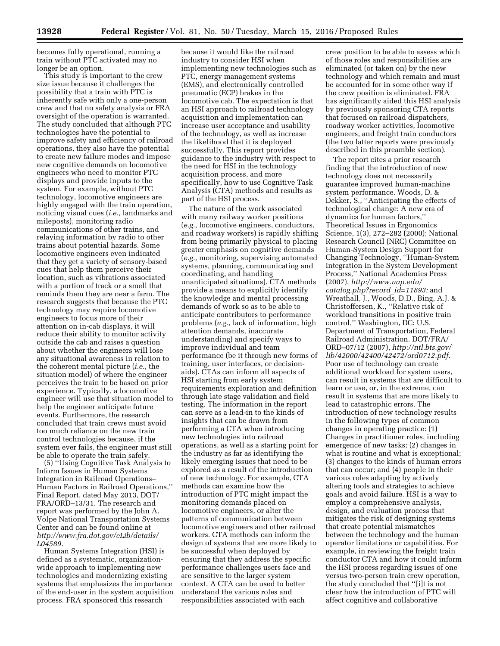becomes fully operational, running a train without PTC activated may no longer be an option.

This study is important to the crew size issue because it challenges the possibility that a train with PTC is inherently safe with only a one-person crew and that no safety analysis or FRA oversight of the operation is warranted. The study concluded that although PTC technologies have the potential to improve safety and efficiency of railroad operations, they also have the potential to create new failure modes and impose new cognitive demands on locomotive engineers who need to monitor PTC displays and provide inputs to the system. For example, without PTC technology, locomotive engineers are highly engaged with the train operation, noticing visual cues (*i.e.,* landmarks and mileposts), monitoring radio communications of other trains, and relaying information by radio to other trains about potential hazards. Some locomotive engineers even indicated that they get a variety of sensory-based cues that help them perceive their location, such as vibrations associated with a portion of track or a smell that reminds them they are near a farm. The research suggests that because the PTC technology may require locomotive engineers to focus more of their attention on in-cab displays, it will reduce their ability to monitor activity outside the cab and raises a question about whether the engineers will lose any situational awareness in relation to the coherent mental picture (*i.e.,* the situation model) of where the engineer perceives the train to be based on prior experience. Typically, a locomotive engineer will use that situation model to help the engineer anticipate future events. Furthermore, the research concluded that train crews must avoid too much reliance on the new train control technologies because, if the system ever fails, the engineer must still be able to operate the train safely.

(5) ''Using Cognitive Task Analysis to Inform Issues in Human Systems Integration in Railroad Operations– Human Factors in Railroad Operations,'' Final Report, dated May 2013, DOT/ FRA/ORD–13/31. The research and report was performed by the John A. Volpe National Transportation Systems Center and can be found online at *[http://www.fra.dot.gov/eLib/details/](http://www.fra.dot.gov/eLib/details/L04589) [L04589.](http://www.fra.dot.gov/eLib/details/L04589)* 

Human Systems Integration (HSI) is defined as a systematic, organizationwide approach to implementing new technologies and modernizing existing systems that emphasizes the importance of the end-user in the system acquisition process. FRA sponsored this research

because it would like the railroad industry to consider HSI when implementing new technologies such as PTC, energy management systems (EMS), and electronically controlled pneumatic (ECP) brakes in the locomotive cab. The expectation is that an HSI approach to railroad technology acquisition and implementation can increase user acceptance and usability of the technology, as well as increase the likelihood that it is deployed successfully. This report provides guidance to the industry with respect to the need for HSI in the technology acquisition process, and more specifically, how to use Cognitive Task Analysis (CTA) methods and results as part of the HSI process.

The nature of the work associated with many railway worker positions (*e.g.,* locomotive engineers, conductors, and roadway workers) is rapidly shifting from being primarily physical to placing greater emphasis on cognitive demands (*e.g.,* monitoring, supervising automated systems, planning, communicating and coordinating, and handling unanticipated situations). CTA methods provide a means to explicitly identify the knowledge and mental processing demands of work so as to be able to anticipate contributors to performance problems (*e.g.,* lack of information, high attention demands, inaccurate understanding) and specify ways to improve individual and team performance (be it through new forms of training, user interfaces, or decisionaids). CTAs can inform all aspects of HSI starting from early system requirements exploration and definition through late stage validation and field testing. The information in the report can serve as a lead-in to the kinds of insights that can be drawn from performing a CTA when introducing new technologies into railroad operations, as well as a starting point for the industry as far as identifying the likely emerging issues that need to be explored as a result of the introduction of new technology. For example, CTA methods can examine how the introduction of PTC might impact the monitoring demands placed on locomotive engineers, or alter the patterns of communication between locomotive engineers and other railroad workers. CTA methods can inform the design of systems that are more likely to be successful when deployed by ensuring that they address the specific performance challenges users face and are sensitive to the larger system context. A CTA can be used to better understand the various roles and responsibilities associated with each

crew position to be able to assess which of those roles and responsibilities are eliminated (or taken on) by the new technology and which remain and must be accounted for in some other way if the crew position is eliminated. FRA has significantly aided this HSI analysis by previously sponsoring CTA reports that focused on railroad dispatchers, roadway worker activities, locomotive engineers, and freight train conductors (the two latter reports were previously described in this preamble section).

The report cites a prior research finding that the introduction of new technology does not necessarily guarantee improved human-machine system performance. Woods, D. & Dekker, S., ''Anticipating the effects of technological change: A new era of dynamics for human factors,'' Theoretical Issues in Ergonomics Science, 1(3), 272–282 (2000); National Research Council (NRC) Committee on Human-System Design Support for Changing Technology, ''Human-System Integration in the System Development Process,'' National Academies Press (2007), *[http://www.nap.edu/](http://www.nap.edu/catalog.php?record_id=11893)  [catalog.php?record](http://www.nap.edu/catalog.php?record_id=11893)*\_*id=11893;* and Wreathall, J., Woods, D.D., Bing, A.J. & Christoffersen, K., ''Relative risk of workload transitions in positive train control,'' Washington, DC: U.S. Department of Transportation, Federal Railroad Administration. DOT/FRA/ ORD–07/12 (2007), *[http://ntl.bts.gov/](http://ntl.bts.gov/lib/42000/42400/42472/ord0712.pdf)  [lib/42000/42400/42472/ord0712.pdf.](http://ntl.bts.gov/lib/42000/42400/42472/ord0712.pdf)*  Poor use of technology can create additional workload for system users, can result in systems that are difficult to learn or use, or, in the extreme, can result in systems that are more likely to lead to catastrophic errors. The introduction of new technology results in the following types of common changes in operating practice: (1) Changes in practitioner roles, including emergence of new tasks; (2) changes in what is routine and what is exceptional; (3) changes to the kinds of human errors that can occur; and (4) people in their various roles adapting by actively altering tools and strategies to achieve goals and avoid failure. HSI is a way to employ a comprehensive analysis, design, and evaluation process that mitigates the risk of designing systems that create potential mismatches between the technology and the human operator limitations or capabilities. For example, in reviewing the freight train conductor CTA and how it could inform the HSI process regarding issues of one versus two-person train crew operation, the study concluded that ''[i]t is not clear how the introduction of PTC will affect cognitive and collaborative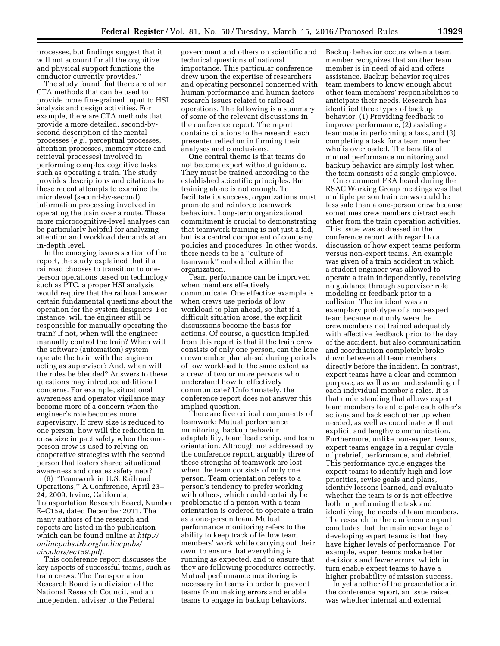processes, but findings suggest that it will not account for all the cognitive and physical support functions the conductor currently provides.''

The study found that there are other CTA methods that can be used to provide more fine-grained input to HSI analysis and design activities. For example, there are CTA methods that provide a more detailed, second-bysecond description of the mental processes (*e.g.,* perceptual processes, attention processes, memory store and retrieval processes) involved in performing complex cognitive tasks such as operating a train. The study provides descriptions and citations to these recent attempts to examine the microlevel (second-by-second) information processing involved in operating the train over a route. These more microcognitive-level analyses can be particularly helpful for analyzing attention and workload demands at an in-depth level.

In the emerging issues section of the report, the study explained that if a railroad chooses to transition to oneperson operations based on technology such as PTC, a proper HSI analysis would require that the railroad answer certain fundamental questions about the operation for the system designers. For instance, will the engineer still be responsible for manually operating the train? If not, when will the engineer manually control the train? When will the software (automation) system operate the train with the engineer acting as supervisor? And, when will the roles be blended? Answers to these questions may introduce additional concerns. For example, situational awareness and operator vigilance may become more of a concern when the engineer's role becomes more supervisory. If crew size is reduced to one person, how will the reduction in crew size impact safety when the oneperson crew is used to relying on cooperative strategies with the second person that fosters shared situational awareness and creates safety nets?

(6) ''Teamwork in U.S. Railroad Operations,'' A Conference, April 23– 24, 2009, Irvine, California, Transportation Research Board, Number E–C159, dated December 2011. The many authors of the research and reports are listed in the publication which can be found online at *[http://](http://onlinepubs.trb.org/onlinepubs/circulars/ec159.pdf)  [onlinepubs.trb.org/onlinepubs/](http://onlinepubs.trb.org/onlinepubs/circulars/ec159.pdf)  [circulars/ec159.pdf.](http://onlinepubs.trb.org/onlinepubs/circulars/ec159.pdf)* 

This conference report discusses the key aspects of successful teams, such as train crews. The Transportation Research Board is a division of the National Research Council, and an independent adviser to the Federal

government and others on scientific and technical questions of national importance. This particular conference drew upon the expertise of researchers and operating personnel concerned with human performance and human factors research issues related to railroad operations. The following is a summary of some of the relevant discussions in the conference report. The report contains citations to the research each presenter relied on in forming their analyses and conclusions.

One central theme is that teams do not become expert without guidance. They must be trained according to the established scientific principles. But training alone is not enough. To facilitate its success, organizations must promote and reinforce teamwork behaviors. Long-term organizational commitment is crucial to demonstrating that teamwork training is not just a fad, but is a central component of company policies and procedures. In other words, there needs to be a ''culture of teamwork'' embedded within the organization.

Team performance can be improved when members effectively communicate. One effective example is when crews use periods of low workload to plan ahead, so that if a difficult situation arose, the explicit discussions become the basis for actions. Of course, a question implied from this report is that if the train crew consists of only one person, can the lone crewmember plan ahead during periods of low workload to the same extent as a crew of two or more persons who understand how to effectively communicate? Unfortunately, the conference report does not answer this implied question.

There are five critical components of teamwork: Mutual performance monitoring, backup behavior, adaptability, team leadership, and team orientation. Although not addressed by the conference report, arguably three of these strengths of teamwork are lost when the team consists of only one person. Team orientation refers to a person's tendency to prefer working with others, which could certainly be problematic if a person with a team orientation is ordered to operate a train as a one-person team. Mutual performance monitoring refers to the ability to keep track of fellow team members' work while carrying out their own, to ensure that everything is running as expected, and to ensure that they are following procedures correctly. Mutual performance monitoring is necessary in teams in order to prevent teams from making errors and enable teams to engage in backup behaviors.

Backup behavior occurs when a team member recognizes that another team member is in need of aid and offers assistance. Backup behavior requires team members to know enough about other team members' responsibilities to anticipate their needs. Research has identified three types of backup behavior: (1) Providing feedback to improve performance, (2) assisting a teammate in performing a task, and (3) completing a task for a team member who is overloaded. The benefits of mutual performance monitoring and backup behavior are simply lost when the team consists of a single employee.

One comment FRA heard during the RSAC Working Group meetings was that multiple person train crews could be less safe than a one-person crew because sometimes crewmembers distract each other from the train operation activities. This issue was addressed in the conference report with regard to a discussion of how expert teams perform versus non-expert teams. An example was given of a train accident in which a student engineer was allowed to operate a train independently, receiving no guidance through supervisor role modeling or feedback prior to a collision. The incident was an exemplary prototype of a non-expert team because not only were the crewmembers not trained adequately with effective feedback prior to the day of the accident, but also communication and coordination completely broke down between all team members directly before the incident. In contrast, expert teams have a clear and common purpose, as well as an understanding of each individual member's roles. It is that understanding that allows expert team members to anticipate each other's actions and back each other up when needed, as well as coordinate without explicit and lengthy communication. Furthermore, unlike non-expert teams, expert teams engage in a regular cycle of prebrief, performance, and debrief. This performance cycle engages the expert teams to identify high and low priorities, revise goals and plans, identify lessons learned, and evaluate whether the team is or is not effective both in performing the task and identifying the needs of team members. The research in the conference report concludes that the main advantage of developing expert teams is that they have higher levels of performance. For example, expert teams make better decisions and fewer errors, which in turn enable expert teams to have a higher probability of mission success.

In yet another of the presentations in the conference report, an issue raised was whether internal and external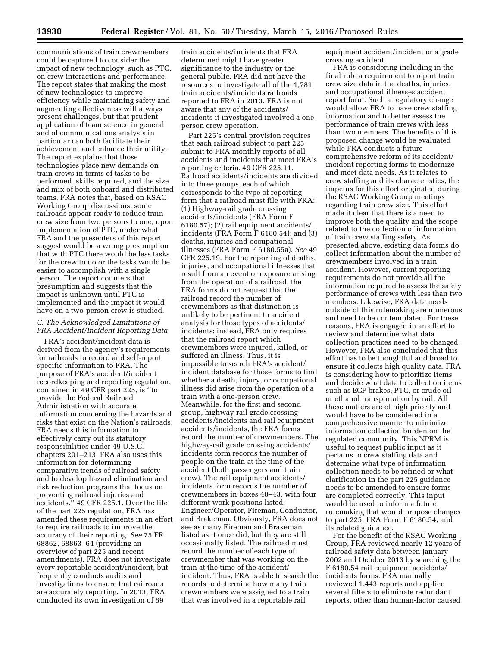communications of train crewmembers could be captured to consider the impact of new technology, such as PTC, on crew interactions and performance. The report states that making the most of new technologies to improve efficiency while maintaining safety and augmenting effectiveness will always present challenges, but that prudent application of team science in general and of communications analysis in particular can both facilitate their achievement and enhance their utility. The report explains that those technologies place new demands on train crews in terms of tasks to be performed, skills required, and the size and mix of both onboard and distributed teams. FRA notes that, based on RSAC Working Group discussions, some railroads appear ready to reduce train crew size from two persons to one, upon implementation of PTC, under what FRA and the presenters of this report suggest would be a wrong presumption that with PTC there would be less tasks for the crew to do or the tasks would be easier to accomplish with a single person. The report counters that presumption and suggests that the impact is unknown until PTC is implemented and the impact it would have on a two-person crew is studied.

# *C. The Acknowledged Limitations of FRA Accident/Incident Reporting Data*

FRA's accident/incident data is derived from the agency's requirements for railroads to record and self-report specific information to FRA. The purpose of FRA's accident/incident recordkeeping and reporting regulation, contained in 49 CFR part 225, is ''to provide the Federal Railroad Administration with accurate information concerning the hazards and risks that exist on the Nation's railroads. FRA needs this information to effectively carry out its statutory responsibilities under 49 U.S.C. chapters 201–213. FRA also uses this information for determining comparative trends of railroad safety and to develop hazard elimination and risk reduction programs that focus on preventing railroad injuries and accidents.'' 49 CFR 225.1. Over the life of the part 225 regulation, FRA has amended these requirements in an effort to require railroads to improve the accuracy of their reporting. *See* 75 FR 68862, 68863–64 (providing an overview of part 225 and recent amendments). FRA does not investigate every reportable accident/incident, but frequently conducts audits and investigations to ensure that railroads are accurately reporting. In 2013, FRA conducted its own investigation of 89

train accidents/incidents that FRA determined might have greater significance to the industry or the general public. FRA did not have the resources to investigate all of the 1,781 train accidents/incidents railroads reported to FRA in 2013. FRA is not aware that any of the accidents/ incidents it investigated involved a oneperson crew operation.

Part 225's central provision requires that each railroad subject to part 225 submit to FRA monthly reports of all accidents and incidents that meet FRA's reporting criteria. 49 CFR 225.11. Railroad accidents/incidents are divided into three groups, each of which corresponds to the type of reporting form that a railroad must file with FRA: (1) Highway-rail grade crossing accidents/incidents (FRA Form F 6180.57); (2) rail equipment accidents/ incidents (FRA Form F 6180.54); and (3) deaths, injuries and occupational illnesses (FRA Form F 6180.55a). *See* 49 CFR 225.19. For the reporting of deaths, injuries, and occupational illnesses that result from an event or exposure arising from the operation of a railroad, the FRA forms do not request that the railroad record the number of crewmembers as that distinction is unlikely to be pertinent to accident analysis for those types of accidents/ incidents; instead, FRA only requires that the railroad report which crewmembers were injured, killed, or suffered an illness. Thus, it is impossible to search FRA's accident/ incident database for those forms to find whether a death, injury, or occupational illness did arise from the operation of a train with a one-person crew. Meanwhile, for the first and second group, highway-rail grade crossing accidents/incidents and rail equipment accidents/incidents, the FRA forms record the number of crewmembers. The highway-rail grade crossing accidents/ incidents form records the number of people on the train at the time of the accident (both passengers and train crew). The rail equipment accidents/ incidents form records the number of crewmembers in boxes 40–43, with four different work positions listed: Engineer/Operator, Fireman, Conductor, and Brakeman. Obviously, FRA does not see as many Fireman and Brakeman listed as it once did, but they are still occasionally listed. The railroad must record the number of each type of crewmember that was working on the train at the time of the accident/ incident. Thus, FRA is able to search the records to determine how many train crewmembers were assigned to a train that was involved in a reportable rail

equipment accident/incident or a grade crossing accident.

FRA is considering including in the final rule a requirement to report train crew size data in the deaths, injuries, and occupational illnesses accident report form. Such a regulatory change would allow FRA to have crew staffing information and to better assess the performance of train crews with less than two members. The benefits of this proposed change would be evaluated while FRA conducts a future comprehensive reform of its accident/ incident reporting forms to modernize and meet data needs. As it relates to crew staffing and its characteristics, the impetus for this effort originated during the RSAC Working Group meetings regarding train crew size. This effort made it clear that there is a need to improve both the quality and the scope related to the collection of information of train crew staffing safety. As presented above, existing data forms do collect information about the number of crewmembers involved in a train accident. However, current reporting requirements do not provide all the information required to assess the safety performance of crews with less than two members. Likewise, FRA data needs outside of this rulemaking are numerous and need to be contemplated. For these reasons, FRA is engaged in an effort to review and determine what data collection practices need to be changed. However, FRA also concluded that this effort has to be thoughtful and broad to ensure it collects high quality data. FRA is considering how to prioritize items and decide what data to collect on items such as ECP brakes, PTC, or crude oil or ethanol transportation by rail. All these matters are of high priority and would have to be considered in a comprehensive manner to minimize information collection burden on the regulated community. This NPRM is useful to request public input as it pertains to crew staffing data and determine what type of information collection needs to be refined or what clarification in the part 225 guidance needs to be amended to ensure forms are completed correctly. This input would be used to inform a future rulemaking that would propose changes to part 225, FRA Form F 6180.54, and its related guidance.

For the benefit of the RSAC Working Group, FRA reviewed nearly 12 years of railroad safety data between January 2002 and October 2013 by searching the F 6180.54 rail equipment accidents/ incidents forms. FRA manually reviewed 1,443 reports and applied several filters to eliminate redundant reports, other than human-factor caused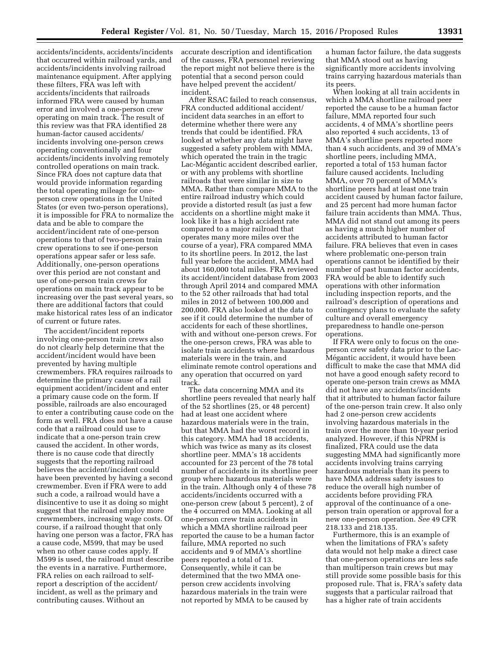accidents/incidents, accidents/incidents that occurred within railroad yards, and accidents/incidents involving railroad maintenance equipment. After applying these filters, FRA was left with accidents/incidents that railroads informed FRA were caused by human error and involved a one-person crew operating on main track. The result of this review was that FRA identified 28 human-factor caused accidents/ incidents involving one-person crews operating conventionally and four accidents/incidents involving remotely controlled operations on main track. Since FRA does not capture data that would provide information regarding the total operating mileage for oneperson crew operations in the United States (or even two-person operations), it is impossible for FRA to normalize the data and be able to compare the accident/incident rate of one-person operations to that of two-person train crew operations to see if one-person operations appear safer or less safe. Additionally, one-person operations over this period are not constant and use of one-person train crews for operations on main track appear to be increasing over the past several years, so there are additional factors that could make historical rates less of an indicator of current or future rates.

The accident/incident reports involving one-person train crews also do not clearly help determine that the accident/incident would have been prevented by having multiple crewmembers. FRA requires railroads to determine the primary cause of a rail equipment accident/incident and enter a primary cause code on the form. If possible, railroads are also encouraged to enter a contributing cause code on the form as well. FRA does not have a cause code that a railroad could use to indicate that a one-person train crew caused the accident. In other words, there is no cause code that directly suggests that the reporting railroad believes the accident/incident could have been prevented by having a second crewmember. Even if FRA were to add such a code, a railroad would have a disincentive to use it as doing so might suggest that the railroad employ more crewmembers, increasing wage costs. Of course, if a railroad thought that only having one person was a factor, FRA has a cause code, M599, that may be used when no other cause codes apply. If M599 is used, the railroad must describe the events in a narrative. Furthermore, FRA relies on each railroad to selfreport a description of the accident/ incident, as well as the primary and contributing causes. Without an

accurate description and identification of the causes, FRA personnel reviewing the report might not believe there is the potential that a second person could have helped prevent the accident/ incident.

After RSAC failed to reach consensus, FRA conducted additional accident/ incident data searches in an effort to determine whether there were any trends that could be identified. FRA looked at whether any data might have suggested a safety problem with MMA, which operated the train in the tragic Lac-Mégantic accident described earlier, or with any problems with shortline railroads that were similar in size to MMA. Rather than compare MMA to the entire railroad industry which could provide a distorted result (as just a few accidents on a shortline might make it look like it has a high accident rate compared to a major railroad that operates many more miles over the course of a year), FRA compared MMA to its shortline peers. In 2012, the last full year before the accident, MMA had about 160,000 total miles. FRA reviewed its accident/incident database from 2003 through April 2014 and compared MMA to the 52 other railroads that had total miles in 2012 of between 100,000 and 200,000. FRA also looked at the data to see if it could determine the number of accidents for each of these shortlines, with and without one-person crews. For the one-person crews, FRA was able to isolate train accidents where hazardous materials were in the train, and eliminate remote control operations and any operation that occurred on yard track.

The data concerning MMA and its shortline peers revealed that nearly half of the 52 shortlines (25, or 48 percent) had at least one accident where hazardous materials were in the train, but that MMA had the worst record in this category. MMA had 18 accidents, which was twice as many as its closest shortline peer. MMA's 18 accidents accounted for 23 percent of the 78 total number of accidents in its shortline peer group where hazardous materials were in the train. Although only 4 of these 78 accidents/incidents occurred with a one-person crew (about 5 percent), 2 of the 4 occurred on MMA. Looking at all one-person crew train accidents in which a MMA shortline railroad peer reported the cause to be a human factor failure, MMA reported no such accidents and 9 of MMA's shortline peers reported a total of 13. Consequently, while it can be determined that the two MMA oneperson crew accidents involving hazardous materials in the train were not reported by MMA to be caused by

a human factor failure, the data suggests that MMA stood out as having significantly more accidents involving trains carrying hazardous materials than its peers.

When looking at all train accidents in which a MMA shortline railroad peer reported the cause to be a human factor failure, MMA reported four such accidents, 4 of MMA's shortline peers also reported 4 such accidents, 13 of MMA's shortline peers reported more than 4 such accidents, and 39 of MMA's shortline peers, including MMA, reported a total of 153 human factor failure caused accidents. Including MMA, over 70 percent of MMA's shortline peers had at least one train accident caused by human factor failure, and 25 percent had more human factor failure train accidents than MMA. Thus, MMA did not stand out among its peers as having a much higher number of accidents attributed to human factor failure. FRA believes that even in cases where problematic one-person train operations cannot be identified by their number of past human factor accidents, FRA would be able to identify such operations with other information including inspection reports, and the railroad's description of operations and contingency plans to evaluate the safety culture and overall emergency preparedness to handle one-person operations.

If FRA were only to focus on the oneperson crew safety data prior to the Lac-Mégantic accident, it would have been difficult to make the case that MMA did not have a good enough safety record to operate one-person train crews as MMA did not have any accidents/incidents that it attributed to human factor failure of the one-person train crew. It also only had 2 one-person crew accidents involving hazardous materials in the train over the more than 10-year period analyzed. However, if this NPRM is finalized, FRA could use the data suggesting MMA had significantly more accidents involving trains carrying hazardous materials than its peers to have MMA address safety issues to reduce the overall high number of accidents before providing FRA approval of the continuance of a oneperson train operation or approval for a new one-person operation. *See* 49 CFR 218.133 and 218.135.

Furthermore, this is an example of when the limitations of FRA's safety data would not help make a direct case that one-person operations are less safe than multiperson train crews but may still provide some possible basis for this proposed rule. That is, FRA's safety data suggests that a particular railroad that has a higher rate of train accidents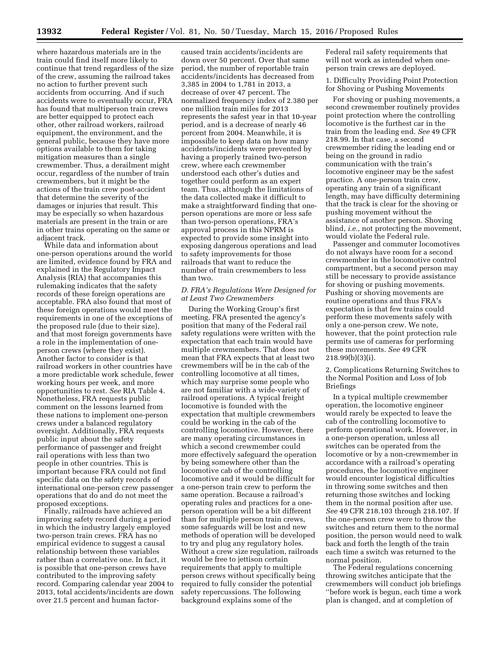where hazardous materials are in the train could find itself more likely to continue that trend regardless of the size of the crew, assuming the railroad takes no action to further prevent such accidents from occurring. And if such accidents were to eventually occur, FRA has found that multiperson train crews are better equipped to protect each other, other railroad workers, railroad equipment, the environment, and the general public, because they have more options available to them for taking mitigation measures than a single crewmember. Thus, a derailment might occur, regardless of the number of train crewmembers, but it might be the actions of the train crew post-accident that determine the severity of the damages or injuries that result. This may be especially so when hazardous materials are present in the train or are in other trains operating on the same or adjacent track.

While data and information about one-person operations around the world are limited, evidence found by FRA and explained in the Regulatory Impact Analysis (RIA) that accompanies this rulemaking indicates that the safety records of these foreign operations are acceptable. FRA also found that most of these foreign operations would meet the requirements in one of the exceptions of the proposed rule (due to their size), and that most foreign governments have a role in the implementation of oneperson crews (where they exist). Another factor to consider is that railroad workers in other countries have a more predictable work schedule, fewer working hours per week, and more opportunities to rest. *See* RIA Table 4. Nonetheless, FRA requests public comment on the lessons learned from these nations to implement one-person crews under a balanced regulatory oversight. Additionally, FRA requests public input about the safety performance of passenger and freight rail operations with less than two people in other countries. This is important because FRA could not find specific data on the safety records of international one-person crew passenger operations that do and do not meet the proposed exceptions.

Finally, railroads have achieved an improving safety record during a period in which the industry largely employed two-person train crews. FRA has no empirical evidence to suggest a causal relationship between these variables rather than a correlative one. In fact, it is possible that one-person crews have contributed to the improving safety record. Comparing calendar year 2004 to 2013, total accidents/incidents are down over 21.5 percent and human factor-

caused train accidents/incidents are down over 50 percent. Over that same period, the number of reportable train accidents/incidents has decreased from 3,385 in 2004 to 1,781 in 2013, a decrease of over 47 percent. The normalized frequency index of 2.380 per one million train miles for 2013 represents the safest year in that 10-year period, and is a decrease of nearly 46 percent from 2004. Meanwhile, it is impossible to keep data on how many accidents/incidents were prevented by having a properly trained two-person crew, where each crewmember understood each other's duties and together could perform as an expert team. Thus, although the limitations of the data collected make it difficult to make a straightforward finding that oneperson operations are more or less safe than two-person operations, FRA's approval process in this NPRM is expected to provide some insight into exposing dangerous operations and lead to safety improvements for those railroads that want to reduce the number of train crewmembers to less than two.

# *D. FRA's Regulations Were Designed for at Least Two Crewmembers*

During the Working Group's first meeting, FRA presented the agency's position that many of the Federal rail safety regulations were written with the expectation that each train would have multiple crewmembers. That does not mean that FRA expects that at least two crewmembers will be in the cab of the controlling locomotive at all times, which may surprise some people who are not familiar with a wide-variety of railroad operations. A typical freight locomotive is founded with the expectation that multiple crewmembers could be working in the cab of the controlling locomotive. However, there are many operating circumstances in which a second crewmember could more effectively safeguard the operation by being somewhere other than the locomotive cab of the controlling locomotive and it would be difficult for a one-person train crew to perform the same operation. Because a railroad's operating rules and practices for a oneperson operation will be a bit different than for multiple person train crews, some safeguards will be lost and new methods of operation will be developed to try and plug any regulatory holes. Without a crew size regulation, railroads would be free to jettison certain requirements that apply to multiple person crews without specifically being required to fully consider the potential safety repercussions. The following background explains some of the

Federal rail safety requirements that will not work as intended when oneperson train crews are deployed.

1. Difficulty Providing Point Protection for Shoving or Pushing Movements

For shoving or pushing movements, a second crewmember routinely provides point protection where the controlling locomotive is the furthest car in the train from the leading end. *See* 49 CFR 218.99. In that case, a second crewmember riding the leading end or being on the ground in radio communication with the train's locomotive engineer may be the safest practice. A one-person train crew, operating any train of a significant length, may have difficulty determining that the track is clear for the shoving or pushing movement without the assistance of another person. Shoving blind, *i.e.,* not protecting the movement, would violate the Federal rule.

Passenger and commuter locomotives do not always have room for a second crewmember in the locomotive control compartment, but a second person may still be necessary to provide assistance for shoving or pushing movements. Pushing or shoving movements are routine operations and thus FRA's expectation is that few trains could perform these movements safely with only a one-person crew. We note, however, that the point protection rule permits use of cameras for performing these movements. *See* 49 CFR 218.99(b)(3)(i).

2. Complications Returning Switches to the Normal Position and Loss of Job Briefings

In a typical multiple crewmember operation, the locomotive engineer would rarely be expected to leave the cab of the controlling locomotive to perform operational work. However, in a one-person operation, unless all switches can be operated from the locomotive or by a non-crewmember in accordance with a railroad's operating procedures, the locomotive engineer would encounter logistical difficulties in throwing some switches and then returning those switches and locking them in the normal position after use. *See* 49 CFR 218.103 through 218.107. If the one-person crew were to throw the switches and return them to the normal position, the person would need to walk back and forth the length of the train each time a switch was returned to the normal position.

The Federal regulations concerning throwing switches anticipate that the crewmembers will conduct job briefings ''before work is begun, each time a work plan is changed, and at completion of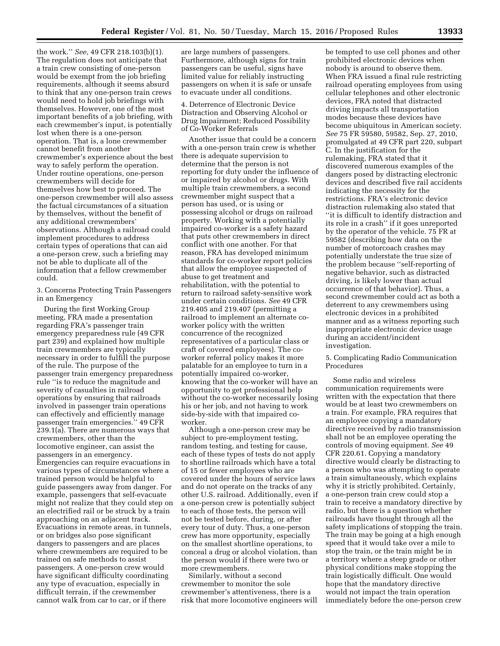the work.'' *See,* 49 CFR 218.103(b)(1). The regulation does not anticipate that a train crew consisting of one-person would be exempt from the job briefing requirements, although it seems absurd to think that any one-person train crews would need to hold job briefings with themselves. However, one of the most important benefits of a job briefing, with each crewmember's input, is potentially lost when there is a one-person operation. That is, a lone crewmember cannot benefit from another crewmember's experience about the best way to safely perform the operation. Under routine operations, one-person crewmembers will decide for themselves how best to proceed. The one-person crewmember will also assess the factual circumstances of a situation by themselves, without the benefit of any additional crewmembers' observations. Although a railroad could implement procedures to address certain types of operations that can aid a one-person crew, such a briefing may not be able to duplicate all of the information that a fellow crewmember could.

3. Concerns Protecting Train Passengers in an Emergency

During the first Working Group meeting, FRA made a presentation regarding FRA's passenger train emergency preparedness rule (49 CFR part 239) and explained how multiple train crewmembers are typically necessary in order to fulfill the purpose of the rule. The purpose of the passenger train emergency preparedness rule ''is to reduce the magnitude and severity of casualties in railroad operations by ensuring that railroads involved in passenger train operations can effectively and efficiently manage passenger train emergencies.'' 49 CFR 239.1(a). There are numerous ways that crewmembers, other than the locomotive engineer, can assist the passengers in an emergency. Emergencies can require evacuations in various types of circumstances where a trained person would be helpful to guide passengers away from danger. For example, passengers that self-evacuate might not realize that they could step on an electrified rail or be struck by a train approaching on an adjacent track. Evacuations in remote areas, in tunnels, or on bridges also pose significant dangers to passengers and are places where crewmembers are required to be trained on safe methods to assist passengers. A one-person crew would have significant difficulty coordinating any type of evacuation, especially in difficult terrain, if the crewmember cannot walk from car to car, or if there

are large numbers of passengers. Furthermore, although signs for train passengers can be useful, signs have limited value for reliably instructing passengers on when it is safe or unsafe to evacuate under all conditions.

4. Deterrence of Electronic Device Distraction and Observing Alcohol or Drug Impairment; Reduced Possibility of Co-Worker Referrals

Another issue that could be a concern with a one-person train crew is whether there is adequate supervision to determine that the person is not reporting for duty under the influence of or impaired by alcohol or drugs. With multiple train crewmembers, a second crewmember might suspect that a person has used, or is using or possessing alcohol or drugs on railroad property. Working with a potentially impaired co-worker is a safety hazard that puts other crewmembers in direct conflict with one another. For that reason, FRA has developed minimum standards for co-worker report policies that allow the employee suspected of abuse to get treatment and rehabilitation, with the potential to return to railroad safety-sensitive work under certain conditions. *See* 49 CFR 219.405 and 219.407 (permitting a railroad to implement an alternate coworker policy with the written concurrence of the recognized representatives of a particular class or craft of covered employees). The coworker referral policy makes it more palatable for an employee to turn in a potentially impaired co-worker, knowing that the co-worker will have an opportunity to get professional help without the co-worker necessarily losing his or her job, and not having to work side-by-side with that impaired coworker.

Although a one-person crew may be subject to pre-employment testing, random testing, and testing for cause, each of these types of tests do not apply to shortline railroads which have a total of 15 or fewer employees who are covered under the hours of service laws and do not operate on the tracks of any other U.S. railroad. Additionally, even if a one-person crew is potentially subject to each of those tests, the person will not be tested before, during, or after every tour of duty. Thus, a one-person crew has more opportunity, especially on the smallest shortline operations, to conceal a drug or alcohol violation, than the person would if there were two or more crewmembers.

Similarly, without a second crewmember to monitor the sole crewmember's attentiveness, there is a risk that more locomotive engineers will

be tempted to use cell phones and other prohibited electronic devices when nobody is around to observe them. When FRA issued a final rule restricting railroad operating employees from using cellular telephones and other electronic devices, FRA noted that distracted driving impacts all transportation modes because these devices have become ubiquitous in American society. *See* 75 FR 59580, 59582, Sep. 27, 2010, promulgated at 49 CFR part 220, subpart C. In the justification for the rulemaking, FRA stated that it discovered numerous examples of the dangers posed by distracting electronic devices and described five rail accidents indicating the necessity for the restrictions. FRA's electronic device distraction rulemaking also stated that ''it is difficult to identify distraction and its role in a crash'' if it goes unreported by the operator of the vehicle. 75 FR at 59582 (describing how data on the number of motorcoach crashes may potentially understate the true size of the problem because ''self-reporting of negative behavior, such as distracted driving, is likely lower than actual occurrence of that behavior). Thus, a second crewmember could act as both a deterrent to any crewmembers using electronic devices in a prohibited manner and as a witness reporting such inappropriate electronic device usage during an accident/incident investigation.

5. Complicating Radio Communication Procedures

Some radio and wireless communication requirements were written with the expectation that there would be at least two crewmembers on a train. For example, FRA requires that an employee copying a mandatory directive received by radio transmission shall not be an employee operating the controls of moving equipment. *See* 49 CFR 220.61. Copying a mandatory directive would clearly be distracting to a person who was attempting to operate a train simultaneously, which explains why it is strictly prohibited. Certainly, a one-person train crew could stop a train to receive a mandatory directive by radio, but there is a question whether railroads have thought through all the safety implications of stopping the train. The train may be going at a high enough speed that it would take over a mile to stop the train, or the train might be in a territory where a steep grade or other physical conditions make stopping the train logistically difficult. One would hope that the mandatory directive would not impact the train operation immediately before the one-person crew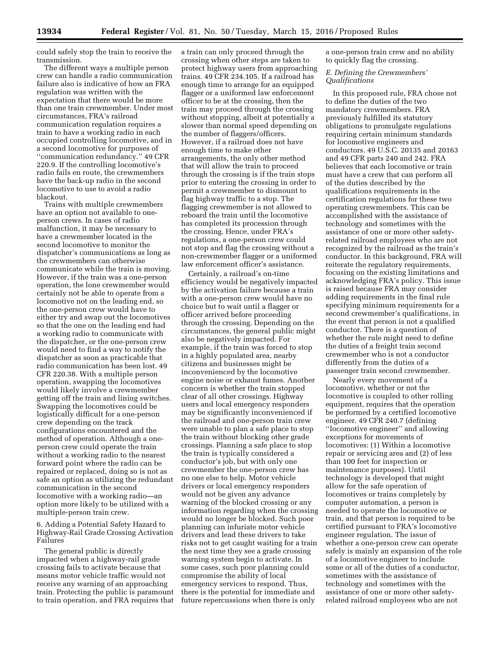could safely stop the train to receive the transmission.

The different ways a multiple person crew can handle a radio communication failure also is indicative of how an FRA regulation was written with the expectation that there would be more than one train crewmember. Under most circumstances, FRA's railroad communication regulation requires a train to have a working radio in each occupied controlling locomotive, and in a second locomotive for purposes of ''communication redundancy.'' 49 CFR 220.9. If the controlling locomotive's radio fails en route, the crewmembers have the back-up radio in the second locomotive to use to avoid a radio blackout.

Trains with multiple crewmembers have an option not available to oneperson crews. In cases of radio malfunction, it may be necessary to have a crewmember located in the second locomotive to monitor the dispatcher's communications as long as the crewmembers can otherwise communicate while the train is moving. However, if the train was a one-person operation, the lone crewmember would certainly not be able to operate from a locomotive not on the leading end, so the one-person crew would have to either try and swap out the locomotives so that the one on the leading end had a working radio to communicate with the dispatcher, or the one-person crew would need to find a way to notify the dispatcher as soon as practicable that radio communication has been lost. 49 CFR 220.38. With a multiple person operation, swapping the locomotives would likely involve a crewmember getting off the train and lining switches. Swapping the locomotives could be logistically difficult for a one-person crew depending on the track configurations encountered and the method of operation. Although a oneperson crew could operate the train without a working radio to the nearest forward point where the radio can be repaired or replaced, doing so is not as safe an option as utilizing the redundant communication in the second locomotive with a working radio—an option more likely to be utilized with a multiple-person train crew.

6. Adding a Potential Safety Hazard to Highway-Rail Grade Crossing Activation Failures

The general public is directly impacted when a highway-rail grade crossing fails to activate because that means motor vehicle traffic would not receive any warning of an approaching train. Protecting the public is paramount to train operation, and FRA requires that a train can only proceed through the crossing when other steps are taken to protect highway users from approaching trains. 49 CFR 234.105. If a railroad has enough time to arrange for an equipped flagger or a uniformed law enforcement officer to be at the crossing, then the train may proceed through the crossing without stopping, albeit at potentially a slower than normal speed depending on the number of flaggers/officers. However, if a railroad does not have enough time to make other arrangements, the only other method that will allow the train to proceed through the crossing is if the train stops prior to entering the crossing in order to permit a crewmember to dismount to flag highway traffic to a stop. The flagging crewmember is not allowed to reboard the train until the locomotive has completed its procession through the crossing. Hence, under FRA's regulations, a one-person crew could not stop and flag the crossing without a non-crewmember flagger or a uniformed law enforcement officer's assistance.

Certainly, a railroad's on-time efficiency would be negatively impacted by the activation failure because a train with a one-person crew would have no choice but to wait until a flagger or officer arrived before proceeding through the crossing. Depending on the circumstances, the general public might also be negatively impacted. For example, if the train was forced to stop in a highly populated area, nearby citizens and businesses might be inconvenienced by the locomotive engine noise or exhaust fumes. Another concern is whether the train stopped clear of all other crossings. Highway users and local emergency responders may be significantly inconvenienced if the railroad and one-person train crew were unable to plan a safe place to stop the train without blocking other grade crossings. Planning a safe place to stop the train is typically considered a conductor's job, but with only one crewmember the one-person crew has no one else to help. Motor vehicle drivers or local emergency responders would not be given any advance warning of the blocked crossing or any information regarding when the crossing would no longer be blocked. Such poor planning can infuriate motor vehicle drivers and lead these drivers to take risks not to get caught waiting for a train the next time they see a grade crossing warning system begin to activate. In some cases, such poor planning could compromise the ability of local emergency services to respond. Thus, there is the potential for immediate and future repercussions when there is only

a one-person train crew and no ability to quickly flag the crossing.

*E. Defining the Crewmembers' Qualifications* 

In this proposed rule, FRA chose not to define the duties of the two mandatory crewmembers. FRA previously fulfilled its statutory obligations to promulgate regulations requiring certain minimum standards for locomotive engineers and conductors. 49 U.S.C. 20135 and 20163 and 49 CFR parts 240 and 242. FRA believes that each locomotive or train must have a crew that can perform all of the duties described by the qualifications requirements in the certification regulations for these two operating crewmembers. This can be accomplished with the assistance of technology and sometimes with the assistance of one or more other safetyrelated railroad employees who are not recognized by the railroad as the train's conductor. In this background, FRA will reiterate the regulatory requirements, focusing on the existing limitations and acknowledging FRA's policy. This issue is raised because FRA may consider adding requirements in the final rule specifying minimum requirements for a second crewmember's qualifications, in the event that person is not a qualified conductor. There is a question of whether the rule might need to define the duties of a freight train second crewmember who is not a conductor differently from the duties of a passenger train second crewmember.

Nearly every movement of a locomotive, whether or not the locomotive is coupled to other rolling equipment, requires that the operation be performed by a certified locomotive engineer. 49 CFR 240.7 (defining ''locomotive engineer'' and allowing exceptions for movements of locomotives: (1) Within a locomotive repair or servicing area and (2) of less than 100 feet for inspection or maintenance purposes). Until technology is developed that might allow for the safe operation of locomotives or trains completely by computer automation, a person is needed to operate the locomotive or train, and that person is required to be certified pursuant to FRA's locomotive engineer regulation. The issue of whether a one-person crew can operate safely is mainly an expansion of the role of a locomotive engineer to include some or all of the duties of a conductor, sometimes with the assistance of technology and sometimes with the assistance of one or more other safetyrelated railroad employees who are not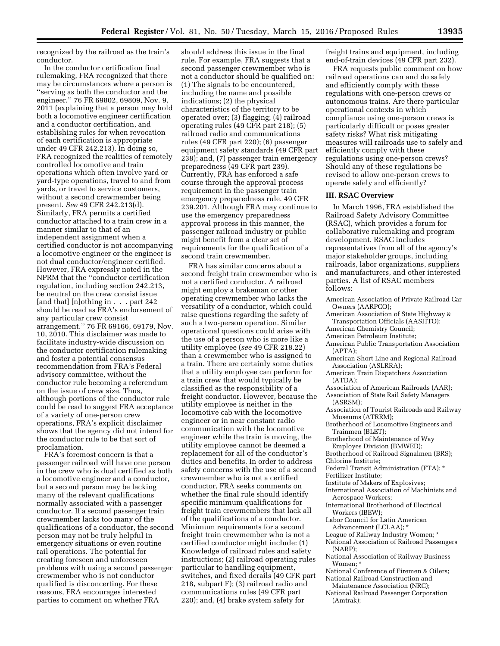recognized by the railroad as the train's conductor.

In the conductor certification final rulemaking, FRA recognized that there may be circumstances where a person is ''serving as both the conductor and the engineer.'' 76 FR 69802, 69809, Nov. 9, 2011 (explaining that a person may hold both a locomotive engineer certification and a conductor certification, and establishing rules for when revocation of each certification is appropriate under 49 CFR 242.213). In doing so, FRA recognized the realities of remotely controlled locomotive and train operations which often involve yard or yard-type operations, travel to and from yards, or travel to service customers, without a second crewmember being present. *See* 49 CFR 242.213(d). Similarly, FRA permits a certified conductor attached to a train crew in a manner similar to that of an independent assignment when a certified conductor is not accompanying a locomotive engineer or the engineer is not dual conductor/engineer certified. However, FRA expressly noted in the NPRM that the ''conductor certification regulation, including section 242.213, be neutral on the crew consist issue [and that] [n]othing in . . . part 242 should be read as FRA's endorsement of any particular crew consist arrangement.'' 76 FR 69166, 69179, Nov. 10, 2010. This disclaimer was made to facilitate industry-wide discussion on the conductor certification rulemaking and foster a potential consensus recommendation from FRA's Federal advisory committee, without the conductor rule becoming a referendum on the issue of crew size. Thus, although portions of the conductor rule could be read to suggest FRA acceptance of a variety of one-person crew operations, FRA's explicit disclaimer shows that the agency did not intend for the conductor rule to be that sort of proclamation.

FRA's foremost concern is that a passenger railroad will have one person in the crew who is dual certified as both a locomotive engineer and a conductor, but a second person may be lacking many of the relevant qualifications normally associated with a passenger conductor. If a second passenger train crewmember lacks too many of the qualifications of a conductor, the second person may not be truly helpful in emergency situations or even routine rail operations. The potential for creating foreseen and unforeseen problems with using a second passenger crewmember who is not conductor qualified is disconcerting. For these reasons, FRA encourages interested parties to comment on whether FRA

should address this issue in the final rule. For example, FRA suggests that a second passenger crewmember who is not a conductor should be qualified on: (1) The signals to be encountered, including the name and possible indications; (2) the physical characteristics of the territory to be operated over; (3) flagging; (4) railroad operating rules (49 CFR part 218); (5) railroad radio and communications rules (49 CFR part 220); (6) passenger equipment safety standards (49 CFR part 238); and, (7) passenger train emergency preparedness (49 CFR part 239). Currently, FRA has enforced a safe course through the approval process requirement in the passenger train emergency preparedness rule. 49 CFR 239.201. Although FRA may continue to use the emergency preparedness approval process in this manner, the passenger railroad industry or public might benefit from a clear set of requirements for the qualification of a second train crewmember.

FRA has similar concerns about a second freight train crewmember who is not a certified conductor. A railroad might employ a brakeman or other operating crewmember who lacks the versatility of a conductor, which could raise questions regarding the safety of such a two-person operation. Similar operational questions could arise with the use of a person who is more like a utility employee (*see* 49 CFR 218.22) than a crewmember who is assigned to a train. There are certainly some duties that a utility employee can perform for a train crew that would typically be classified as the responsibility of a freight conductor. However, because the utility employee is neither in the locomotive cab with the locomotive engineer or in near constant radio communication with the locomotive engineer while the train is moving, the utility employee cannot be deemed a replacement for all of the conductor's duties and benefits. In order to address safety concerns with the use of a second crewmember who is not a certified conductor, FRA seeks comments on whether the final rule should identify specific minimum qualifications for freight train crewmembers that lack all of the qualifications of a conductor. Minimum requirements for a second freight train crewmember who is not a certified conductor might include: (1) Knowledge of railroad rules and safety instructions; (2) railroad operating rules particular to handling equipment, switches, and fixed derails (49 CFR part 218, subpart F); (3) railroad radio and communications rules (49 CFR part 220); and, (4) brake system safety for

freight trains and equipment, including end-of-train devices (49 CFR part 232).

FRA requests public comment on how railroad operations can and do safely and efficiently comply with these regulations with one-person crews or autonomous trains. Are there particular operational contexts in which compliance using one-person crews is particularly difficult or poses greater safety risks? What risk mitigating measures will railroads use to safely and efficiently comply with these regulations using one-person crews? Should any of these regulations be revised to allow one-person crews to operate safely and efficiently?

#### **III. RSAC Overview**

In March 1996, FRA established the Railroad Safety Advisory Committee (RSAC), which provides a forum for collaborative rulemaking and program development. RSAC includes representatives from all of the agency's major stakeholder groups, including railroads, labor organizations, suppliers and manufacturers, and other interested parties. A list of RSAC members follows:

- American Association of Private Railroad Car Owners (AARPCO);
- American Association of State Highway & Transportation Officials (AASHTO);
- American Chemistry Council;
- American Petroleum Institute;
- American Public Transportation Association (APTA);
- American Short Line and Regional Railroad Association (ASLRRA);
- American Train Dispatchers Association (ATDA);
- Association of American Railroads (AAR); Association of State Rail Safety Managers (ASRSM);
- Association of Tourist Railroads and Railway
- Museums (ATRRM); Brotherhood of Locomotive Engineers and Trainmen (BLET);
- Brotherhood of Maintenance of Way Employes Division (BMWED);
- Brotherhood of Railroad Signalmen (BRS);
- Chlorine Institute;
- Federal Transit Administration (FTA); \*
- Fertilizer Institute;
- Institute of Makers of Explosives;
- International Association of Machinists and Aerospace Workers;
- International Brotherhood of Electrical Workers (IBEW);
- Labor Council for Latin American Advancement (LCLAA); \*
- League of Railway Industry Women; \*
- National Association of Railroad Passengers (NARP);
- National Association of Railway Business Women; \*
- National Conference of Firemen & Oilers; National Railroad Construction and
- Maintenance Association (NRC);
- National Railroad Passenger Corporation (Amtrak);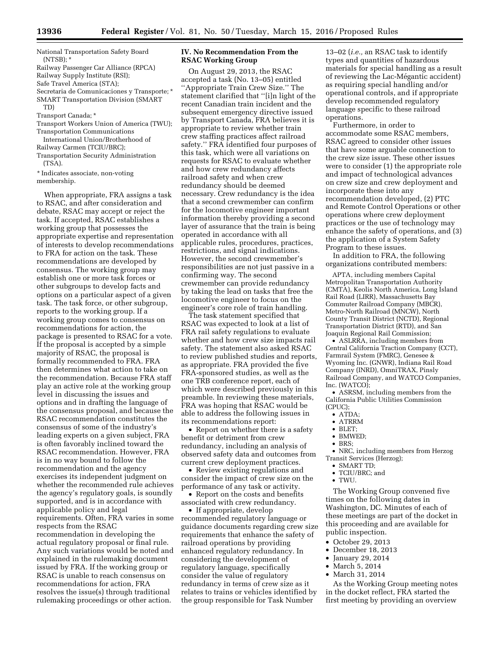National Transportation Safety Board  $(NTSB);$ 

Railway Passenger Car Alliance (RPCA)

Railway Supply Institute (RSI);

Safe Travel America (STA);

Secretaria de Comunicaciones y Transporte; \* SMART Transportation Division (SMART TD)

Transport Canada; \*

Transport Workers Union of America (TWU); Transportation Communications

International Union/Brotherhood of Railway Carmen (TCIU/BRC);

Transportation Security Administration (TSA).

\* Indicates associate, non-voting membership.

When appropriate, FRA assigns a task to RSAC, and after consideration and debate, RSAC may accept or reject the task. If accepted, RSAC establishes a working group that possesses the appropriate expertise and representation of interests to develop recommendations to FRA for action on the task. These recommendations are developed by consensus. The working group may establish one or more task forces or other subgroups to develop facts and options on a particular aspect of a given task. The task force, or other subgroup, reports to the working group. If a working group comes to consensus on recommendations for action, the package is presented to RSAC for a vote. If the proposal is accepted by a simple majority of RSAC, the proposal is formally recommended to FRA. FRA then determines what action to take on the recommendation. Because FRA staff play an active role at the working group level in discussing the issues and options and in drafting the language of the consensus proposal, and because the RSAC recommendation constitutes the consensus of some of the industry's leading experts on a given subject, FRA is often favorably inclined toward the RSAC recommendation. However, FRA is in no way bound to follow the recommendation and the agency exercises its independent judgment on whether the recommended rule achieves the agency's regulatory goals, is soundly supported, and is in accordance with applicable policy and legal requirements. Often, FRA varies in some respects from the RSAC recommendation in developing the actual regulatory proposal or final rule. Any such variations would be noted and explained in the rulemaking document issued by FRA. If the working group or RSAC is unable to reach consensus on recommendations for action, FRA resolves the issue(s) through traditional rulemaking proceedings or other action.

# **IV. No Recommendation From the RSAC Working Group**

On August 29, 2013, the RSAC accepted a task (No. 13–05) entitled ''Appropriate Train Crew Size.'' The statement clarified that ''[i]n light of the recent Canadian train incident and the subsequent emergency directive issued by Transport Canada, FRA believes it is appropriate to review whether train crew staffing practices affect railroad safety.'' FRA identified four purposes of this task, which were all variations on requests for RSAC to evaluate whether and how crew redundancy affects railroad safety and when crew redundancy should be deemed necessary. Crew redundancy is the idea that a second crewmember can confirm for the locomotive engineer important information thereby providing a second layer of assurance that the train is being operated in accordance with all applicable rules, procedures, practices, restrictions, and signal indications. However, the second crewmember's responsibilities are not just passive in a confirming way. The second crewmember can provide redundancy by taking the lead on tasks that free the locomotive engineer to focus on the engineer's core role of train handling.

The task statement specified that RSAC was expected to look at a list of FRA rail safety regulations to evaluate whether and how crew size impacts rail safety. The statement also asked RSAC to review published studies and reports, as appropriate. FRA provided the five FRA-sponsored studies, as well as the one TRB conference report, each of which were described previously in this preamble. In reviewing these materials, FRA was hoping that RSAC would be able to address the following issues in its recommendations report:

• Report on whether there is a safety benefit or detriment from crew redundancy, including an analysis of observed safety data and outcomes from current crew deployment practices.

• Review existing regulations and consider the impact of crew size on the performance of any task or activity.

• Report on the costs and benefits associated with crew redundancy.

• If appropriate, develop recommended regulatory language or guidance documents regarding crew size requirements that enhance the safety of railroad operations by providing enhanced regulatory redundancy. In considering the development of regulatory language, specifically consider the value of regulatory redundancy in terms of crew size as it relates to trains or vehicles identified by the group responsible for Task Number

13–02 (*i.e.,* an RSAC task to identify types and quantities of hazardous materials for special handling as a result of reviewing the Lac-Mégantic accident) as requiring special handling and/or operational controls, and if appropriate develop recommended regulatory language specific to these railroad operations.

Furthermore, in order to accommodate some RSAC members, RSAC agreed to consider other issues that have some arguable connection to the crew size issue. These other issues were to consider (1) the appropriate role and impact of technological advances on crew size and crew deployment and incorporate these into any recommendation developed, (2) PTC and Remote Control Operations or other operations where crew deployment practices or the use of technology may enhance the safety of operations, and (3) the application of a System Safety Program to these issues.

In addition to FRA, the following organizations contributed members:

APTA, including members Capital Metropolitan Transportation Authority (CMTA), Keolis North America, Long Island Rail Road (LIRR), Massachusetts Bay Commuter Railroad Company (MBCR), Metro-North Railroad (MNCW), North County Transit District (NCTD), Regional Transportation District (RTD), and San Joaquin Regional Rail Commission;

• ASLRRA, including members from Central California Traction Company (CCT), Farmrail System (FMRC), Genesee & Wyoming Inc. (GNWR), Indiana Rail Road Company (INRD), OmniTRAX, Pinsly Railroad Company, and WATCO Companies, Inc. (WATCO);

• ASRSM, including members from the California Public Utilities Commission (CPUC);

- ATDA;
- ATRRM

• BLET;

- BMWED;
- BRS;

• NRC, including members from Herzog Transit Services (Herzog);

- SMART TD:
- TCIU/BRC; and
- TWU.

The Working Group convened five times on the following dates in Washington, DC. Minutes of each of these meetings are part of the docket in this proceeding and are available for public inspection.

- October 29, 2013
- December 18, 2013
- January 29, 2014
- March 5, 2014
- March 31, 2014

As the Working Group meeting notes in the docket reflect, FRA started the first meeting by providing an overview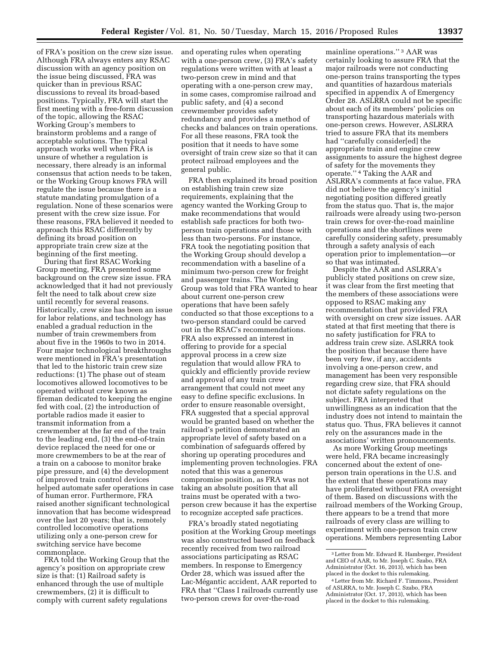of FRA's position on the crew size issue. Although FRA always enters any RSAC discussion with an agency position on the issue being discussed, FRA was quicker than in previous RSAC discussions to reveal its broad-based positions. Typically, FRA will start the first meeting with a free-form discussion of the topic, allowing the RSAC Working Group's members to brainstorm problems and a range of acceptable solutions. The typical approach works well when FRA is unsure of whether a regulation is necessary, there already is an informal consensus that action needs to be taken, or the Working Group knows FRA will regulate the issue because there is a statute mandating promulgation of a regulation. None of these scenarios were present with the crew size issue. For these reasons, FRA believed it needed to approach this RSAC differently by defining its broad position on appropriate train crew size at the beginning of the first meeting.

During that first RSAC Working Group meeting, FRA presented some background on the crew size issue. FRA acknowledged that it had not previously felt the need to talk about crew size until recently for several reasons. Historically, crew size has been an issue for labor relations, and technology has enabled a gradual reduction in the number of train crewmembers from about five in the 1960s to two in 2014. Four major technological breakthroughs were mentioned in FRA's presentation that led to the historic train crew size reductions: (1) The phase out of steam locomotives allowed locomotives to be operated without crew known as fireman dedicated to keeping the engine fed with coal, (2) the introduction of portable radios made it easier to transmit information from a crewmember at the far end of the train to the leading end, (3) the end-of-train device replaced the need for one or more crewmembers to be at the rear of a train on a caboose to monitor brake pipe pressure, and (4) the development of improved train control devices helped automate safer operations in case of human error. Furthermore, FRA raised another significant technological innovation that has become widespread over the last 20 years; that is, remotely controlled locomotive operations utilizing only a one-person crew for switching service have become commonplace.

FRA told the Working Group that the agency's position on appropriate crew size is that: (1) Railroad safety is enhanced through the use of multiple crewmembers, (2) it is difficult to comply with current safety regulations

and operating rules when operating with a one-person crew, (3) FRA's safety regulations were written with at least a two-person crew in mind and that operating with a one-person crew may, in some cases, compromise railroad and public safety, and (4) a second crewmember provides safety redundancy and provides a method of checks and balances on train operations. For all these reasons, FRA took the position that it needs to have some oversight of train crew size so that it can protect railroad employees and the general public.

FRA then explained its broad position on establishing train crew size requirements, explaining that the agency wanted the Working Group to make recommendations that would establish safe practices for both twoperson train operations and those with less than two-persons. For instance, FRA took the negotiating position that the Working Group should develop a recommendation with a baseline of a minimum two-person crew for freight and passenger trains. The Working Group was told that FRA wanted to hear about current one-person crew operations that have been safely conducted so that those exceptions to a two-person standard could be carved out in the RSAC's recommendations. FRA also expressed an interest in offering to provide for a special approval process in a crew size regulation that would allow FRA to quickly and efficiently provide review and approval of any train crew arrangement that could not meet any easy to define specific exclusions. In order to ensure reasonable oversight, FRA suggested that a special approval would be granted based on whether the railroad's petition demonstrated an appropriate level of safety based on a combination of safeguards offered by shoring up operating procedures and implementing proven technologies. FRA noted that this was a generous compromise position, as FRA was not taking an absolute position that all trains must be operated with a twoperson crew because it has the expertise to recognize accepted safe practices.

FRA's broadly stated negotiating position at the Working Group meetings was also constructed based on feedback recently received from two railroad associations participating as RSAC members. In response to Emergency Order 28, which was issued after the Lac-Mégantic accident, AAR reported to FRA that ''Class I railroads currently use two-person crews for over-the-road

mainline operations.'' 3 AAR was certainly looking to assure FRA that the major railroads were not conducting one-person trains transporting the types and quantities of hazardous materials specified in appendix A of Emergency Order 28. ASLRRA could not be specific about each of its members' policies on transporting hazardous materials with one-person crews. However, ASLRRA tried to assure FRA that its members had ''carefully consider[ed] the appropriate train and engine crew assignments to assure the highest degree of safety for the movements they operate.'' 4 Taking the AAR and ASLRRA's comments at face value, FRA did not believe the agency's initial negotiating position differed greatly from the status quo. That is, the major railroads were already using two-person train crews for over-the-road mainline operations and the shortlines were carefully considering safety, presumably through a safety analysis of each operation prior to implementation—or so that was intimated.

Despite the AAR and ASLRRA's publicly stated positions on crew size, it was clear from the first meeting that the members of these associations were opposed to RSAC making any recommendation that provided FRA with oversight on crew size issues. AAR stated at that first meeting that there is no safety justification for FRA to address train crew size. ASLRRA took the position that because there have been very few, if any, accidents involving a one-person crew, and management has been very responsible regarding crew size, that FRA should not dictate safety regulations on the subject. FRA interpreted that unwillingness as an indication that the industry does not intend to maintain the status quo. Thus, FRA believes it cannot rely on the assurances made in the associations' written pronouncements.

As more Working Group meetings were held, FRA became increasingly concerned about the extent of oneperson train operations in the U.S. and the extent that these operations may have proliferated without FRA oversight of them. Based on discussions with the railroad members of the Working Group, there appears to be a trend that more railroads of every class are willing to experiment with one-person train crew operations. Members representing Labor

<sup>3</sup>Letter from Mr. Edward R. Hamberger, President and CEO of AAR, to Mr. Joseph C. Szabo, FRA Administrator (Oct. 16, 2013), which has been placed in the docket to this rulemaking.

<sup>4</sup>Letter from Mr. Richard F. Timmons, President of ASLRRA, to Mr. Joseph C. Szabo, FRA Administrator (Oct. 17, 2013), which has been placed in the docket to this rulemaking.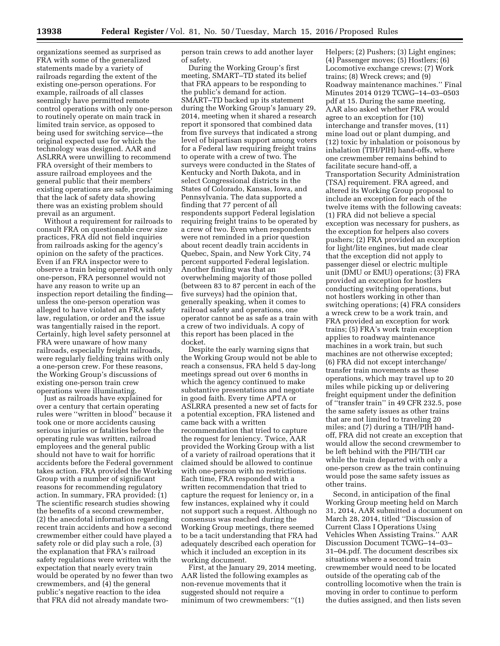organizations seemed as surprised as FRA with some of the generalized statements made by a variety of railroads regarding the extent of the existing one-person operations. For example, railroads of all classes seemingly have permitted remote control operations with only one-person to routinely operate on main track in limited train service, as opposed to being used for switching service—the original expected use for which the technology was designed. AAR and ASLRRA were unwilling to recommend FRA oversight of their members to assure railroad employees and the general public that their members' existing operations are safe, proclaiming that the lack of safety data showing there was an existing problem should prevail as an argument.

Without a requirement for railroads to consult FRA on questionable crew size practices, FRA did not field inquiries from railroads asking for the agency's opinion on the safety of the practices. Even if an FRA inspector were to observe a train being operated with only one-person, FRA personnel would not have any reason to write up an inspection report detailing the finding unless the one-person operation was alleged to have violated an FRA safety law, regulation, or order and the issue was tangentially raised in the report. Certainly, high level safety personnel at FRA were unaware of how many railroads, especially freight railroads, were regularly fielding trains with only a one-person crew. For these reasons, the Working Group's discussions of existing one-person train crew operations were illuminating.

Just as railroads have explained for over a century that certain operating rules were ''written in blood'' because it took one or more accidents causing serious injuries or fatalities before the operating rule was written, railroad employees and the general public should not have to wait for horrific accidents before the Federal government takes action. FRA provided the Working Group with a number of significant reasons for recommending regulatory action. In summary, FRA provided: (1) The scientific research studies showing the benefits of a second crewmember, (2) the anecdotal information regarding recent train accidents and how a second crewmember either could have played a safety role or did play such a role, (3) the explanation that FRA's railroad safety regulations were written with the expectation that nearly every train would be operated by no fewer than two crewmembers, and (4) the general public's negative reaction to the idea that FRA did not already mandate twoperson train crews to add another layer of safety.

During the Working Group's first meeting, SMART–TD stated its belief that FRA appears to be responding to the public's demand for action. SMART–TD backed up its statement during the Working Group's January 29, 2014, meeting when it shared a research report it sponsored that combined data from five surveys that indicated a strong level of bipartisan support among voters for a Federal law requiring freight trains to operate with a crew of two. The surveys were conducted in the States of Kentucky and North Dakota, and in select Congressional districts in the States of Colorado, Kansas, Iowa, and Pennsylvania. The data supported a finding that 77 percent of all respondents support Federal legislation requiring freight trains to be operated by a crew of two. Even when respondents were not reminded in a prior question about recent deadly train accidents in Quebec, Spain, and New York City, 74 percent supported Federal legislation. Another finding was that an overwhelming majority of those polled (between 83 to 87 percent in each of the five surveys) had the opinion that, generally speaking, when it comes to railroad safety and operations, one operator cannot be as safe as a train with a crew of two individuals. A copy of this report has been placed in the docket.

Despite the early warning signs that the Working Group would not be able to reach a consensus, FRA held 5 day-long meetings spread out over 6 months in which the agency continued to make substantive presentations and negotiate in good faith. Every time APTA or ASLRRA presented a new set of facts for a potential exception, FRA listened and came back with a written recommendation that tried to capture the request for leniency. Twice, AAR provided the Working Group with a list of a variety of railroad operations that it claimed should be allowed to continue with one-person with no restrictions. Each time, FRA responded with a written recommendation that tried to capture the request for leniency or, in a few instances, explained why it could not support such a request. Although no consensus was reached during the Working Group meetings, there seemed to be a tacit understanding that FRA had adequately described each operation for which it included an exception in its working document.

First, at the January 29, 2014 meeting, AAR listed the following examples as non-revenue movements that it suggested should not require a minimum of two crewmembers: ''(1)

Helpers; (2) Pushers; (3) Light engines; (4) Passenger moves; (5) Hostlers; (6) Locomotive exchange crews; (7) Work trains; (8) Wreck crews; and (9) Roadway maintenance machines.'' Final Minutes 2014 0129 TCWG–14–03–0503 pdf at 15. During the same meeting, AAR also asked whether FRA would agree to an exception for (10) interchange and transfer moves, (11) mine load out or plant dumping, and (12) toxic by inhalation or poisonous by inhalation (TIH/PIH) hand-offs, where one crewmember remains behind to facilitate secure hand-off, a Transportation Security Administration (TSA) requirement. FRA agreed, and altered its Working Group proposal to include an exception for each of the twelve items with the following caveats: (1) FRA did not believe a special exception was necessary for pushers, as the exception for helpers also covers pushers; (2) FRA provided an exception for light/lite engines, but made clear that the exception did not apply to passenger diesel or electric multiple unit (DMU or EMU) operations; (3) FRA provided an exception for hostlers conducting switching operations, but not hostlers working in other than switching operations; (4) FRA considers a wreck crew to be a work train, and FRA provided an exception for work trains; (5) FRA's work train exception applies to roadway maintenance machines in a work train, but such machines are not otherwise excepted; (6) FRA did not except interchange/ transfer train movements as these operations, which may travel up to 20 miles while picking up or delivering freight equipment under the definition of ''transfer train'' in 49 CFR 232.5, pose the same safety issues as other trains that are not limited to traveling 20 miles; and (7) during a TIH/PIH handoff, FRA did not create an exception that would allow the second crewmember to be left behind with the PIH/TIH car while the train departed with only a one-person crew as the train continuing would pose the same safety issues as other trains.

Second, in anticipation of the final Working Group meeting held on March 31, 2014, AAR submitted a document on March 28, 2014, titled ''Discussion of Current Class I Operations Using Vehicles When Assisting Trains.'' AAR Discussion Document TCWG–14–03– 31–04.pdf. The document describes six situations where a second train crewmember would need to be located outside of the operating cab of the controlling locomotive when the train is moving in order to continue to perform the duties assigned, and then lists seven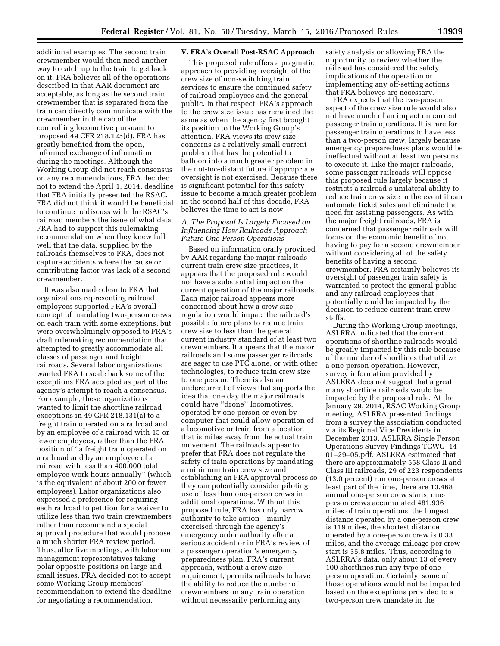additional examples. The second train crewmember would then need another way to catch up to the train to get back on it. FRA believes all of the operations described in that AAR document are acceptable, as long as the second train crewmember that is separated from the train can directly communicate with the crewmember in the cab of the controlling locomotive pursuant to proposed 49 CFR 218.125(d). FRA has greatly benefited from the open, informed exchange of information during the meetings. Although the Working Group did not reach consensus on any recommendations, FRA decided not to extend the April 1, 2014, deadline that FRA initially presented the RSAC. FRA did not think it would be beneficial to continue to discuss with the RSAC's railroad members the issue of what data FRA had to support this rulemaking recommendation when they knew full well that the data, supplied by the railroads themselves to FRA, does not capture accidents where the cause or contributing factor was lack of a second crewmember.

It was also made clear to FRA that organizations representing railroad employees supported FRA's overall concept of mandating two-person crews on each train with some exceptions, but were overwhelmingly opposed to FRA's draft rulemaking recommendation that attempted to greatly accommodate all classes of passenger and freight railroads. Several labor organizations wanted FRA to scale back some of the exceptions FRA accepted as part of the agency's attempt to reach a consensus. For example, these organizations wanted to limit the shortline railroad exceptions in 49 CFR 218.131(a) to a freight train operated on a railroad and by an employee of a railroad with 15 or fewer employees, rather than the FRA position of ''a freight train operated on a railroad and by an employee of a railroad with less than 400,000 total employee work hours annually'' (which is the equivalent of about 200 or fewer employees). Labor organizations also expressed a preference for requiring each railroad to petition for a waiver to utilize less than two train crewmembers rather than recommend a special approval procedure that would propose a much shorter FRA review period. Thus, after five meetings, with labor and management representatives taking polar opposite positions on large and small issues, FRA decided not to accept some Working Group members' recommendation to extend the deadline for negotiating a recommendation.

#### **V. FRA's Overall Post-RSAC Approach**

This proposed rule offers a pragmatic approach to providing oversight of the crew size of non-switching train services to ensure the continued safety of railroad employees and the general public. In that respect, FRA's approach to the crew size issue has remained the same as when the agency first brought its position to the Working Group's attention. FRA views its crew size concerns as a relatively small current problem that has the potential to balloon into a much greater problem in the not-too-distant future if appropriate oversight is not exercised. Because there is significant potential for this safety issue to become a much greater problem in the second half of this decade, FRA believes the time to act is now.

# *A. The Proposal Is Largely Focused on Influencing How Railroads Approach Future One-Person Operations*

Based on information orally provided by AAR regarding the major railroads current train crew size practices, it appears that the proposed rule would not have a substantial impact on the current operation of the major railroads. Each major railroad appears more concerned about how a crew size regulation would impact the railroad's possible future plans to reduce train crew size to less than the general current industry standard of at least two crewmembers. It appears that the major railroads and some passenger railroads are eager to use PTC alone, or with other technologies, to reduce train crew size to one person. There is also an undercurrent of views that supports the idea that one day the major railroads could have ''drone'' locomotives, operated by one person or even by computer that could allow operation of a locomotive or train from a location that is miles away from the actual train movement. The railroads appear to prefer that FRA does not regulate the safety of train operations by mandating a minimum train crew size and establishing an FRA approval process so they can potentially consider piloting use of less than one-person crews in additional operations. Without this proposed rule, FRA has only narrow authority to take action—mainly exercised through the agency's emergency order authority after a serious accident or in FRA's review of a passenger operation's emergency preparedness plan. FRA's current approach, without a crew size requirement, permits railroads to have the ability to reduce the number of crewmembers on any train operation without necessarily performing any

safety analysis or allowing FRA the opportunity to review whether the railroad has considered the safety implications of the operation or implementing any off-setting actions that FRA believes are necessary.

FRA expects that the two-person aspect of the crew size rule would also not have much of an impact on current passenger train operations. It is rare for passenger train operations to have less than a two-person crew, largely because emergency preparedness plans would be ineffectual without at least two persons to execute it. Like the major railroads, some passenger railroads will oppose this proposed rule largely because it restricts a railroad's unilateral ability to reduce train crew size in the event it can automate ticket sales and eliminate the need for assisting passengers. As with the major freight railroads, FRA is concerned that passenger railroads will focus on the economic benefit of not having to pay for a second crewmember without considering all of the safety benefits of having a second crewmember. FRA certainly believes its oversight of passenger train safety is warranted to protect the general public and any railroad employees that potentially could be impacted by the decision to reduce current train crew staffs.

During the Working Group meetings, ASLRRA indicated that the current operations of shortline railroads would be greatly impacted by this rule because of the number of shortlines that utilize a one-person operation. However, survey information provided by ASLRRA does not suggest that a great many shortline railroads would be impacted by the proposed rule. At the January 29, 2014, RSAC Working Group meeting, ASLRRA presented findings from a survey the association conducted via its Regional Vice Presidents in December 2013. ASLRRA Single Person Operations Survey Findings TCWG–14– 01–29–05.pdf. ASLRRA estimated that there are approximately 558 Class II and Class III railroads, 29 of 223 respondents (13.0 percent) run one-person crews at least part of the time, there are 13,468 annual one-person crew starts, oneperson crews accumulated 481,936 miles of train operations, the longest distance operated by a one-person crew is 119 miles, the shortest distance operated by a one-person crew is 0.33 miles, and the average mileage per crew start is 35.8 miles. Thus, according to ASLRRA's data, only about 13 of every 100 shortlines run any type of oneperson operation. Certainly, some of those operations would not be impacted based on the exceptions provided to a two-person crew mandate in the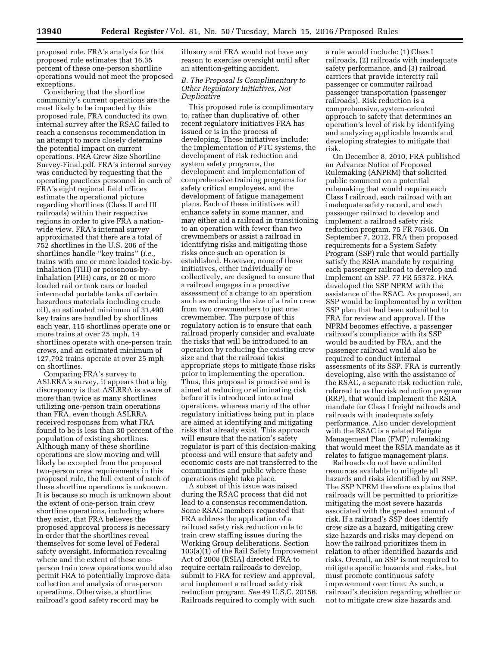proposed rule. FRA's analysis for this proposed rule estimates that 16.35 percent of these one-person shortline operations would not meet the proposed exceptions.

Considering that the shortline community's current operations are the most likely to be impacted by this proposed rule, FRA conducted its own internal survey after the RSAC failed to reach a consensus recommendation in an attempt to more closely determine the potential impact on current operations. FRA Crew Size Shortline Survey-Final.pdf. FRA's internal survey was conducted by requesting that the operating practices personnel in each of FRA's eight regional field offices estimate the operational picture regarding shortlines (Class II and III railroads) within their respective regions in order to give FRA a nationwide view. FRA's internal survey approximated that there are a total of 752 shortlines in the U.S. 206 of the shortlines handle ''key trains'' (*i.e.,*  trains with one or more loaded toxic-byinhalation (TIH) or poisonous-byinhalation (PIH) cars, or 20 or more loaded rail or tank cars or loaded intermodal portable tanks of certain hazardous materials including crude oil), an estimated minimum of 31,490 key trains are handled by shortlines each year, 115 shortlines operate one or more trains at over 25 mph, 14 shortlines operate with one-person train crews, and an estimated minimum of 127,792 trains operate at over 25 mph on shortlines.

Comparing FRA's survey to ASLRRA's survey, it appears that a big discrepancy is that ASLRRA is aware of more than twice as many shortlines utilizing one-person train operations than FRA, even though ASLRRA received responses from what FRA found to be is less than 30 percent of the population of existing shortlines. Although many of these shortline operations are slow moving and will likely be excepted from the proposed two-person crew requirements in this proposed rule, the full extent of each of these shortline operations is unknown. It is because so much is unknown about the extent of one-person train crew shortline operations, including where they exist, that FRA believes the proposed approval process is necessary in order that the shortlines reveal themselves for some level of Federal safety oversight. Information revealing where and the extent of these oneperson train crew operations would also permit FRA to potentially improve data collection and analysis of one-person operations. Otherwise, a shortline railroad's good safety record may be

illusory and FRA would not have any reason to exercise oversight until after an attention-getting accident.

# *B. The Proposal Is Complimentary to Other Regulatory Initiatives, Not Duplicative*

This proposed rule is complimentary to, rather than duplicative of, other recent regulatory initiatives FRA has issued or is in the process of developing. These initiatives include: the implementation of PTC systems, the development of risk reduction and system safety programs, the development and implementation of comprehensive training programs for safety critical employees, and the development of fatigue management plans. Each of these initiatives will enhance safety in some manner, and may either aid a railroad in transitioning to an operation with fewer than two crewmembers or assist a railroad in identifying risks and mitigating those risks once such an operation is established. However, none of these initiatives, either individually or collectively, are designed to ensure that a railroad engages in a proactive assessment of a change to an operation such as reducing the size of a train crew from two crewmembers to just one crewmember. The purpose of this regulatory action is to ensure that each railroad properly consider and evaluate the risks that will be introduced to an operation by reducing the existing crew size and that the railroad takes appropriate steps to mitigate those risks prior to implementing the operation. Thus, this proposal is proactive and is aimed at reducing or eliminating risk before it is introduced into actual operations, whereas many of the other regulatory initiatives being put in place are aimed at identifying and mitigating risks that already exist. This approach will ensure that the nation's safety regulator is part of this decision-making process and will ensure that safety and economic costs are not transferred to the communities and public where these operations might take place.

A subset of this issue was raised during the RSAC process that did not lead to a consensus recommendation. Some RSAC members requested that FRA address the application of a railroad safety risk reduction rule to train crew staffing issues during the Working Group deliberations. Section 103(a)(1) of the Rail Safety Improvement Act of 2008 (RSIA) directed FRA to require certain railroads to develop, submit to FRA for review and approval, and implement a railroad safety risk reduction program. *See* 49 U.S.C. 20156. Railroads required to comply with such

a rule would include: (1) Class I railroads, (2) railroads with inadequate safety performance, and (3) railroad carriers that provide intercity rail passenger or commuter railroad passenger transportation (passenger railroads). Risk reduction is a comprehensive, system-oriented approach to safety that determines an operation's level of risk by identifying and analyzing applicable hazards and developing strategies to mitigate that risk.

On December 8, 2010, FRA published an Advance Notice of Proposed Rulemaking (ANPRM) that solicited public comment on a potential rulemaking that would require each Class I railroad, each railroad with an inadequate safety record, and each passenger railroad to develop and implement a railroad safety risk reduction program. 75 FR 76346. On September 7, 2012, FRA then proposed requirements for a System Safety Program (SSP) rule that would partially satisfy the RSIA mandate by requiring each passenger railroad to develop and implement an SSP. 77 FR 55372. FRA developed the SSP NPRM with the assistance of the RSAC. As proposed, an SSP would be implemented by a written SSP plan that had been submitted to FRA for review and approval. If the NPRM becomes effective, a passenger railroad's compliance with its SSP would be audited by FRA, and the passenger railroad would also be required to conduct internal assessments of its SSP. FRA is currently developing, also with the assistance of the RSAC, a separate risk reduction rule, referred to as the risk reduction program (RRP), that would implement the RSIA mandate for Class I freight railroads and railroads with inadequate safety performance. Also under development with the RSAC is a related Fatigue Management Plan (FMP) rulemaking that would meet the RSIA mandate as it relates to fatigue management plans.

Railroads do not have unlimited resources available to mitigate all hazards and risks identified by an SSP. The SSP NPRM therefore explains that railroads will be permitted to prioritize mitigating the most severe hazards associated with the greatest amount of risk. If a railroad's SSP does identify crew size as a hazard, mitigating crew size hazards and risks may depend on how the railroad prioritizes them in relation to other identified hazards and risks. Overall, an SSP is not required to mitigate specific hazards and risks, but must promote continuous safety improvement over time. As such, a railroad's decision regarding whether or not to mitigate crew size hazards and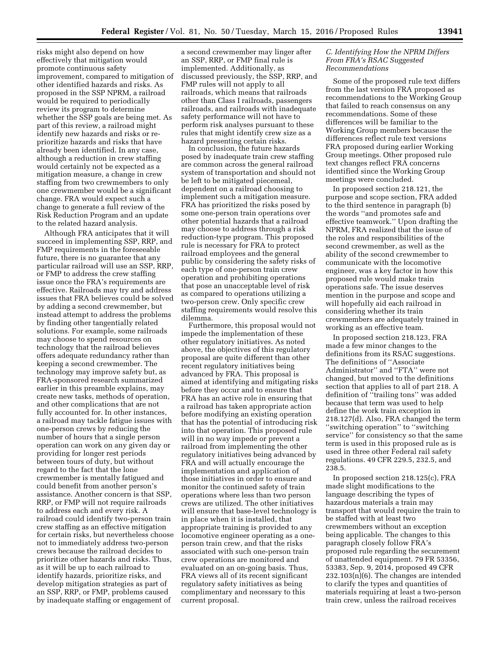risks might also depend on how effectively that mitigation would promote continuous safety improvement, compared to mitigation of other identified hazards and risks. As proposed in the SSP NPRM, a railroad would be required to periodically review its program to determine whether the SSP goals are being met. As part of this review, a railroad might identify new hazards and risks or reprioritize hazards and risks that have already been identified. In any case, although a reduction in crew staffing would certainly not be expected as a mitigation measure, a change in crew staffing from two crewmembers to only one crewmember would be a significant change. FRA would expect such a change to generate a full review of the Risk Reduction Program and an update to the related hazard analysis.

Although FRA anticipates that it will succeed in implementing SSP, RRP, and FMP requirements in the foreseeable future, there is no guarantee that any particular railroad will use an SSP, RRP, or FMP to address the crew staffing issue once the FRA's requirements are effective. Railroads may try and address issues that FRA believes could be solved by adding a second crewmember, but instead attempt to address the problems by finding other tangentially related solutions. For example, some railroads may choose to spend resources on technology that the railroad believes offers adequate redundancy rather than keeping a second crewmember. The technology may improve safety but, as FRA-sponsored research summarized earlier in this preamble explains, may create new tasks, methods of operation, and other complications that are not fully accounted for. In other instances, a railroad may tackle fatigue issues with one-person crews by reducing the number of hours that a single person operation can work on any given day or providing for longer rest periods between tours of duty, but without regard to the fact that the lone crewmember is mentally fatigued and could benefit from another person's assistance. Another concern is that SSP, RRP, or FMP will not require railroads to address each and every risk. A railroad could identify two-person train crew staffing as an effective mitigation for certain risks, but nevertheless choose not to immediately address two-person crews because the railroad decides to prioritize other hazards and risks. Thus, as it will be up to each railroad to identify hazards, prioritize risks, and develop mitigation strategies as part of an SSP, RRP, or FMP, problems caused by inadequate staffing or engagement of

a second crewmember may linger after an SSP, RRP, or FMP final rule is implemented. Additionally, as discussed previously, the SSP, RRP, and FMP rules will not apply to all railroads, which means that railroads other than Class I railroads, passengers railroads, and railroads with inadequate safety performance will not have to perform risk analyses pursuant to these rules that might identify crew size as a hazard presenting certain risks.

In conclusion, the future hazards posed by inadequate train crew staffing are common across the general railroad system of transportation and should not be left to be mitigated piecemeal, dependent on a railroad choosing to implement such a mitigation measure. FRA has prioritized the risks posed by some one-person train operations over other potential hazards that a railroad may choose to address through a risk reduction-type program. This proposed rule is necessary for FRA to protect railroad employees and the general public by considering the safety risks of each type of one-person train crew operation and prohibiting operations that pose an unacceptable level of risk as compared to operations utilizing a two-person crew. Only specific crew staffing requirements would resolve this dilemma.

Furthermore, this proposal would not impede the implementation of these other regulatory initiatives. As noted above, the objectives of this regulatory proposal are quite different than other recent regulatory initiatives being advanced by FRA. This proposal is aimed at identifying and mitigating risks before they occur and to ensure that FRA has an active role in ensuring that a railroad has taken appropriate action before modifying an existing operation that has the potential of introducing risk into that operation. This proposed rule will in no way impede or prevent a railroad from implementing the other regulatory initiatives being advanced by FRA and will actually encourage the implementation and application of those initiatives in order to ensure and monitor the continued safety of train operations where less than two person crews are utilized. The other initiatives will ensure that base-level technology is in place when it is installed, that appropriate training is provided to any locomotive engineer operating as a oneperson train crew, and that the risks associated with such one-person train crew operations are monitored and evaluated on an on-going basis. Thus, FRA views all of its recent significant regulatory safety initiatives as being complimentary and necessary to this current proposal.

#### *C. Identifying How the NPRM Differs From FRA's RSAC Suggested Recommendations*

Some of the proposed rule text differs from the last version FRA proposed as recommendations to the Working Group that failed to reach consensus on any recommendations. Some of these differences will be familiar to the Working Group members because the differences reflect rule text versions FRA proposed during earlier Working Group meetings. Other proposed rule text changes reflect FRA concerns identified since the Working Group meetings were concluded.

In proposed section 218.121, the purpose and scope section, FRA added to the third sentence in paragraph (b) the words ''and promotes safe and effective teamwork.'' Upon drafting the NPRM, FRA realized that the issue of the roles and responsibilities of the second crewmember, as well as the ability of the second crewmember to communicate with the locomotive engineer, was a key factor in how this proposed rule would make train operations safe. The issue deserves mention in the purpose and scope and will hopefully aid each railroad in considering whether its train crewmembers are adequately trained in working as an effective team.

In proposed section 218.123, FRA made a few minor changes to the definitions from its RSAC suggestions. The definitions of ''Associate Administrator'' and ''FTA'' were not changed, but moved to the definitions section that applies to all of part 218. A definition of ''trailing tons'' was added because that term was used to help define the work train exception in 218.127(d). Also, FRA changed the term ''switching operation'' to ''switching service'' for consistency so that the same term is used in this proposed rule as is used in three other Federal rail safety regulations. 49 CFR 229.5, 232.5, and 238.5.

In proposed section 218.125(c), FRA made slight modifications to the language describing the types of hazardous materials a train may transport that would require the train to be staffed with at least two crewmembers without an exception being applicable. The changes to this paragraph closely follow FRA's proposed rule regarding the securement of unattended equipment. 79 FR 53356, 53383, Sep. 9, 2014, proposed 49 CFR 232.103(n)(6). The changes are intended to clarify the types and quantities of materials requiring at least a two-person train crew, unless the railroad receives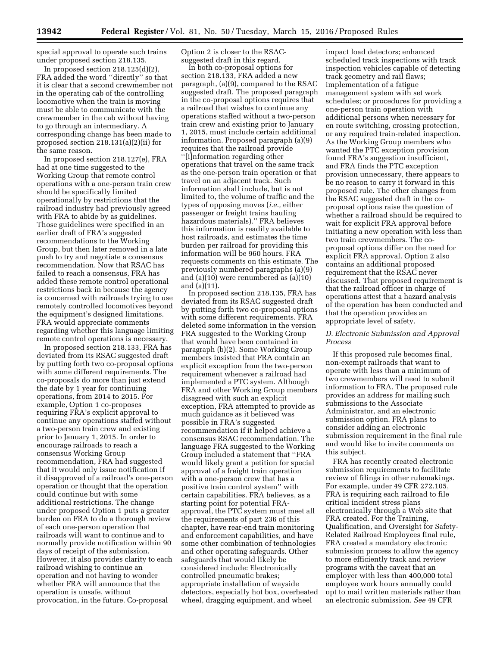special approval to operate such trains under proposed section 218.135.

In proposed section 218.125(d)(2), FRA added the word ''directly'' so that it is clear that a second crewmember not in the operating cab of the controlling locomotive when the train is moving must be able to communicate with the crewmember in the cab without having to go through an intermediary. A corresponding change has been made to proposed section 218.131(a)(2)(ii) for the same reason.

In proposed section 218.127(e), FRA had at one time suggested to the Working Group that remote control operations with a one-person train crew should be specifically limited operationally by restrictions that the railroad industry had previously agreed with FRA to abide by as guidelines. Those guidelines were specified in an earlier draft of FRA's suggested recommendations to the Working Group, but then later removed in a late push to try and negotiate a consensus recommendation. Now that RSAC has failed to reach a consensus, FRA has added these remote control operational restrictions back in because the agency is concerned with railroads trying to use remotely controlled locomotives beyond the equipment's designed limitations. FRA would appreciate comments regarding whether this language limiting remote control operations is necessary.

In proposed section 218.133, FRA has deviated from its RSAC suggested draft by putting forth two co-proposal options with some different requirements. The co-proposals do more than just extend the date by 1 year for continuing operations, from 2014 to 2015. For example, Option 1 co-proposes requiring FRA's explicit approval to continue any operations staffed without a two-person train crew and existing prior to January 1, 2015. In order to encourage railroads to reach a consensus Working Group recommendation, FRA had suggested that it would only issue notification if it disapproved of a railroad's one-person operation or thought that the operation could continue but with some additional restrictions. The change under proposed Option 1 puts a greater burden on FRA to do a thorough review of each one-person operation that railroads will want to continue and to normally provide notification within 90 days of receipt of the submission. However, it also provides clarity to each railroad wishing to continue an operation and not having to wonder whether FRA will announce that the operation is unsafe, without provocation, in the future. Co-proposal

Option 2 is closer to the RSACsuggested draft in this regard.

In both co-proposal options for section 218.133, FRA added a new paragraph, (a)(9), compared to the RSAC suggested draft. The proposed paragraph in the co-proposal options requires that a railroad that wishes to continue any operations staffed without a two-person train crew and existing prior to January 1, 2015, must include certain additional information. Proposed paragraph (a)(9) requires that the railroad provide ''[i]nformation regarding other operations that travel on the same track as the one-person train operation or that travel on an adjacent track. Such information shall include, but is not limited to, the volume of traffic and the types of opposing moves (*i.e.,* either passenger or freight trains hauling hazardous materials).'' FRA believes this information is readily available to host railroads, and estimates the time burden per railroad for providing this information will be 960 hours. FRA requests comments on this estimate. The previously numbered paragraphs (a)(9) and (a)(10) were renumbered as (a)(10) and (a)(11).

In proposed section 218.135, FRA has deviated from its RSAC suggested draft by putting forth two co-proposal options with some different requirements. FRA deleted some information in the version FRA suggested to the Working Group that would have been contained in paragraph (b)(2). Some Working Group members insisted that FRA contain an explicit exception from the two-person requirement whenever a railroad had implemented a PTC system. Although FRA and other Working Group members disagreed with such an explicit exception, FRA attempted to provide as much guidance as it believed was possible in FRA's suggested recommendation if it helped achieve a consensus RSAC recommendation. The language FRA suggested to the Working Group included a statement that ''FRA would likely grant a petition for special approval of a freight train operation with a one-person crew that has a positive train control system'' with certain capabilities. FRA believes, as a starting point for potential FRAapproval, the PTC system must meet all the requirements of part 236 of this chapter, have rear-end train monitoring and enforcement capabilities, and have some other combination of technologies and other operating safeguards. Other safeguards that would likely be considered include: Electronically controlled pneumatic brakes; appropriate installation of wayside detectors, especially hot box, overheated wheel, dragging equipment, and wheel

impact load detectors; enhanced scheduled track inspections with track inspection vehicles capable of detecting track geometry and rail flaws; implementation of a fatigue management system with set work schedules; or procedures for providing a one-person train operation with additional persons when necessary for en route switching, crossing protection, or any required train-related inspection. As the Working Group members who wanted the PTC exception provision found FRA's suggestion insufficient, and FRA finds the PTC exception provision unnecessary, there appears to be no reason to carry it forward in this proposed rule. The other changes from the RSAC suggested draft in the coproposal options raise the question of whether a railroad should be required to wait for explicit FRA approval before initiating a new operation with less than two train crewmembers. The coproposal options differ on the need for explicit FRA approval. Option 2 also contains an additional proposed requirement that the RSAC never discussed. That proposed requirement is that the railroad officer in charge of operations attest that a hazard analysis of the operation has been conducted and that the operation provides an appropriate level of safety.

# *D. Electronic Submission and Approval Process*

If this proposed rule becomes final, non-exempt railroads that want to operate with less than a minimum of two crewmembers will need to submit information to FRA. The proposed rule provides an address for mailing such submissions to the Associate Administrator, and an electronic submission option. FRA plans to consider adding an electronic submission requirement in the final rule and would like to invite comments on this subject.

FRA has recently created electronic submission requirements to facilitate review of filings in other rulemakings. For example, under 49 CFR 272.105, FRA is requiring each railroad to file critical incident stress plans electronically through a Web site that FRA created. For the Training, Qualification, and Oversight for Safety-Related Railroad Employees final rule, FRA created a mandatory electronic submission process to allow the agency to more efficiently track and review programs with the caveat that an employer with less than 400,000 total employee work hours annually could opt to mail written materials rather than an electronic submission. *See* 49 CFR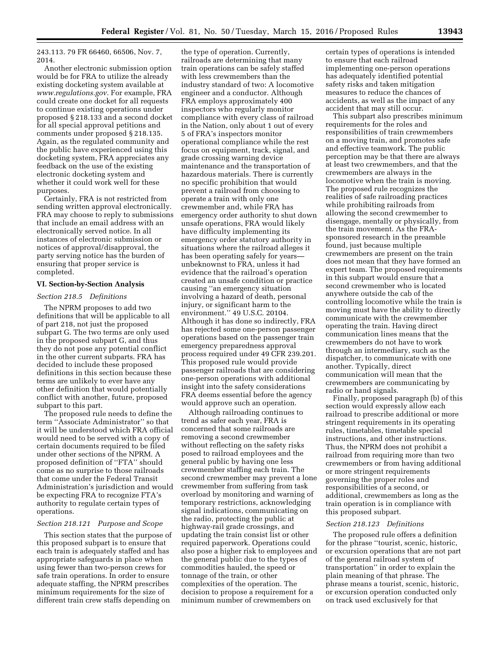243.113. 79 FR 66460, 66506, Nov. 7, 2014.

Another electronic submission option would be for FRA to utilize the already existing docketing system available at *[www.regulations.gov.](http://www.regulations.gov)* For example, FRA could create one docket for all requests to continue existing operations under proposed § 218.133 and a second docket for all special approval petitions and comments under proposed § 218.135. Again, as the regulated community and the public have experienced using this docketing system, FRA appreciates any feedback on the use of the existing electronic docketing system and whether it could work well for these purposes.

Certainly, FRA is not restricted from sending written approval electronically. FRA may choose to reply to submissions that include an email address with an electronically served notice. In all instances of electronic submission or notices of approval/disapproval, the party serving notice has the burden of ensuring that proper service is completed.

#### **VI. Section-by-Section Analysis**

#### *Section 218.5 Definitions*

The NPRM proposes to add two definitions that will be applicable to all of part 218, not just the proposed subpart G. The two terms are only used in the proposed subpart G, and thus they do not pose any potential conflict in the other current subparts. FRA has decided to include these proposed definitions in this section because these terms are unlikely to ever have any other definition that would potentially conflict with another, future, proposed subpart to this part.

The proposed rule needs to define the term ''Associate Administrator'' so that it will be understood which FRA official would need to be served with a copy of certain documents required to be filed under other sections of the NPRM. A proposed definition of ''FTA'' should come as no surprise to those railroads that come under the Federal Transit Administration's jurisdiction and would be expecting FRA to recognize FTA's authority to regulate certain types of operations.

# *Section 218.121 Purpose and Scope*

This section states that the purpose of this proposed subpart is to ensure that each train is adequately staffed and has appropriate safeguards in place when using fewer than two-person crews for safe train operations. In order to ensure adequate staffing, the NPRM prescribes minimum requirements for the size of different train crew staffs depending on

the type of operation. Currently, railroads are determining that many train operations can be safely staffed with less crewmembers than the industry standard of two: A locomotive engineer and a conductor. Although FRA employs approximately 400 inspectors who regularly monitor compliance with every class of railroad in the Nation, only about 1 out of every 5 of FRA's inspectors monitor operational compliance while the rest focus on equipment, track, signal, and grade crossing warning device maintenance and the transportation of hazardous materials. There is currently no specific prohibition that would prevent a railroad from choosing to operate a train with only one crewmember and, while FRA has emergency order authority to shut down unsafe operations, FRA would likely have difficulty implementing its emergency order statutory authority in situations where the railroad alleges it has been operating safely for years unbeknownst to FRA, unless it had evidence that the railroad's operation created an unsafe condition or practice causing ''an emergency situation involving a hazard of death, personal injury, or significant harm to the environment.'' 49 U.S.C. 20104. Although it has done so indirectly, FRA has rejected some one-person passenger operations based on the passenger train emergency preparedness approval process required under 49 CFR 239.201. This proposed rule would provide passenger railroads that are considering one-person operations with additional insight into the safety considerations FRA deems essential before the agency would approve such an operation.

Although railroading continues to trend as safer each year, FRA is concerned that some railroads are removing a second crewmember without reflecting on the safety risks posed to railroad employees and the general public by having one less crewmember staffing each train. The second crewmember may prevent a lone crewmember from suffering from task overload by monitoring and warning of temporary restrictions, acknowledging signal indications, communicating on the radio, protecting the public at highway-rail grade crossings, and updating the train consist list or other required paperwork. Operations could also pose a higher risk to employees and the general public due to the types of commodities hauled, the speed or tonnage of the train, or other complexities of the operation. The decision to propose a requirement for a minimum number of crewmembers on

certain types of operations is intended to ensure that each railroad implementing one-person operations has adequately identified potential safety risks and taken mitigation measures to reduce the chances of accidents, as well as the impact of any accident that may still occur.

This subpart also prescribes minimum requirements for the roles and responsibilities of train crewmembers on a moving train, and promotes safe and effective teamwork. The public perception may be that there are always at least two crewmembers, and that the crewmembers are always in the locomotive when the train is moving. The proposed rule recognizes the realities of safe railroading practices while prohibiting railroads from allowing the second crewmember to disengage, mentally or physically, from the train movement. As the FRAsponsored research in the preamble found, just because multiple crewmembers are present on the train does not mean that they have formed an expert team. The proposed requirements in this subpart would ensure that a second crewmember who is located anywhere outside the cab of the controlling locomotive while the train is moving must have the ability to directly communicate with the crewmember operating the train. Having direct communication lines means that the crewmembers do not have to work through an intermediary, such as the dispatcher, to communicate with one another. Typically, direct communication will mean that the crewmembers are communicating by radio or hand signals.

Finally, proposed paragraph (b) of this section would expressly allow each railroad to prescribe additional or more stringent requirements in its operating rules, timetables, timetable special instructions, and other instructions. Thus, the NPRM does not prohibit a railroad from requiring more than two crewmembers or from having additional or more stringent requirements governing the proper roles and responsibilities of a second, or additional, crewmembers as long as the train operation is in compliance with this proposed subpart.

#### *Section 218.123 Definitions*

The proposed rule offers a definition for the phrase ''tourist, scenic, historic, or excursion operations that are not part of the general railroad system of transportation'' in order to explain the plain meaning of that phrase. The phrase means a tourist, scenic, historic, or excursion operation conducted only on track used exclusively for that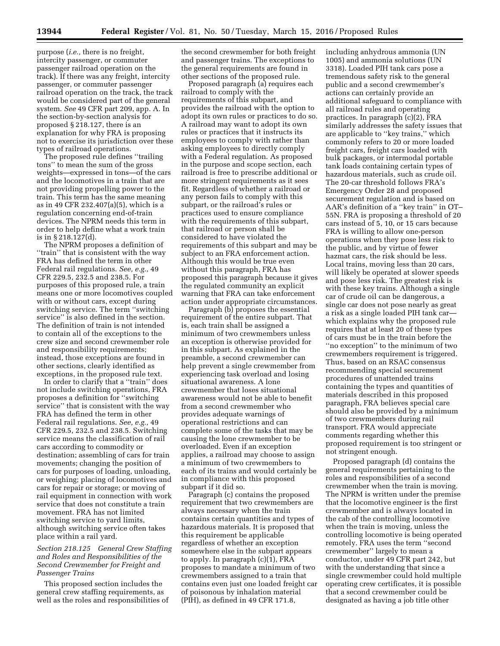purpose (*i.e.,* there is no freight, intercity passenger, or commuter passenger railroad operation on the track). If there was any freight, intercity passenger, or commuter passenger railroad operation on the track, the track would be considered part of the general system. *See* 49 CFR part 209, app. A. In the section-by-section analysis for proposed § 218.127, there is an explanation for why FRA is proposing not to exercise its jurisdiction over these types of railroad operations.

The proposed rule defines ''trailing tons'' to mean the sum of the gross weights—expressed in tons—of the cars and the locomotives in a train that are not providing propelling power to the train. This term has the same meaning as in 49 CFR 232.407(a)(5), which is a regulation concerning end-of-train devices. The NPRM needs this term in order to help define what a work train is in § 218.127(d).

The NPRM proposes a definition of ''train'' that is consistent with the way FRA has defined the term in other Federal rail regulations. *See, e.g.,* 49 CFR 229.5, 232.5 and 238.5. For purposes of this proposed rule, a train means one or more locomotives coupled with or without cars, except during switching service. The term ''switching service'' is also defined in the section. The definition of train is not intended to contain all of the exceptions to the crew size and second crewmember role and responsibility requirements; instead, those exceptions are found in other sections, clearly identified as exceptions, in the proposed rule text.

In order to clarify that a ''train'' does not include switching operations, FRA proposes a definition for ''switching service'' that is consistent with the way FRA has defined the term in other Federal rail regulations. *See, e.g.,* 49 CFR 229.5, 232.5 and 238.5. Switching service means the classification of rail cars according to commodity or destination; assembling of cars for train movements; changing the position of cars for purposes of loading, unloading, or weighing; placing of locomotives and cars for repair or storage; or moving of rail equipment in connection with work service that does not constitute a train movement. FRA has not limited switching service to yard limits, although switching service often takes place within a rail yard.

# *Section 218.125 General Crew Staffing and Roles and Responsibilities of the Second Crewmember for Freight and Passenger Trains*

This proposed section includes the general crew staffing requirements, as well as the roles and responsibilities of the second crewmember for both freight and passenger trains. The exceptions to the general requirements are found in other sections of the proposed rule.

Proposed paragraph (a) requires each railroad to comply with the requirements of this subpart, and provides the railroad with the option to adopt its own rules or practices to do so. A railroad may want to adopt its own rules or practices that it instructs its employees to comply with rather than asking employees to directly comply with a Federal regulation. As proposed in the purpose and scope section, each railroad is free to prescribe additional or more stringent requirements as it sees fit. Regardless of whether a railroad or any person fails to comply with this subpart, or the railroad's rules or practices used to ensure compliance with the requirements of this subpart, that railroad or person shall be considered to have violated the requirements of this subpart and may be subject to an FRA enforcement action. Although this would be true even without this paragraph, FRA has proposed this paragraph because it gives the regulated community an explicit warning that FRA can take enforcement action under appropriate circumstances.

Paragraph (b) proposes the essential requirement of the entire subpart. That is, each train shall be assigned a minimum of two crewmembers unless an exception is otherwise provided for in this subpart. As explained in the preamble, a second crewmember can help prevent a single crewmember from experiencing task overload and losing situational awareness. A lone crewmember that loses situational awareness would not be able to benefit from a second crewmember who provides adequate warnings of operational restrictions and can complete some of the tasks that may be causing the lone crewmember to be overloaded. Even if an exception applies, a railroad may choose to assign a minimum of two crewmembers to each of its trains and would certainly be in compliance with this proposed subpart if it did so.

Paragraph (c) contains the proposed requirement that two crewmembers are always necessary when the train contains certain quantities and types of hazardous materials. It is proposed that this requirement be applicable regardless of whether an exception somewhere else in the subpart appears to apply. In paragraph (c)(1), FRA proposes to mandate a minimum of two crewmembers assigned to a train that contains even just one loaded freight car of poisonous by inhalation material (PIH), as defined in 49 CFR 171.8,

including anhydrous ammonia (UN 1005) and ammonia solutions (UN 3318). Loaded PIH tank cars pose a tremendous safety risk to the general public and a second crewmember's actions can certainly provide an additional safeguard to compliance with all railroad rules and operating practices. In paragraph (c)(2), FRA similarly addresses the safety issues that are applicable to ''key trains,'' which commonly refers to 20 or more loaded freight cars, freight cars loaded with bulk packages, or intermodal portable tank loads containing certain types of hazardous materials, such as crude oil. The 20-car threshold follows FRA's Emergency Order 28 and proposed securement regulation and is based on AAR's definition of a ''key train'' in OT– 55N. FRA is proposing a threshold of 20 cars instead of 5, 10, or 15 cars because FRA is willing to allow one-person operations when they pose less risk to the public, and by virtue of fewer hazmat cars, the risk should be less. Local trains, moving less than 20 cars, will likely be operated at slower speeds and pose less risk. The greatest risk is with these key trains. Although a single car of crude oil can be dangerous, a single car does not pose nearly as great a risk as a single loaded PIH tank car which explains why the proposed rule requires that at least 20 of these types of cars must be in the train before the ''no exception'' to the minimum of two crewmembers requirement is triggered. Thus, based on an RSAC consensus recommending special securement procedures of unattended trains containing the types and quantities of materials described in this proposed paragraph, FRA believes special care should also be provided by a minimum of two crewmembers during rail transport. FRA would appreciate comments regarding whether this proposed requirement is too stringent or not stringent enough.

Proposed paragraph (d) contains the general requirements pertaining to the roles and responsibilities of a second crewmember when the train is moving. The NPRM is written under the premise that the locomotive engineer is the first crewmember and is always located in the cab of the controlling locomotive when the train is moving, unless the controlling locomotive is being operated remotely. FRA uses the term ''second crewmember'' largely to mean a conductor, under 49 CFR part 242, but with the understanding that since a single crewmember could hold multiple operating crew certificates, it is possible that a second crewmember could be designated as having a job title other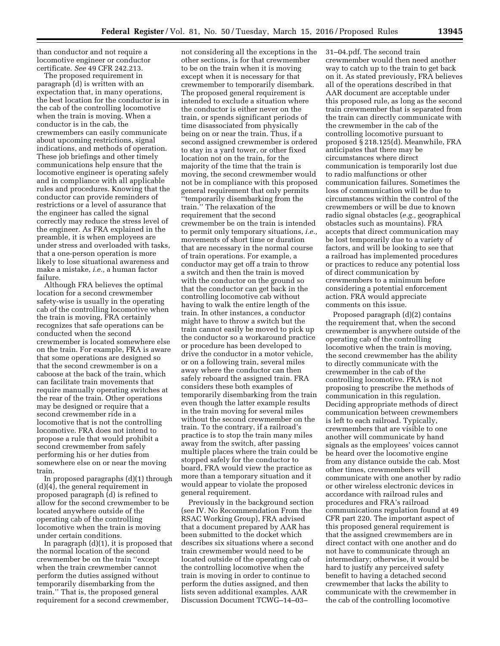than conductor and not require a locomotive engineer or conductor certificate. *See* 49 CFR 242.213.

The proposed requirement in paragraph (d) is written with an expectation that, in many operations, the best location for the conductor is in the cab of the controlling locomotive when the train is moving. When a conductor is in the cab, the crewmembers can easily communicate about upcoming restrictions, signal indications, and methods of operation. These job briefings and other timely communications help ensure that the locomotive engineer is operating safely and in compliance with all applicable rules and procedures. Knowing that the conductor can provide reminders of restrictions or a level of assurance that the engineer has called the signal correctly may reduce the stress level of the engineer. As FRA explained in the preamble, it is when employees are under stress and overloaded with tasks, that a one-person operation is more likely to lose situational awareness and make a mistake, *i.e.,* a human factor failure.

Although FRA believes the optimal location for a second crewmember safety-wise is usually in the operating cab of the controlling locomotive when the train is moving, FRA certainly recognizes that safe operations can be conducted when the second crewmember is located somewhere else on the train. For example, FRA is aware that some operations are designed so that the second crewmember is on a caboose at the back of the train, which can facilitate train movements that require manually operating switches at the rear of the train. Other operations may be designed or require that a second crewmember ride in a locomotive that is not the controlling locomotive. FRA does not intend to propose a rule that would prohibit a second crewmember from safely performing his or her duties from somewhere else on or near the moving train.

In proposed paragraphs (d)(1) through (d)(4), the general requirement in proposed paragraph (d) is refined to allow for the second crewmember to be located anywhere outside of the operating cab of the controlling locomotive when the train is moving under certain conditions.

In paragraph (d)(1), it is proposed that the normal location of the second crewmember be on the train ''except when the train crewmember cannot perform the duties assigned without temporarily disembarking from the train.'' That is, the proposed general requirement for a second crewmember,

not considering all the exceptions in the other sections, is for that crewmember to be on the train when it is moving except when it is necessary for that crewmember to temporarily disembark. The proposed general requirement is intended to exclude a situation where the conductor is either never on the train, or spends significant periods of time disassociated from physically being on or near the train. Thus, if a second assigned crewmember is ordered to stay in a yard tower, or other fixed location not on the train, for the majority of the time that the train is moving, the second crewmember would not be in compliance with this proposed general requirement that only permits ''temporarily disembarking from the train.'' The relaxation of the requirement that the second crewmember be on the train is intended to permit only temporary situations, *i.e.,*  movements of short time or duration that are necessary in the normal course of train operations. For example, a conductor may get off a train to throw a switch and then the train is moved with the conductor on the ground so that the conductor can get back in the controlling locomotive cab without having to walk the entire length of the train. In other instances, a conductor might have to throw a switch but the train cannot easily be moved to pick up the conductor so a workaround practice or procedure has been developed to drive the conductor in a motor vehicle, or on a following train, several miles away where the conductor can then safely reboard the assigned train. FRA considers these both examples of temporarily disembarking from the train even though the latter example results in the train moving for several miles without the second crewmember on the train. To the contrary, if a railroad's practice is to stop the train many miles away from the switch, after passing multiple places where the train could be stopped safely for the conductor to board, FRA would view the practice as more than a temporary situation and it would appear to violate the proposed general requirement.

Previously in the background section (see IV. No Recommendation From the RSAC Working Group), FRA advised that a document prepared by AAR has been submitted to the docket which describes six situations where a second train crewmember would need to be located outside of the operating cab of the controlling locomotive when the train is moving in order to continue to perform the duties assigned, and then lists seven additional examples. AAR Discussion Document TCWG–14–03–

31–04.pdf. The second train crewmember would then need another way to catch up to the train to get back on it. As stated previously, FRA believes all of the operations described in that AAR document are acceptable under this proposed rule, as long as the second train crewmember that is separated from the train can directly communicate with the crewmember in the cab of the controlling locomotive pursuant to proposed § 218.125(d). Meanwhile, FRA anticipates that there may be circumstances where direct communication is temporarily lost due to radio malfunctions or other communication failures. Sometimes the loss of communication will be due to circumstances within the control of the crewmembers or will be due to known radio signal obstacles (*e.g.,* geographical obstacles such as mountains). FRA accepts that direct communication may be lost temporarily due to a variety of factors, and will be looking to see that a railroad has implemented procedures or practices to reduce any potential loss of direct communication by crewmembers to a minimum before considering a potential enforcement action. FRA would appreciate comments on this issue.

Proposed paragraph (d)(2) contains the requirement that, when the second crewmember is anywhere outside of the operating cab of the controlling locomotive when the train is moving, the second crewmember has the ability to directly communicate with the crewmember in the cab of the controlling locomotive. FRA is not proposing to prescribe the methods of communication in this regulation. Deciding appropriate methods of direct communication between crewmembers is left to each railroad. Typically, crewmembers that are visible to one another will communicate by hand signals as the employees' voices cannot be heard over the locomotive engine from any distance outside the cab. Most other times, crewmembers will communicate with one another by radio or other wireless electronic devices in accordance with railroad rules and procedures and FRA's railroad communications regulation found at 49 CFR part 220. The important aspect of this proposed general requirement is that the assigned crewmembers are in direct contact with one another and do not have to communicate through an intermediary; otherwise, it would be hard to justify any perceived safety benefit to having a detached second crewmember that lacks the ability to communicate with the crewmember in the cab of the controlling locomotive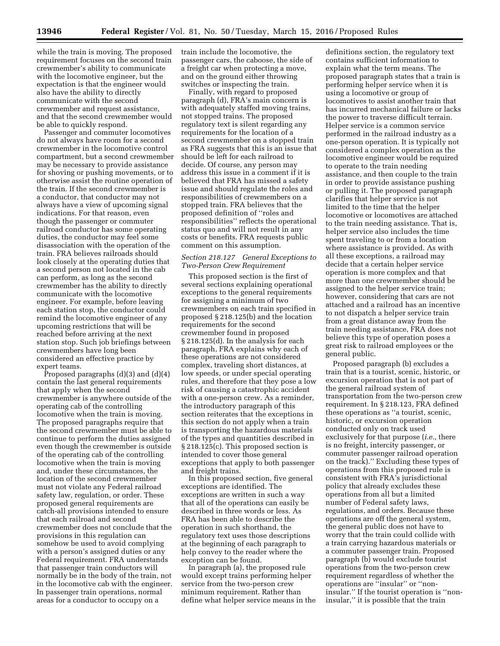while the train is moving. The proposed requirement focuses on the second train crewmember's ability to communicate with the locomotive engineer, but the expectation is that the engineer would also have the ability to directly communicate with the second crewmember and request assistance, and that the second crewmember would be able to quickly respond.

Passenger and commuter locomotives do not always have room for a second crewmember in the locomotive control compartment, but a second crewmember may be necessary to provide assistance for shoving or pushing movements, or to otherwise assist the routine operation of the train. If the second crewmember is a conductor, that conductor may not always have a view of upcoming signal indications. For that reason, even though the passenger or commuter railroad conductor has some operating duties, the conductor may feel some disassociation with the operation of the train. FRA believes railroads should look closely at the operating duties that a second person not located in the cab can perform, as long as the second crewmember has the ability to directly communicate with the locomotive engineer. For example, before leaving each station stop, the conductor could remind the locomotive engineer of any upcoming restrictions that will be reached before arriving at the next station stop. Such job briefings between crewmembers have long been considered an effective practice by expert teams.

Proposed paragraphs (d)(3) and (d)(4) contain the last general requirements that apply when the second crewmember is anywhere outside of the operating cab of the controlling locomotive when the train is moving. The proposed paragraphs require that the second crewmember must be able to continue to perform the duties assigned even though the crewmember is outside of the operating cab of the controlling locomotive when the train is moving and, under these circumstances, the location of the second crewmember must not violate any Federal railroad safety law, regulation, or order. These proposed general requirements are catch-all provisions intended to ensure that each railroad and second crewmember does not conclude that the provisions in this regulation can somehow be used to avoid complying with a person's assigned duties or any Federal requirement. FRA understands that passenger train conductors will normally be in the body of the train, not in the locomotive cab with the engineer. In passenger train operations, normal areas for a conductor to occupy on a

train include the locomotive, the passenger cars, the caboose, the side of a freight car when protecting a move, and on the ground either throwing switches or inspecting the train.

Finally, with regard to proposed paragraph (d), FRA's main concern is with adequately staffed moving trains, not stopped trains. The proposed regulatory text is silent regarding any requirements for the location of a second crewmember on a stopped train as FRA suggests that this is an issue that should be left for each railroad to decide. Of course, any person may address this issue in a comment if it is believed that FRA has missed a safety issue and should regulate the roles and responsibilities of crewmembers on a stopped train. FRA believes that the proposed definition of ''roles and responsibilities'' reflects the operational status quo and will not result in any costs or benefits. FRA requests public comment on this assumption.

# *Section 218.127 General Exceptions to Two-Person Crew Requirement*

This proposed section is the first of several sections explaining operational exceptions to the general requirements for assigning a minimum of two crewmembers on each train specified in proposed § 218.125(b) and the location requirements for the second crewmember found in proposed § 218.125(d). In the analysis for each paragraph, FRA explains why each of these operations are not considered complex, traveling short distances, at low speeds, or under special operating rules, and therefore that they pose a low risk of causing a catastrophic accident with a one-person crew. As a reminder, the introductory paragraph of this section reiterates that the exceptions in this section do not apply when a train is transporting the hazardous materials of the types and quantities described in § 218.125(c). This proposed section is intended to cover those general exceptions that apply to both passenger and freight trains.

In this proposed section, five general exceptions are identified. The exceptions are written in such a way that all of the operations can easily be described in three words or less. As FRA has been able to describe the operation in such shorthand, the regulatory text uses those descriptions at the beginning of each paragraph to help convey to the reader where the exception can be found.

In paragraph (a), the proposed rule would except trains performing helper service from the two-person crew minimum requirement. Rather than define what helper service means in the

definitions section, the regulatory text contains sufficient information to explain what the term means. The proposed paragraph states that a train is performing helper service when it is using a locomotive or group of locomotives to assist another train that has incurred mechanical failure or lacks the power to traverse difficult terrain. Helper service is a common service performed in the railroad industry as a one-person operation. It is typically not considered a complex operation as the locomotive engineer would be required to operate to the train needing assistance, and then couple to the train in order to provide assistance pushing or pulling it. The proposed paragraph clarifies that helper service is not limited to the time that the helper locomotive or locomotives are attached to the train needing assistance. That is, helper service also includes the time spent traveling to or from a location where assistance is provided. As with all these exceptions, a railroad may decide that a certain helper service operation is more complex and that more than one crewmember should be assigned to the helper service train; however, considering that cars are not attached and a railroad has an incentive to not dispatch a helper service train from a great distance away from the train needing assistance, FRA does not believe this type of operation poses a great risk to railroad employees or the general public.

Proposed paragraph (b) excludes a train that is a tourist, scenic, historic, or excursion operation that is not part of the general railroad system of transportation from the two-person crew requirement. In § 218.123, FRA defined these operations as ''a tourist, scenic, historic, or excursion operation conducted only on track used exclusively for that purpose (*i.e.,* there is no freight, intercity passenger, or commuter passenger railroad operation on the track).'' Excluding these types of operations from this proposed rule is consistent with FRA's jurisdictional policy that already excludes these operations from all but a limited number of Federal safety laws, regulations, and orders. Because these operations are off the general system, the general public does not have to worry that the train could collide with a train carrying hazardous materials or a commuter passenger train. Proposed paragraph (b) would exclude tourist operations from the two-person crew requirement regardless of whether the operations are ''insular'' or ''noninsular.'' If the tourist operation is ''noninsular,'' it is possible that the train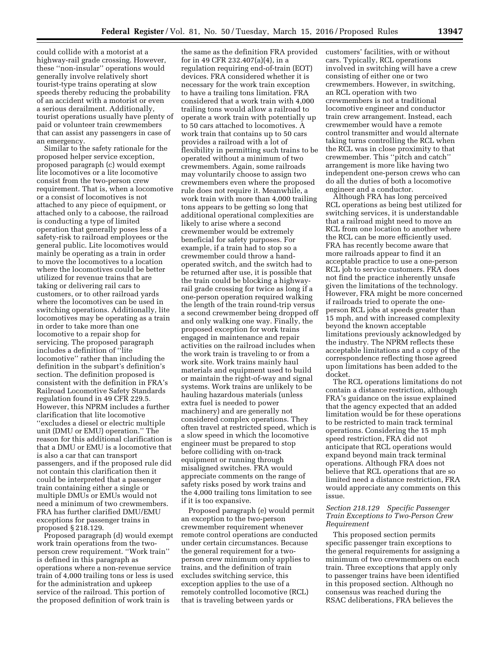could collide with a motorist at a highway-rail grade crossing. However, these ''non-insular'' operations would generally involve relatively short tourist-type trains operating at slow speeds thereby reducing the probability of an accident with a motorist or even a serious derailment. Additionally, tourist operations usually have plenty of paid or volunteer train crewmembers that can assist any passengers in case of an emergency.

Similar to the safety rationale for the proposed helper service exception, proposed paragraph (c) would exempt lite locomotives or a lite locomotive consist from the two-person crew requirement. That is, when a locomotive or a consist of locomotives is not attached to any piece of equipment, or attached only to a caboose, the railroad is conducting a type of limited operation that generally poses less of a safety-risk to railroad employees or the general public. Lite locomotives would mainly be operating as a train in order to move the locomotives to a location where the locomotives could be better utilized for revenue trains that are taking or delivering rail cars to customers, or to other railroad yards where the locomotives can be used in switching operations. Additionally, lite locomotives may be operating as a train in order to take more than one locomotive to a repair shop for servicing. The proposed paragraph includes a definition of ''lite locomotive'' rather than including the definition in the subpart's definition's section. The definition proposed is consistent with the definition in FRA's Railroad Locomotive Safety Standards regulation found in 49 CFR 229.5. However, this NPRM includes a further clarification that lite locomotive ''excludes a diesel or electric multiple unit (DMU or EMU) operation.'' The reason for this additional clarification is that a DMU or EMU is a locomotive that is also a car that can transport passengers, and if the proposed rule did not contain this clarification then it could be interpreted that a passenger train containing either a single or multiple DMUs or EMUs would not need a minimum of two crewmembers. FRA has further clarified DMU/EMU exceptions for passenger trains in proposed § 218.129.

Proposed paragraph (d) would exempt work train operations from the twoperson crew requirement. ''Work train'' is defined in this paragraph as operations where a non-revenue service train of 4,000 trailing tons or less is used for the administration and upkeep service of the railroad. This portion of the proposed definition of work train is

the same as the definition FRA provided for in 49 CFR 232.407(a)(4), in a regulation requiring end-of-train (EOT) devices. FRA considered whether it is necessary for the work train exception to have a trailing tons limitation. FRA considered that a work train with 4,000 trailing tons would allow a railroad to operate a work train with potentially up to 50 cars attached to locomotives. A work train that contains up to 50 cars provides a railroad with a lot of flexibility in permitting such trains to be operated without a minimum of two crewmembers. Again, some railroads may voluntarily choose to assign two crewmembers even where the proposed rule does not require it. Meanwhile, a work train with more than 4,000 trailing tons appears to be getting so long that additional operational complexities are likely to arise where a second crewmember would be extremely beneficial for safety purposes. For example, if a train had to stop so a crewmember could throw a handoperated switch, and the switch had to be returned after use, it is possible that the train could be blocking a highwayrail grade crossing for twice as long if a one-person operation required walking the length of the train round-trip versus a second crewmember being dropped off and only walking one way. Finally, the proposed exception for work trains engaged in maintenance and repair activities on the railroad includes when the work train is traveling to or from a work site. Work trains mainly haul materials and equipment used to build or maintain the right-of-way and signal systems. Work trains are unlikely to be hauling hazardous materials (unless extra fuel is needed to power machinery) and are generally not considered complex operations. They often travel at restricted speed, which is a slow speed in which the locomotive engineer must be prepared to stop before colliding with on-track equipment or running through misaligned switches. FRA would appreciate comments on the range of safety risks posed by work trains and the 4,000 trailing tons limitation to see if it is too expansive.

Proposed paragraph (e) would permit an exception to the two-person crewmember requirement whenever remote control operations are conducted under certain circumstances. Because the general requirement for a twoperson crew minimum only applies to trains, and the definition of train excludes switching service, this exception applies to the use of a remotely controlled locomotive (RCL) that is traveling between yards or

customers' facilities, with or without cars. Typically, RCL operations involved in switching will have a crew consisting of either one or two crewmembers. However, in switching, an RCL operation with two crewmembers is not a traditional locomotive engineer and conductor train crew arrangement. Instead, each crewmember would have a remote control transmitter and would alternate taking turns controlling the RCL when the RCL was in close proximity to that crewmember. This ''pitch and catch'' arrangement is more like having two independent one-person crews who can do all the duties of both a locomotive engineer and a conductor.

Although FRA has long perceived RCL operations as being best utilized for switching services, it is understandable that a railroad might need to move an RCL from one location to another where the RCL can be more efficiently used. FRA has recently become aware that more railroads appear to find it an acceptable practice to use a one-person RCL job to service customers. FRA does not find the practice inherently unsafe given the limitations of the technology. However, FRA might be more concerned if railroads tried to operate the oneperson RCL jobs at speeds greater than 15 mph, and with increased complexity beyond the known acceptable limitations previously acknowledged by the industry. The NPRM reflects these acceptable limitations and a copy of the correspondence reflecting those agreed upon limitations has been added to the docket.

The RCL operations limitations do not contain a distance restriction, although FRA's guidance on the issue explained that the agency expected that an added limitation would be for these operations to be restricted to main track terminal operations. Considering the 15 mph speed restriction, FRA did not anticipate that RCL operations would expand beyond main track terminal operations. Although FRA does not believe that RCL operations that are so limited need a distance restriction, FRA would appreciate any comments on this issue.

# *Section 218.129 Specific Passenger Train Exceptions to Two-Person Crew Requirement*

This proposed section permits specific passenger train exceptions to the general requirements for assigning a minimum of two crewmembers on each train. Three exceptions that apply only to passenger trains have been identified in this proposed section. Although no consensus was reached during the RSAC deliberations, FRA believes the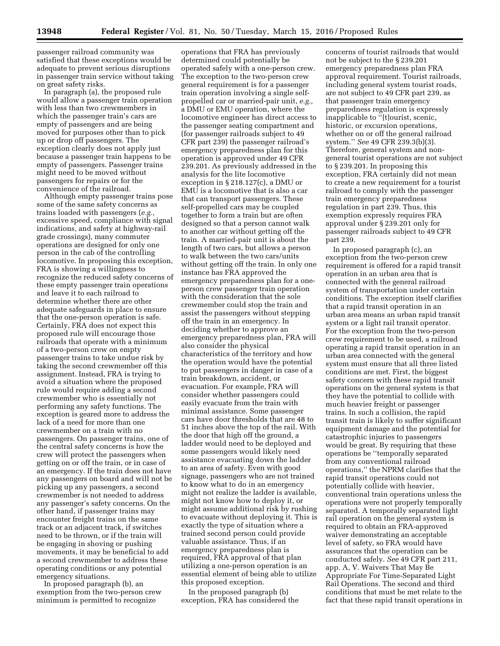passenger railroad community was satisfied that these exceptions would be adequate to prevent serious disruptions in passenger train service without taking on great safety risks.

In paragraph (a), the proposed rule would allow a passenger train operation with less than two crewmembers in which the passenger train's cars are empty of passengers and are being moved for purposes other than to pick up or drop off passengers. The exception clearly does not apply just because a passenger train happens to be empty of passengers. Passenger trains might need to be moved without passengers for repairs or for the convenience of the railroad.

Although empty passenger trains pose some of the same safety concerns as trains loaded with passengers (*e.g.,*  excessive speed, compliance with signal indications, and safety at highway-rail grade crossings), many commuter operations are designed for only one person in the cab of the controlling locomotive. In proposing this exception, FRA is showing a willingness to recognize the reduced safety concerns of these empty passenger train operations and leave it to each railroad to determine whether there are other adequate safeguards in place to ensure that the one-person operation is safe. Certainly, FRA does not expect this proposed rule will encourage those railroads that operate with a minimum of a two-person crew on empty passenger trains to take undue risk by taking the second crewmember off this assignment. Instead, FRA is trying to avoid a situation where the proposed rule would require adding a second crewmember who is essentially not performing any safety functions. The exception is geared more to address the lack of a need for more than one crewmember on a train with no passengers. On passenger trains, one of the central safety concerns is how the crew will protect the passengers when getting on or off the train, or in case of an emergency. If the train does not have any passengers on board and will not be picking up any passengers, a second crewmember is not needed to address any passenger's safety concerns. On the other hand, if passenger trains may encounter freight trains on the same track or an adjacent track, if switches need to be thrown, or if the train will be engaging in shoving or pushing movements, it may be beneficial to add a second crewmember to address these operating conditions or any potential emergency situations.

In proposed paragraph (b), an exemption from the two-person crew minimum is permitted to recognize

operations that FRA has previously determined could potentially be operated safely with a one-person crew. The exception to the two-person crew general requirement is for a passenger train operation involving a single selfpropelled car or married-pair unit, *e.g.,*  a DMU or EMU operation, where the locomotive engineer has direct access to the passenger seating compartment and (for passenger railroads subject to 49 CFR part 239) the passenger railroad's emergency preparedness plan for this operation is approved under 49 CFR 239.201. As previously addressed in the analysis for the lite locomotive exception in § 218.127(c), a DMU or EMU is a locomotive that is also a car that can transport passengers. These self-propelled cars may be coupled together to form a train but are often designed so that a person cannot walk to another car without getting off the train. A married-pair unit is about the length of two cars, but allows a person to walk between the two cars/units without getting off the train. In only one instance has FRA approved the emergency preparedness plan for a oneperson crew passenger train operation with the consideration that the sole crewmember could stop the train and assist the passengers without stepping off the train in an emergency. In deciding whether to approve an emergency preparedness plan, FRA will also consider the physical characteristics of the territory and how the operation would have the potential to put passengers in danger in case of a train breakdown, accident, or evacuation. For example, FRA will consider whether passengers could easily evacuate from the train with minimal assistance. Some passenger cars have door thresholds that are 48 to 51 inches above the top of the rail. With the door that high off the ground, a ladder would need to be deployed and some passengers would likely need assistance evacuating down the ladder to an area of safety. Even with good signage, passengers who are not trained to know what to do in an emergency might not realize the ladder is available, might not know how to deploy it, or might assume additional risk by rushing to evacuate without deploying it. This is exactly the type of situation where a trained second person could provide valuable assistance. Thus, if an emergency preparedness plan is required, FRA approval of that plan utilizing a one-person operation is an essential element of being able to utilize this proposed exception.

In the proposed paragraph (b) exception, FRA has considered the concerns of tourist railroads that would not be subject to the § 239.201 emergency preparedness plan FRA approval requirement. Tourist railroads, including general system tourist roads, are not subject to 49 CFR part 239, as that passenger train emergency preparedness regulation is expressly inapplicable to ''[t]ourist, scenic, historic, or excursion operations, whether on or off the general railroad system.'' *See* 49 CFR 239.3(b)(3). Therefore, general system and nongeneral tourist operations are not subject to § 239.201. In proposing this exception, FRA certainly did not mean to create a new requirement for a tourist railroad to comply with the passenger train emergency preparedness regulation in part 239. Thus, this exemption expressly requires FRA approval under § 239.201 only for passenger railroads subject to 49 CFR part 239.

In proposed paragraph (c), an exception from the two-person crew requirement is offered for a rapid transit operation in an urban area that is connected with the general railroad system of transportation under certain conditions. The exception itself clarifies that a rapid transit operation in an urban area means an urban rapid transit system or a light rail transit operator. For the exception from the two-person crew requirement to be used, a railroad operating a rapid transit operation in an urban area connected with the general system must ensure that all three listed conditions are met. First, the biggest safety concern with these rapid transit operations on the general system is that they have the potential to collide with much heavier freight or passenger trains. In such a collision, the rapid transit train is likely to suffer significant equipment damage and the potential for catastrophic injuries to passengers would be great. By requiring that these operations be ''temporally separated from any conventional railroad operations,'' the NPRM clarifies that the rapid transit operations could not potentially collide with heavier, conventional train operations unless the operations were not properly temporally separated. A temporally separated light rail operation on the general system is required to obtain an FRA-approved waiver demonstrating an acceptable level of safety, so FRA would have assurances that the operation can be conducted safely. *See* 49 CFR part 211, app. A, V. Waivers That May Be Appropriate For Time-Separated Light Rail Operations. The second and third conditions that must be met relate to the fact that these rapid transit operations in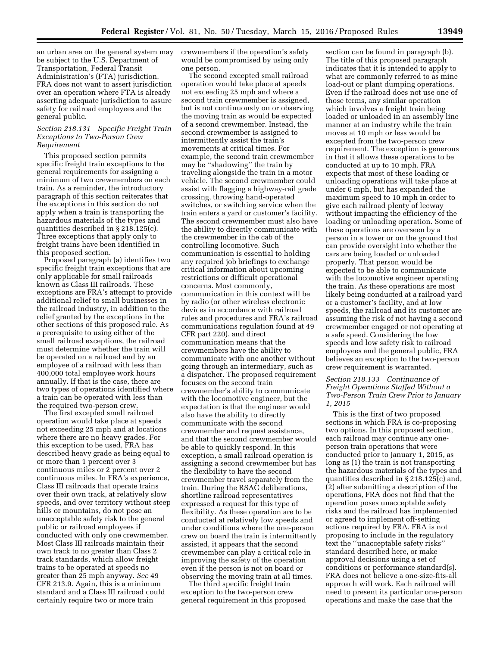an urban area on the general system may be subject to the U.S. Department of Transportation, Federal Transit Administration's (FTA) jurisdiction. FRA does not want to assert jurisdiction over an operation where FTA is already asserting adequate jurisdiction to assure safety for railroad employees and the general public.

#### *Section 218.131 Specific Freight Train Exceptions to Two-Person Crew Requirement*

This proposed section permits specific freight train exceptions to the general requirements for assigning a minimum of two crewmembers on each train. As a reminder, the introductory paragraph of this section reiterates that the exceptions in this section do not apply when a train is transporting the hazardous materials of the types and quantities described in § 218.125(c). Three exceptions that apply only to freight trains have been identified in this proposed section.

Proposed paragraph (a) identifies two specific freight train exceptions that are only applicable for small railroads known as Class III railroads. These exceptions are FRA's attempt to provide additional relief to small businesses in the railroad industry, in addition to the relief granted by the exceptions in the other sections of this proposed rule. As a prerequisite to using either of the small railroad exceptions, the railroad must determine whether the train will be operated on a railroad and by an employee of a railroad with less than 400,000 total employee work hours annually. If that is the case, there are two types of operations identified where a train can be operated with less than the required two-person crew.

The first excepted small railroad operation would take place at speeds not exceeding 25 mph and at locations where there are no heavy grades. For this exception to be used, FRA has described heavy grade as being equal to or more than 1 percent over 3 continuous miles or 2 percent over 2 continuous miles. In FRA's experience, Class III railroads that operate trains over their own track, at relatively slow speeds, and over territory without steep hills or mountains, do not pose an unacceptable safety risk to the general public or railroad employees if conducted with only one crewmember. Most Class III railroads maintain their own track to no greater than Class 2 track standards, which allow freight trains to be operated at speeds no greater than 25 mph anyway. *See* 49 CFR 213.9. Again, this is a minimum standard and a Class III railroad could certainly require two or more train

crewmembers if the operation's safety would be compromised by using only one person.

The second excepted small railroad operation would take place at speeds not exceeding 25 mph and where a second train crewmember is assigned, but is not continuously on or observing the moving train as would be expected of a second crewmember. Instead, the second crewmember is assigned to intermittently assist the train's movements at critical times. For example, the second train crewmember may be ''shadowing'' the train by traveling alongside the train in a motor vehicle. The second crewmember could assist with flagging a highway-rail grade crossing, throwing hand-operated switches, or switching service when the train enters a yard or customer's facility. The second crewmember must also have the ability to directly communicate with the crewmember in the cab of the controlling locomotive. Such communication is essential to holding any required job briefings to exchange critical information about upcoming restrictions or difficult operational concerns. Most commonly, communication in this context will be by radio (or other wireless electronic devices in accordance with railroad rules and procedures and FRA's railroad communications regulation found at 49 CFR part 220), and direct communication means that the crewmembers have the ability to communicate with one another without going through an intermediary, such as a dispatcher. The proposed requirement focuses on the second train crewmember's ability to communicate with the locomotive engineer, but the expectation is that the engineer would also have the ability to directly communicate with the second crewmember and request assistance, and that the second crewmember would be able to quickly respond. In this exception, a small railroad operation is assigning a second crewmember but has the flexibility to have the second crewmember travel separately from the train. During the RSAC deliberations, shortline railroad representatives expressed a request for this type of flexibility. As these operation are to be conducted at relatively low speeds and under conditions where the one-person crew on board the train is intermittently assisted, it appears that the second crewmember can play a critical role in improving the safety of the operation even if the person is not on board or observing the moving train at all times.

The third specific freight train exception to the two-person crew general requirement in this proposed

section can be found in paragraph (b). The title of this proposed paragraph indicates that it is intended to apply to what are commonly referred to as mine load-out or plant dumping operations. Even if the railroad does not use one of those terms, any similar operation which involves a freight train being loaded or unloaded in an assembly line manner at an industry while the train moves at 10 mph or less would be excepted from the two-person crew requirement. The exception is generous in that it allows these operations to be conducted at up to 10 mph. FRA expects that most of these loading or unloading operations will take place at under 6 mph, but has expanded the maximum speed to 10 mph in order to give each railroad plenty of leeway without impacting the efficiency of the loading or unloading operation. Some of these operations are overseen by a person in a tower or on the ground that can provide oversight into whether the cars are being loaded or unloaded properly. That person would be expected to be able to communicate with the locomotive engineer operating the train. As these operations are most likely being conducted at a railroad yard or a customer's facility, and at low speeds, the railroad and its customer are assuming the risk of not having a second crewmember engaged or not operating at a safe speed. Considering the low speeds and low safety risk to railroad employees and the general public, FRA believes an exception to the two-person crew requirement is warranted.

# *Section 218.133 Continuance of Freight Operations Staffed Without a Two-Person Train Crew Prior to January 1, 2015*

This is the first of two proposed sections in which FRA is co-proposing two options. In this proposed section, each railroad may continue any oneperson train operations that were conducted prior to January 1, 2015, as long as (1) the train is not transporting the hazardous materials of the types and quantities described in § 218.125(c) and, (2) after submitting a description of the operations, FRA does not find that the operation poses unacceptable safety risks and the railroad has implemented or agreed to implement off-setting actions required by FRA. FRA is not proposing to include in the regulatory text the ''unacceptable safety risks'' standard described here, or make approval decisions using a set of conditions or performance standard(s). FRA does not believe a one-size-fits-all approach will work. Each railroad will need to present its particular one-person operations and make the case that the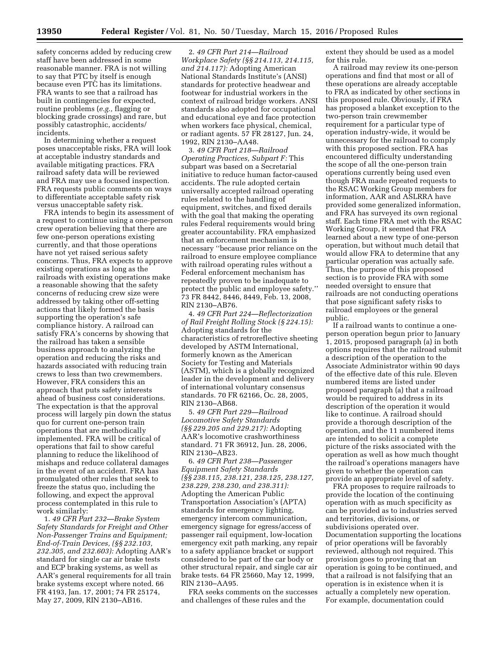safety concerns added by reducing crew staff have been addressed in some reasonable manner. FRA is not willing to say that PTC by itself is enough because even PTC has its limitations. FRA wants to see that a railroad has built in contingencies for expected, routine problems (*e.g.,* flagging or blocking grade crossings) and rare, but possibly catastrophic, accidents/ incidents.

In determining whether a request poses unacceptable risks, FRA will look at acceptable industry standards and available mitigating practices. FRA railroad safety data will be reviewed and FRA may use a focused inspection. FRA requests public comments on ways to differentiate acceptable safety risk versus unacceptable safety risk.

FRA intends to begin its assessment of a request to continue using a one-person crew operation believing that there are few one-person operations existing currently, and that those operations have not yet raised serious safety concerns. Thus, FRA expects to approve existing operations as long as the railroads with existing operations make a reasonable showing that the safety concerns of reducing crew size were addressed by taking other off-setting actions that likely formed the basis supporting the operation's safe compliance history. A railroad can satisfy FRA's concerns by showing that the railroad has taken a sensible business approach to analyzing the operation and reducing the risks and hazards associated with reducing train crews to less than two crewmembers. However, FRA considers this an approach that puts safety interests ahead of business cost considerations. The expectation is that the approval process will largely pin down the status quo for current one-person train operations that are methodically implemented. FRA will be critical of operations that fail to show careful planning to reduce the likelihood of mishaps and reduce collateral damages in the event of an accident. FRA has promulgated other rules that seek to freeze the status quo, including the following, and expect the approval process contemplated in this rule to work similarly:

1. *49 CFR Part 232—Brake System Safety Standards for Freight and Other Non-Passenger Trains and Equipment; End-of-Train Devices, (§§ 232.103, 232.305, and 232.603):* Adopting AAR's standard for single car air brake tests and ECP braking systems, as well as AAR's general requirements for all train brake systems except where noted. 66 FR 4193, Jan. 17, 2001; 74 FR 25174, May 27, 2009, RIN 2130–AB16.

2. *49 CFR Part 214—Railroad Workplace Safety (§§ 214.113, 214.115, and 214.117):* Adopting American National Standards Institute's (ANSI) standards for protective headwear and footwear for industrial workers in the context of railroad bridge workers. ANSI standards also adopted for occupational and educational eye and face protection when workers face physical, chemical, or radiant agents. 57 FR 28127, Jun. 24, 1992, RIN 2130–AA48.

3. *49 CFR Part 218—Railroad Operating Practices, Subpart F:* This subpart was based on a Secretarial initiative to reduce human factor-caused accidents. The rule adopted certain universally accepted railroad operating rules related to the handling of equipment, switches, and fixed derails with the goal that making the operating rules Federal requirements would bring greater accountability. FRA emphasized that an enforcement mechanism is necessary ''because prior reliance on the railroad to ensure employee compliance with railroad operating rules without a Federal enforcement mechanism has repeatedly proven to be inadequate to protect the public and employee safety.'' 73 FR 8442, 8446, 8449, Feb. 13, 2008, RIN 2130–AB76.

4. *49 CFR Part 224—Reflectorization of Rail Freight Rolling Stock (§ 224.15):*  Adopting standards for the characteristics of retroreflective sheeting developed by ASTM International, formerly known as the American Society for Testing and Materials (ASTM), which is a globally recognized leader in the development and delivery of international voluntary consensus standards. 70 FR 62166, Oc. 28, 2005, RIN 2130–AB68.

5. *49 CFR Part 229—Railroad Locomotive Safety Standards (§§ 229.205 and 229.217):* Adopting AAR's locomotive crashworthiness standard. 71 FR 36912, Jun. 28, 2006, RIN 2130–AB23.

6. *49 CFR Part 238—Passenger Equipment Safety Standards (§§ 238.115, 238.121, 238.125, 238.127, 238.229, 238.230, and 238.311):*  Adopting the American Public Transportation Association's (APTA) standards for emergency lighting, emergency intercom communication, emergency signage for egress/access of passenger rail equipment, low-location emergency exit path marking, any repair to a safety appliance bracket or support considered to be part of the car body or other structural repair, and single car air brake tests. 64 FR 25660, May 12, 1999, RIN 2130–AA95.

FRA seeks comments on the successes and challenges of these rules and the

extent they should be used as a model for this rule.

A railroad may review its one-person operations and find that most or all of these operations are already acceptable to FRA as indicated by other sections in this proposed rule. Obviously, if FRA has proposed a blanket exception to the two-person train crewmember requirement for a particular type of operation industry-wide, it would be unnecessary for the railroad to comply with this proposed section. FRA has encountered difficulty understanding the scope of all the one-person train operations currently being used even though FRA made repeated requests to the RSAC Working Group members for information, AAR and ASLRRA have provided some generalized information, and FRA has surveyed its own regional staff. Each time FRA met with the RSAC Working Group, it seemed that FRA learned about a new type of one-person operation, but without much detail that would allow FRA to determine that any particular operation was actually safe. Thus, the purpose of this proposed section is to provide FRA with some needed oversight to ensure that railroads are not conducting operations that pose significant safety risks to railroad employees or the general public.

If a railroad wants to continue a oneperson operation begun prior to January 1, 2015, proposed paragraph (a) in both options requires that the railroad submit a description of the operation to the Associate Administrator within 90 days of the effective date of this rule. Eleven numbered items are listed under proposed paragraph (a) that a railroad would be required to address in its description of the operation it would like to continue. A railroad should provide a thorough description of the operation, and the 11 numbered items are intended to solicit a complete picture of the risks associated with the operation as well as how much thought the railroad's operations managers have given to whether the operation can provide an appropriate level of safety.

FRA proposes to require railroads to provide the location of the continuing operation with as much specificity as can be provided as to industries served and territories, divisions, or subdivisions operated over. Documentation supporting the locations of prior operations will be favorably reviewed, although not required. This provision goes to proving that an operation is going to be continued, and that a railroad is not falsifying that an operation is in existence when it is actually a completely new operation. For example, documentation could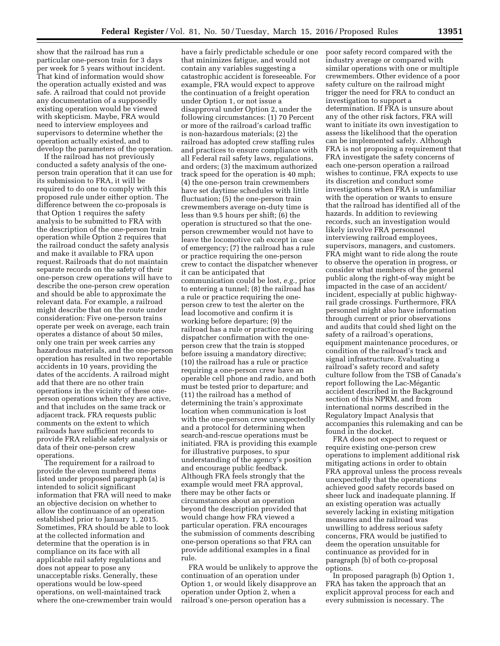show that the railroad has run a particular one-person train for 3 days per week for 5 years without incident. That kind of information would show the operation actually existed and was safe. A railroad that could not provide any documentation of a supposedly existing operation would be viewed with skepticism. Maybe, FRA would need to interview employees and supervisors to determine whether the operation actually existed, and to develop the parameters of the operation.

If the railroad has not previously conducted a safety analysis of the oneperson train operation that it can use for its submission to FRA, it will be required to do one to comply with this proposed rule under either option. The difference between the co-proposals is that Option 1 requires the safety analysis to be submitted to FRA with the description of the one-person train operation while Option 2 requires that the railroad conduct the safety analysis and make it available to FRA upon request. Railroads that do not maintain separate records on the safety of their one-person crew operations will have to describe the one-person crew operation and should be able to approximate the relevant data. For example, a railroad might describe that on the route under consideration: Five one-person trains operate per week on average, each train operates a distance of about 50 miles, only one train per week carries any hazardous materials, and the one-person operation has resulted in two reportable accidents in 10 years, providing the dates of the accidents. A railroad might add that there are no other train operations in the vicinity of these oneperson operations when they are active, and that includes on the same track or adjacent track. FRA requests public comments on the extent to which railroads have sufficient records to provide FRA reliable safety analysis or data of their one-person crew operations.

The requirement for a railroad to provide the eleven numbered items listed under proposed paragraph (a) is intended to solicit significant information that FRA will need to make an objective decision on whether to allow the continuance of an operation established prior to January 1, 2015. Sometimes, FRA should be able to look at the collected information and determine that the operation is in compliance on its face with all applicable rail safety regulations and does not appear to pose any unacceptable risks. Generally, these operations would be low-speed operations, on well-maintained track where the one-crewmember train would

have a fairly predictable schedule or one that minimizes fatigue, and would not contain any variables suggesting a catastrophic accident is foreseeable. For example, FRA would expect to approve the continuation of a freight operation under Option 1, or not issue a disapproval under Option 2, under the following circumstances: (1) 70 Percent or more of the railroad's carload traffic is non-hazardous materials; (2) the railroad has adopted crew staffing rules and practices to ensure compliance with all Federal rail safety laws, regulations, and orders; (3) the maximum authorized track speed for the operation is 40 mph; (4) the one-person train crewmembers have set daytime schedules with little fluctuation; (5) the one-person train crewmembers average on-duty time is less than 9.5 hours per shift; (6) the operation is structured so that the oneperson crewmember would not have to leave the locomotive cab except in case of emergency; (7) the railroad has a rule or practice requiring the one-person crew to contact the dispatcher whenever it can be anticipated that communication could be lost, *e.g.,* prior to entering a tunnel; (8) the railroad has a rule or practice requiring the oneperson crew to test the alerter on the lead locomotive and confirm it is working before departure; (9) the railroad has a rule or practice requiring dispatcher confirmation with the oneperson crew that the train is stopped before issuing a mandatory directive; (10) the railroad has a rule or practice requiring a one-person crew have an operable cell phone and radio, and both must be tested prior to departure; and (11) the railroad has a method of determining the train's approximate location when communication is lost with the one-person crew unexpectedly and a protocol for determining when search-and-rescue operations must be initiated. FRA is providing this example for illustrative purposes, to spur understanding of the agency's position and encourage public feedback. Although FRA feels strongly that the example would meet FRA approval, there may be other facts or circumstances about an operation beyond the description provided that would change how FRA viewed a particular operation. FRA encourages the submission of comments describing one-person operations so that FRA can provide additional examples in a final rule.

FRA would be unlikely to approve the continuation of an operation under Option 1, or would likely disapprove an operation under Option 2, when a railroad's one-person operation has a

poor safety record compared with the industry average or compared with similar operations with one or multiple crewmembers. Other evidence of a poor safety culture on the railroad might trigger the need for FRA to conduct an investigation to support a determination. If FRA is unsure about any of the other risk factors, FRA will want to initiate its own investigation to assess the likelihood that the operation can be implemented safely. Although FRA is not proposing a requirement that FRA investigate the safety concerns of each one-person operation a railroad wishes to continue, FRA expects to use its discretion and conduct some investigations when FRA is unfamiliar with the operation or wants to ensure that the railroad has identified all of the hazards. In addition to reviewing records, such an investigation would likely involve FRA personnel interviewing railroad employees, supervisors, managers, and customers. FRA might want to ride along the route to observe the operation in progress, or consider what members of the general public along the right-of-way might be impacted in the case of an accident/ incident, especially at public highwayrail grade crossings. Furthermore, FRA personnel might also have information through current or prior observations and audits that could shed light on the safety of a railroad's operations, equipment maintenance procedures, or condition of the railroad's track and signal infrastructure. Evaluating a railroad's safety record and safety culture follow from the TSB of Canada's report following the Lac-Mégantic accident described in the Background section of this NPRM, and from international norms described in the Regulatory Impact Analysis that accompanies this rulemaking and can be found in the docket.

FRA does not expect to request or require existing one-person crew operations to implement additional risk mitigating actions in order to obtain FRA approval unless the process reveals unexpectedly that the operations achieved good safety records based on sheer luck and inadequate planning. If an existing operation was actually severely lacking in existing mitigation measures and the railroad was unwilling to address serious safety concerns, FRA would be justified to deem the operation unsuitable for continuance as provided for in paragraph (b) of both co-proposal options.

In proposed paragraph (b) Option 1, FRA has taken the approach that an explicit approval process for each and every submission is necessary. The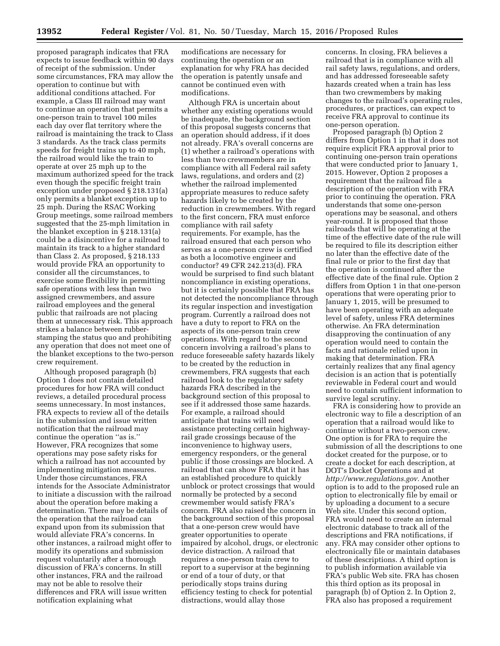proposed paragraph indicates that FRA expects to issue feedback within 90 days of receipt of the submission. Under some circumstances, FRA may allow the operation to continue but with additional conditions attached. For example, a Class III railroad may want to continue an operation that permits a one-person train to travel 100 miles each day over flat territory where the railroad is maintaining the track to Class 3 standards. As the track class permits speeds for freight trains up to 40 mph, the railroad would like the train to operate at over 25 mph up to the maximum authorized speed for the track even though the specific freight train exception under proposed § 218.131(a) only permits a blanket exception up to 25 mph. During the RSAC Working Group meetings, some railroad members suggested that the 25-mph limitation in the blanket exception in § 218.131(a) could be a disincentive for a railroad to maintain its track to a higher standard than Class 2. As proposed, § 218.133 would provide FRA an opportunity to consider all the circumstances, to exercise some flexibility in permitting safe operations with less than two assigned crewmembers, and assure railroad employees and the general public that railroads are not placing them at unnecessary risk. This approach strikes a balance between rubberstamping the status quo and prohibiting any operation that does not meet one of the blanket exceptions to the two-person crew requirement.

Although proposed paragraph (b) Option 1 does not contain detailed procedures for how FRA will conduct reviews, a detailed procedural process seems unnecessary. In most instances, FRA expects to review all of the details in the submission and issue written notification that the railroad may continue the operation ''as is.'' However, FRA recognizes that some operations may pose safety risks for which a railroad has not accounted by implementing mitigation measures. Under those circumstances, FRA intends for the Associate Administrator to initiate a discussion with the railroad about the operation before making a determination. There may be details of the operation that the railroad can expand upon from its submission that would alleviate FRA's concerns. In other instances, a railroad might offer to modify its operations and submission request voluntarily after a thorough discussion of FRA's concerns. In still other instances, FRA and the railroad may not be able to resolve their differences and FRA will issue written notification explaining what

modifications are necessary for continuing the operation or an explanation for why FRA has decided the operation is patently unsafe and cannot be continued even with modifications.

Although FRA is uncertain about whether any existing operations would be inadequate, the background section of this proposal suggests concerns that an operation should address, if it does not already. FRA's overall concerns are (1) whether a railroad's operations with less than two crewmembers are in compliance with all Federal rail safety laws, regulations, and orders and (2) whether the railroad implemented appropriate measures to reduce safety hazards likely to be created by the reduction in crewmembers. With regard to the first concern, FRA must enforce compliance with rail safety requirements. For example, has the railroad ensured that each person who serves as a one-person crew is certified as both a locomotive engineer and conductor? 49 CFR 242.213(d). FRA would be surprised to find such blatant noncompliance in existing operations, but it is certainly possible that FRA has not detected the noncompliance through its regular inspection and investigation program. Currently a railroad does not have a duty to report to FRA on the aspects of its one-person train crew operations. With regard to the second concern involving a railroad's plans to reduce foreseeable safety hazards likely to be created by the reduction in crewmembers, FRA suggests that each railroad look to the regulatory safety hazards FRA described in the background section of this proposal to see if it addressed those same hazards. For example, a railroad should anticipate that trains will need assistance protecting certain highwayrail grade crossings because of the inconvenience to highway users, emergency responders, or the general public if those crossings are blocked. A railroad that can show FRA that it has an established procedure to quickly unblock or protect crossings that would normally be protected by a second crewmember would satisfy FRA's concern. FRA also raised the concern in the background section of this proposal that a one-person crew would have greater opportunities to operate impaired by alcohol, drugs, or electronic device distraction. A railroad that requires a one-person train crew to report to a supervisor at the beginning or end of a tour of duty, or that periodically stops trains during efficiency testing to check for potential distractions, would allay those

concerns. In closing, FRA believes a railroad that is in compliance with all rail safety laws, regulations, and orders, and has addressed foreseeable safety hazards created when a train has less than two crewmembers by making changes to the railroad's operating rules, procedures, or practices, can expect to receive FRA approval to continue its one-person operation.

Proposed paragraph (b) Option 2 differs from Option 1 in that it does not require explicit FRA approval prior to continuing one-person train operations that were conducted prior to January 1, 2015. However, Option 2 proposes a requirement that the railroad file a description of the operation with FRA prior to continuing the operation. FRA understands that some one-person operations may be seasonal, and others year-round. It is proposed that those railroads that will be operating at the time of the effective date of the rule will be required to file its description either no later than the effective date of the final rule or prior to the first day that the operation is continued after the effective date of the final rule. Option 2 differs from Option 1 in that one-person operations that were operating prior to January 1, 2015, will be presumed to have been operating with an adequate level of safety, unless FRA determines otherwise. An FRA determination disapproving the continuation of any operation would need to contain the facts and rationale relied upon in making that determination. FRA certainly realizes that any final agency decision is an action that is potentially reviewable in Federal court and would need to contain sufficient information to survive legal scrutiny.

FRA is considering how to provide an electronic way to file a description of an operation that a railroad would like to continue without a two-person crew. One option is for FRA to require the submission of all the descriptions to one docket created for the purpose, or to create a docket for each description, at DOT's Docket Operations and at *[http://www.regulations.gov.](http://www.regulations.gov)* Another option is to add to the proposed rule an option to electronically file by email or by uploading a document to a secure Web site. Under this second option, FRA would need to create an internal electronic database to track all of the descriptions and FRA notifications, if any. FRA may consider other options to electronically file or maintain databases of these descriptions. A third option is to publish information available via FRA's public Web site. FRA has chosen this third option as its proposal in paragraph (b) of Option 2. In Option 2, FRA also has proposed a requirement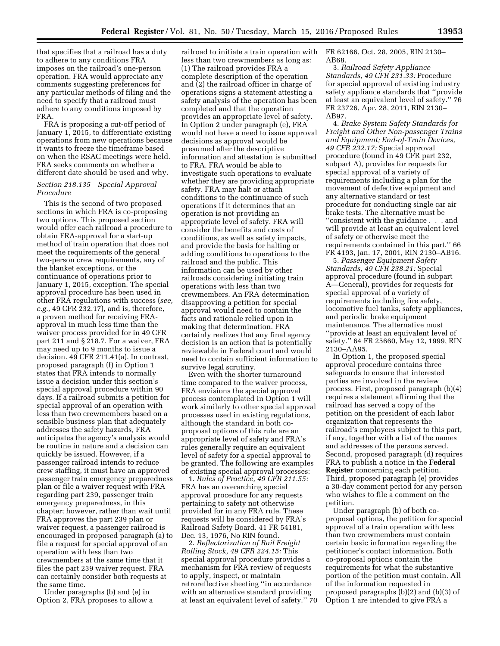that specifies that a railroad has a duty to adhere to any conditions FRA imposes on the railroad's one-person operation. FRA would appreciate any comments suggesting preferences for any particular methods of filing and the need to specify that a railroad must adhere to any conditions imposed by FRA.

FRA is proposing a cut-off period of January 1, 2015, to differentiate existing operations from new operations because it wants to freeze the timeframe based on when the RSAC meetings were held. FRA seeks comments on whether a different date should be used and why.

#### *Section 218.135 Special Approval Procedure*

This is the second of two proposed sections in which FRA is co-proposing two options. This proposed section would offer each railroad a procedure to obtain FRA-approval for a start-up method of train operation that does not meet the requirements of the general two-person crew requirements, any of the blanket exceptions, or the continuance of operations prior to January 1, 2015, exception. The special approval procedure has been used in other FRA regulations with success (*see, e.g.,* 49 CFR 232.17), and is, therefore, a proven method for receiving FRAapproval in much less time than the waiver process provided for in 49 CFR part 211 and § 218.7. For a waiver, FRA may need up to 9 months to issue a decision. 49 CFR 211.41(a). In contrast, proposed paragraph (f) in Option 1 states that FRA intends to normally issue a decision under this section's special approval procedure within 90 days. If a railroad submits a petition for special approval of an operation with less than two crewmembers based on a sensible business plan that adequately addresses the safety hazards, FRA anticipates the agency's analysis would be routine in nature and a decision can quickly be issued. However, if a passenger railroad intends to reduce crew staffing, it must have an approved passenger train emergency preparedness plan or file a waiver request with FRA regarding part 239, passenger train emergency preparedness, in this chapter; however, rather than wait until FRA approves the part 239 plan or waiver request, a passenger railroad is encouraged in proposed paragraph (a) to file a request for special approval of an operation with less than two crewmembers at the same time that it files the part 239 waiver request. FRA can certainly consider both requests at the same time.

Under paragraphs (b) and (e) in Option 2, FRA proposes to allow a

railroad to initiate a train operation with less than two crewmembers as long as: (1) The railroad provides FRA a complete description of the operation and (2) the railroad officer in charge of operations signs a statement attesting a safety analysis of the operation has been completed and that the operation provides an appropriate level of safety. In Option 2 under paragraph (e), FRA would not have a need to issue approval decisions as approval would be presumed after the descriptive information and attestation is submitted to FRA. FRA would be able to investigate such operations to evaluate whether they are providing appropriate safety. FRA may halt or attach conditions to the continuance of such operations if it determines that an operation is not providing an appropriate level of safety. FRA will consider the benefits and costs of conditions, as well as safety impacts, and provide the basis for halting or adding conditions to operations to the railroad and the public. This information can be used by other railroads considering initiating train operations with less than two crewmembers. An FRA determination disapproving a petition for special approval would need to contain the facts and rationale relied upon in making that determination. FRA certainly realizes that any final agency decision is an action that is potentially reviewable in Federal court and would need to contain sufficient information to survive legal scrutiny.

Even with the shorter turnaround time compared to the waiver process, FRA envisions the special approval process contemplated in Option 1 will work similarly to other special approval processes used in existing regulations, although the standard in both coproposal options of this rule are an appropriate level of safety and FRA's rules generally require an equivalent level of safety for a special approval to be granted. The following are examples of existing special approval processes:

1. *Rules of Practice, 49 CFR 211.55:*  FRA has an overarching special approval procedure for any requests pertaining to safety not otherwise provided for in any FRA rule. These requests will be considered by FRA's Railroad Safety Board. 41 FR 54181, Dec. 13, 1976, No RIN found.

2. *Reflectorization of Rail Freight Rolling Stock, 49 CFR 224.15:* This special approval procedure provides a mechanism for FRA review of requests to apply, inspect, or maintain retroreflective sheeting ''in accordance with an alternative standard providing at least an equivalent level of safety.'' 70 FR 62166, Oct. 28, 2005, RIN 2130– AB68.

3. *Railroad Safety Appliance Standards, 49 CFR 231.33:* Procedure for special approval of existing industry safety appliance standards that ''provide at least an equivalent level of safety.'' 76 FR 23726, Apr. 28, 2011, RIN 2130– AB97.

4. *Brake System Safety Standards for Freight and Other Non-passenger Trains and Equipment; End-of-Train Devices, 49 CFR 232.17:* Special approval procedure (found in 49 CFR part 232, subpart A), provides for requests for special approval of a variety of requirements including a plan for the movement of defective equipment and any alternative standard or test procedure for conducting single car air brake tests. The alternative must be ''consistent with the guidance . . . and will provide at least an equivalent level of safety or otherwise meet the requirements contained in this part.'' 66 FR 4193, Jan. 17, 2001, RIN 2130–AB16.

5. *Passenger Equipment Safety Standards, 49 CFR 238.21:* Special approval procedure (found in subpart A—General), provides for requests for special approval of a variety of requirements including fire safety, locomotive fuel tanks, safety appliances, and periodic brake equipment maintenance. The alternative must ''provide at least an equivalent level of safety.'' 64 FR 25660, May 12, 1999, RIN 2130–AA95.

In Option 1, the proposed special approval procedure contains three safeguards to ensure that interested parties are involved in the review process. First, proposed paragraph (b)(4) requires a statement affirming that the railroad has served a copy of the petition on the president of each labor organization that represents the railroad's employees subject to this part, if any, together with a list of the names and addresses of the persons served. Second, proposed paragraph (d) requires FRA to publish a notice in the **Federal Register** concerning each petition. Third, proposed paragraph (e) provides a 30-day comment period for any person who wishes to file a comment on the petition.

Under paragraph (b) of both coproposal options, the petition for special approval of a train operation with less than two crewmembers must contain certain basic information regarding the petitioner's contact information. Both co-proposal options contain the requirements for what the substantive portion of the petition must contain. All of the information requested in proposed paragraphs (b)(2) and (b)(3) of Option 1 are intended to give FRA a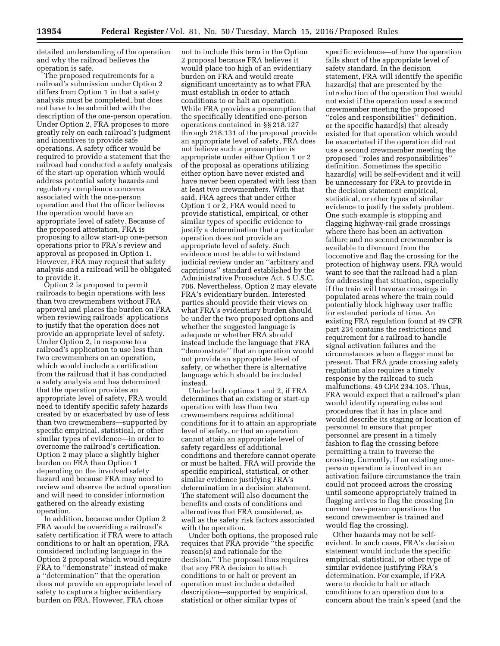detailed understanding of the operation and why the railroad believes the operation is safe.

The proposed requirements for a railroad's submission under Option 2 differs from Option 1 in that a safety analysis must be completed, but does not have to be submitted with the description of the one-person operation. Under Option 2, FRA proposes to more greatly rely on each railroad's judgment and incentives to provide safe operations. A safety officer would be required to provide a statement that the railroad had conducted a safety analysis of the start-up operation which would address potential safety hazards and regulatory compliance concerns associated with the one-person operation and that the officer believes the operation would have an appropriate level of safety. Because of the proposed attestation, FRA is proposing to allow start-up one-person operations prior to FRA's review and approval as proposed in Option 1. However, FRA may request that safety analysis and a railroad will be obligated to provide it.

Option 2 is proposed to permit railroads to begin operations with less than two crewmembers without FRA approval and places the burden on FRA when reviewing railroads' applications to justify that the operation does not provide an appropriate level of safety. Under Option 2, in response to a railroad's application to use less than two crewmembers on an operation, which would include a certification from the railroad that it has conducted a safety analysis and has determined that the operation provides an appropriate level of safety, FRA would need to identify specific safety hazards created by or exacerbated by use of less than two crewmembers—supported by specific empirical, statistical, or other similar types of evidence—in order to overcome the railroad's certification. Option 2 may place a slightly higher burden on FRA than Option 1 depending on the involved safety hazard and because FRA may need to review and observe the actual operation and will need to consider information gathered on the already existing operation.

In addition, because under Option 2 FRA would be overriding a railroad's safety certification if FRA were to attach conditions to or halt an operation, FRA considered including language in the Option 2 proposal which would require FRA to ''demonstrate'' instead of make a ''determination'' that the operation does not provide an appropriate level of safety to capture a higher evidentiary burden on FRA. However, FRA chose

not to include this term in the Option 2 proposal because FRA believes it would place too high of an evidentiary burden on FRA and would create significant uncertainty as to what FRA must establish in order to attach conditions to or halt an operation. While FRA provides a presumption that the specifically identified one-person operations contained in §§ 218.127 through 218.131 of the proposal provide an appropriate level of safety, FRA does not believe such a presumption is appropriate under either Option 1 or 2 of the proposal as operations utilizing either option have never existed and have never been operated with less than at least two crewmembers. With that said, FRA agrees that under either Option 1 or 2, FRA would need to provide statistical, empirical, or other similar types of specific evidence to justify a determination that a particular operation does not provide an appropriate level of safety. Such evidence must be able to withstand judicial review under an ''arbitrary and capricious'' standard established by the Administrative Procedure Act. 5 U.S.C. 706. Nevertheless, Option 2 may elevate FRA's evidentiary burden. Interested parties should provide their views on what FRA's evidentiary burden should be under the two proposed options and whether the suggested language is adequate or whether FRA should instead include the language that FRA ''demonstrate'' that an operation would not provide an appropriate level of safety, or whether there is alternative language which should be included instead.

Under both options 1 and 2, if FRA determines that an existing or start-up operation with less than two crewmembers requires additional conditions for it to attain an appropriate level of safety, or that an operation cannot attain an appropriate level of safety regardless of additional conditions and therefore cannot operate or must be halted, FRA will provide the specific empirical, statistical, or other similar evidence justifying FRA's determination in a decision statement. The statement will also document the benefits and costs of conditions and alternatives that FRA considered, as well as the safety risk factors associated with the operation.

Under both options, the proposed rule requires that FRA provide ''the specific reason(s) and rationale for the decision.'' The proposal thus requires that any FRA decision to attach conditions to or halt or prevent an operation must include a detailed description—supported by empirical, statistical or other similar types of

specific evidence—of how the operation falls short of the appropriate level of safety standard. In the decision statement, FRA will identify the specific hazard(s) that are presented by the introduction of the operation that would not exist if the operation used a second crewmember meeting the proposed ''roles and responsibilities'' definition, or the specific hazard(s) that already existed for that operation which would be exacerbated if the operation did not use a second crewmember meeting the proposed ''roles and responsibilities'' definition. Sometimes the specific hazard(s) will be self-evident and it will be unnecessary for FRA to provide in the decision statement empirical, statistical, or other types of similar evidence to justify the safety problem. One such example is stopping and flagging highway-rail grade crossings where there has been an activation failure and no second crewmember is available to dismount from the locomotive and flag the crossing for the protection of highway users. FRA would want to see that the railroad had a plan for addressing that situation, especially if the train will traverse crossings in populated areas where the train could potentially block highway user traffic for extended periods of time. An existing FRA regulation found at 49 CFR part 234 contains the restrictions and requirement for a railroad to handle signal activation failures and the circumstances when a flagger must be present. That FRA grade crossing safety regulation also requires a timely response by the railroad to such malfunctions. 49 CFR 234.103. Thus, FRA would expect that a railroad's plan would identify operating rules and procedures that it has in place and would describe its staging or location of personnel to ensure that proper personnel are present in a timely fashion to flag the crossing before permitting a train to traverse the crossing. Currently, if an existing oneperson operation is involved in an activation failure circumstance the train could not proceed across the crossing until someone appropriately trained in flagging arrives to flag the crossing (in current two-person operations the second crewmember is trained and would flag the crossing).

Other hazards may not be selfevident. In such cases, FRA's decision statement would include the specific empirical, statistical, or other type of similar evidence justifying FRA's determination. For example, if FRA were to decide to halt or attach conditions to an operation due to a concern about the train's speed (and the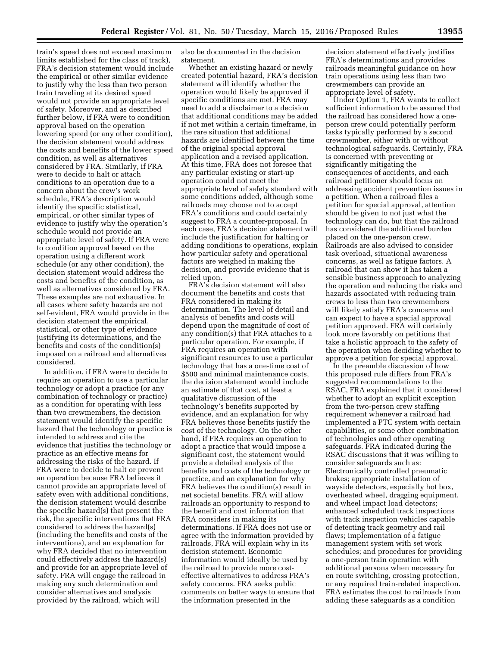train's speed does not exceed maximum limits established for the class of track), FRA's decision statement would include the empirical or other similar evidence to justify why the less than two person train traveling at its desired speed would not provide an appropriate level of safety. Moreover, and as described further below, if FRA were to condition approval based on the operation lowering speed (or any other condition), the decision statement would address the costs and benefits of the lower speed condition, as well as alternatives considered by FRA. Similarly, if FRA were to decide to halt or attach conditions to an operation due to a concern about the crew's work schedule, FRA's description would identify the specific statistical, empirical, or other similar types of evidence to justify why the operation's schedule would not provide an appropriate level of safety. If FRA were to condition approval based on the operation using a different work schedule (or any other condition), the decision statement would address the costs and benefits of the condition, as well as alternatives considered by FRA. These examples are not exhaustive. In all cases where safety hazards are not self-evident, FRA would provide in the decision statement the empirical, statistical, or other type of evidence justifying its determinations, and the benefits and costs of the condition(s) imposed on a railroad and alternatives considered.

In addition, if FRA were to decide to require an operation to use a particular technology or adopt a practice (or any combination of technology or practice) as a condition for operating with less than two crewmembers, the decision statement would identify the specific hazard that the technology or practice is intended to address and cite the evidence that justifies the technology or practice as an effective means for addressing the risks of the hazard. If FRA were to decide to halt or prevent an operation because FRA believes it cannot provide an appropriate level of safety even with additional conditions, the decision statement would describe the specific hazard(s) that present the risk, the specific interventions that FRA considered to address the hazard(s) (including the benefits and costs of the interventions), and an explanation for why FRA decided that no intervention could effectively address the hazard(s) and provide for an appropriate level of safety. FRA will engage the railroad in making any such determination and consider alternatives and analysis provided by the railroad, which will

also be documented in the decision statement.

Whether an existing hazard or newly created potential hazard, FRA's decision statement will identify whether the operation would likely be approved if specific conditions are met. FRA may need to add a disclaimer to a decision that additional conditions may be added if not met within a certain timeframe, in the rare situation that additional hazards are identified between the time of the original special approval application and a revised application. At this time, FRA does not foresee that any particular existing or start-up operation could not meet the appropriate level of safety standard with some conditions added, although some railroads may choose not to accept FRA's conditions and could certainly suggest to FRA a counter-proposal. In each case, FRA's decision statement will include the justification for halting or adding conditions to operations, explain how particular safety and operational factors are weighed in making the decision, and provide evidence that is relied upon.

FRA's decision statement will also document the benefits and costs that FRA considered in making its determination. The level of detail and analysis of benefits and costs will depend upon the magnitude of cost of any condition(s) that FRA attaches to a particular operation. For example, if FRA requires an operation with significant resources to use a particular technology that has a one-time cost of \$500 and minimal maintenance costs, the decision statement would include an estimate of that cost, at least a qualitative discussion of the technology's benefits supported by evidence, and an explanation for why FRA believes those benefits justify the cost of the technology. On the other hand, if FRA requires an operation to adopt a practice that would impose a significant cost, the statement would provide a detailed analysis of the benefits and costs of the technology or practice, and an explanation for why FRA believes the condition(s) result in net societal benefits. FRA will allow railroads an opportunity to respond to the benefit and cost information that FRA considers in making its determinations. If FRA does not use or agree with the information provided by railroads, FRA will explain why in its decision statement. Economic information would ideally be used by the railroad to provide more costeffective alternatives to address FRA's safety concerns. FRA seeks public comments on better ways to ensure that the information presented in the

decision statement effectively justifies FRA's determinations and provides railroads meaningful guidance on how train operations using less than two crewmembers can provide an appropriate level of safety.

Under Option 1, FRA wants to collect sufficient information to be assured that the railroad has considered how a oneperson crew could potentially perform tasks typically performed by a second crewmember, either with or without technological safeguards. Certainly, FRA is concerned with preventing or significantly mitigating the consequences of accidents, and each railroad petitioner should focus on addressing accident prevention issues in a petition. When a railroad files a petition for special approval, attention should be given to not just what the technology can do, but that the railroad has considered the additional burden placed on the one-person crew. Railroads are also advised to consider task overload, situational awareness concerns, as well as fatigue factors. A railroad that can show it has taken a sensible business approach to analyzing the operation and reducing the risks and hazards associated with reducing train crews to less than two crewmembers will likely satisfy FRA's concerns and can expect to have a special approval petition approved. FRA will certainly look more favorably on petitions that take a holistic approach to the safety of the operation when deciding whether to approve a petition for special approval.

In the preamble discussion of how this proposed rule differs from FRA's suggested recommendations to the RSAC, FRA explained that it considered whether to adopt an explicit exception from the two-person crew staffing requirement whenever a railroad had implemented a PTC system with certain capabilities, or some other combination of technologies and other operating safeguards. FRA indicated during the RSAC discussions that it was willing to consider safeguards such as: Electronically controlled pneumatic brakes; appropriate installation of wayside detectors, especially hot box, overheated wheel, dragging equipment, and wheel impact load detectors; enhanced scheduled track inspections with track inspection vehicles capable of detecting track geometry and rail flaws; implementation of a fatigue management system with set work schedules; and procedures for providing a one-person train operation with additional persons when necessary for en route switching, crossing protection, or any required train-related inspection. FRA estimates the cost to railroads from adding these safeguards as a condition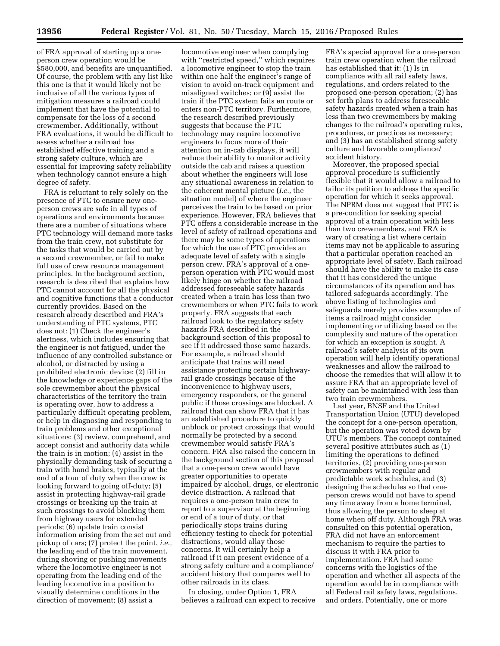of FRA approval of starting up a oneperson crew operation would be \$580,000, and benefits are unquantified. Of course, the problem with any list like this one is that it would likely not be inclusive of all the various types of mitigation measures a railroad could implement that have the potential to compensate for the loss of a second crewmember. Additionally, without FRA evaluations, it would be difficult to assess whether a railroad has established effective training and a strong safety culture, which are essential for improving safety reliability when technology cannot ensure a high degree of safety.

FRA is reluctant to rely solely on the presence of PTC to ensure new oneperson crews are safe in all types of operations and environments because there are a number of situations where PTC technology will demand more tasks from the train crew, not substitute for the tasks that would be carried out by a second crewmember, or fail to make full use of crew resource management principles. In the background section, research is described that explains how PTC cannot account for all the physical and cognitive functions that a conductor currently provides. Based on the research already described and FRA's understanding of PTC systems, PTC does not: (1) Check the engineer's alertness, which includes ensuring that the engineer is not fatigued, under the influence of any controlled substance or alcohol, or distracted by using a prohibited electronic device; (2) fill in the knowledge or experience gaps of the sole crewmember about the physical characteristics of the territory the train is operating over, how to address a particularly difficult operating problem, or help in diagnosing and responding to train problems and other exceptional situations; (3) review, comprehend, and accept consist and authority data while the train is in motion; (4) assist in the physically demanding task of securing a train with hand brakes, typically at the end of a tour of duty when the crew is looking forward to going off-duty; (5) assist in protecting highway-rail grade crossings or breaking up the train at such crossings to avoid blocking them from highway users for extended periods; (6) update train consist information arising from the set out and pickup of cars; (7) protect the point, *i.e.,*  the leading end of the train movement, during shoving or pushing movements where the locomotive engineer is not operating from the leading end of the leading locomotive in a position to visually determine conditions in the direction of movement; (8) assist a

locomotive engineer when complying with "restricted speed," which requires a locomotive engineer to stop the train within one half the engineer's range of vision to avoid on-track equipment and misaligned switches; or (9) assist the train if the PTC system fails en route or enters non-PTC territory. Furthermore, the research described previously suggests that because the PTC technology may require locomotive engineers to focus more of their attention on in-cab displays, it will reduce their ability to monitor activity outside the cab and raises a question about whether the engineers will lose any situational awareness in relation to the coherent mental picture (*i.e.,* the situation model) of where the engineer perceives the train to be based on prior experience. However, FRA believes that PTC offers a considerable increase in the level of safety of railroad operations and there may be some types of operations for which the use of PTC provides an adequate level of safety with a single person crew. FRA's approval of a oneperson operation with PTC would most likely hinge on whether the railroad addressed foreseeable safety hazards created when a train has less than two crewmembers or when PTC fails to work properly. FRA suggests that each railroad look to the regulatory safety hazards FRA described in the background section of this proposal to see if it addressed those same hazards. For example, a railroad should anticipate that trains will need assistance protecting certain highwayrail grade crossings because of the inconvenience to highway users, emergency responders, or the general public if those crossings are blocked. A railroad that can show FRA that it has an established procedure to quickly unblock or protect crossings that would normally be protected by a second crewmember would satisfy FRA's concern. FRA also raised the concern in the background section of this proposal that a one-person crew would have greater opportunities to operate impaired by alcohol, drugs, or electronic device distraction. A railroad that requires a one-person train crew to report to a supervisor at the beginning or end of a tour of duty, or that periodically stops trains during efficiency testing to check for potential distractions, would allay those concerns. It will certainly help a railroad if it can present evidence of a strong safety culture and a compliance/ accident history that compares well to other railroads in its class.

In closing, under Option 1, FRA believes a railroad can expect to receive FRA's special approval for a one-person train crew operation when the railroad has established that it: (1) Is in compliance with all rail safety laws, regulations, and orders related to the proposed one-person operation; (2) has set forth plans to address foreseeable safety hazards created when a train has less than two crewmembers by making changes to the railroad's operating rules, procedures, or practices as necessary; and (3) has an established strong safety culture and favorable compliance/ accident history.

Moreover, the proposed special approval procedure is sufficiently flexible that it would allow a railroad to tailor its petition to address the specific operation for which it seeks approval. The NPRM does not suggest that PTC is a pre-condition for seeking special approval of a train operation with less than two crewmembers, and FRA is wary of creating a list where certain items may not be applicable to assuring that a particular operation reached an appropriate level of safety. Each railroad should have the ability to make its case that it has considered the unique circumstances of its operation and has tailored safeguards accordingly. The above listing of technologies and safeguards merely provides examples of items a railroad might consider implementing or utilizing based on the complexity and nature of the operation for which an exception is sought. A railroad's safety analysis of its own operation will help identify operational weaknesses and allow the railroad to choose the remedies that will allow it to assure FRA that an appropriate level of safety can be maintained with less than two train crewmembers.

Last year, BNSF and the United Transportation Union (UTU) developed the concept for a one-person operation, but the operation was voted down by UTU's members. The concept contained several positive attributes such as (1) limiting the operations to defined territories, (2) providing one-person crewmembers with regular and predictable work schedules, and (3) designing the schedules so that oneperson crews would not have to spend any time away from a home terminal, thus allowing the person to sleep at home when off duty. Although FRA was consulted on this potential operation, FRA did not have an enforcement mechanism to require the parties to discuss it with FRA prior to implementation. FRA had some concerns with the logistics of the operation and whether all aspects of the operation would be in compliance with all Federal rail safety laws, regulations, and orders. Potentially, one or more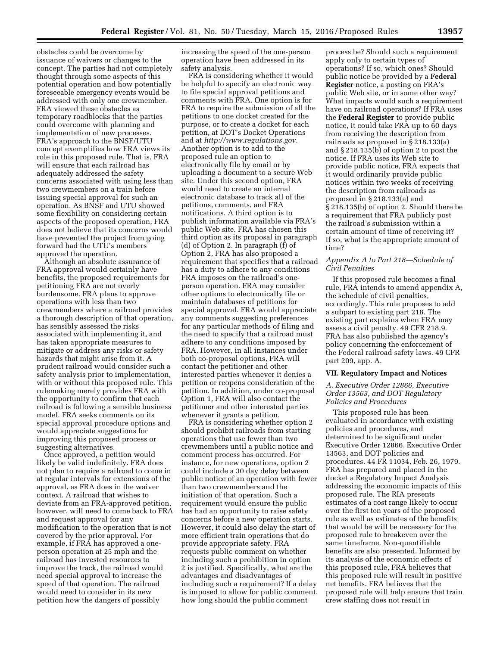obstacles could be overcome by issuance of waivers or changes to the concept. The parties had not completely thought through some aspects of this potential operation and how potentially foreseeable emergency events would be addressed with only one crewmember. FRA viewed these obstacles as temporary roadblocks that the parties could overcome with planning and implementation of new processes. FRA's approach to the BNSF/UTU concept exemplifies how FRA views its role in this proposed rule. That is, FRA will ensure that each railroad has adequately addressed the safety concerns associated with using less than two crewmembers on a train before issuing special approval for such an operation. As BNSF and UTU showed some flexibility on considering certain aspects of the proposed operation, FRA does not believe that its concerns would have prevented the project from going forward had the UTU's members approved the operation.

Although an absolute assurance of FRA approval would certainly have benefits, the proposed requirements for petitioning FRA are not overly burdensome. FRA plans to approve operations with less than two crewmembers where a railroad provides a thorough description of that operation, has sensibly assessed the risks associated with implementing it, and has taken appropriate measures to mitigate or address any risks or safety hazards that might arise from it. A prudent railroad would consider such a safety analysis prior to implementation, with or without this proposed rule. This rulemaking merely provides FRA with the opportunity to confirm that each railroad is following a sensible business model. FRA seeks comments on its special approval procedure options and would appreciate suggestions for improving this proposed process or suggesting alternatives.

Once approved, a petition would likely be valid indefinitely. FRA does not plan to require a railroad to come in at regular intervals for extensions of the approval, as FRA does in the waiver context. A railroad that wishes to deviate from an FRA-approved petition, however, will need to come back to FRA and request approval for any modification to the operation that is not covered by the prior approval. For example, if FRA has approved a oneperson operation at 25 mph and the railroad has invested resources to improve the track, the railroad would need special approval to increase the speed of that operation. The railroad would need to consider in its new petition how the dangers of possibly

increasing the speed of the one-person operation have been addressed in its safety analysis.

FRA is considering whether it would be helpful to specify an electronic way to file special approval petitions and comments with FRA. One option is for FRA to require the submission of all the petitions to one docket created for the purpose, or to create a docket for each petition, at DOT's Docket Operations and at *[http://www.regulations.gov.](http://www.regulations.gov)*  Another option is to add to the proposed rule an option to electronically file by email or by uploading a document to a secure Web site. Under this second option, FRA would need to create an internal electronic database to track all of the petitions, comments, and FRA notifications. A third option is to publish information available via FRA's public Web site. FRA has chosen this third option as its proposal in paragraph (d) of Option 2. In paragraph (f) of Option 2, FRA has also proposed a requirement that specifies that a railroad has a duty to adhere to any conditions FRA imposes on the railroad's oneperson operation. FRA may consider other options to electronically file or maintain databases of petitions for special approval. FRA would appreciate any comments suggesting preferences for any particular methods of filing and the need to specify that a railroad must adhere to any conditions imposed by FRA. However, in all instances under both co-proposal options, FRA will contact the petitioner and other interested parties whenever it denies a petition or reopens consideration of the petition. In addition, under co-proposal Option 1, FRA will also contact the petitioner and other interested parties whenever it grants a petition.

FRA is considering whether option 2 should prohibit railroads from starting operations that use fewer than two crewmembers until a public notice and comment process has occurred. For instance, for new operations, option 2 could include a 30 day delay between public notice of an operation with fewer than two crewmembers and the initiation of that operation. Such a requirement would ensure the public has had an opportunity to raise safety concerns before a new operation starts. However, it could also delay the start of more efficient train operations that do provide appropriate safety. FRA requests public comment on whether including such a prohibition in option 2 is justified. Specifically, what are the advantages and disadvantages of including such a requirement? If a delay is imposed to allow for public comment, how long should the public comment

process be? Should such a requirement apply only to certain types of operations? If so, which ones? Should public notice be provided by a **Federal Register** notice, a posting on FRA's public Web site, or in some other way? What impacts would such a requirement have on railroad operations? If FRA uses the **Federal Register** to provide public notice, it could take FRA up to 60 days from receiving the description from railroads as proposed in § 218.133(a) and § 218.135(b) of option 2 to post the notice. If FRA uses its Web site to provide public notice, FRA expects that it would ordinarily provide public notices within two weeks of receiving the description from railroads as proposed in § 218.133(a) and § 218.135(b) of option 2. Should there be a requirement that FRA publicly post the railroad's submission within a certain amount of time of receiving it? If so, what is the appropriate amount of time?

# *Appendix A to Part 218—Schedule of Civil Penalties*

If this proposed rule becomes a final rule, FRA intends to amend appendix A, the schedule of civil penalties, accordingly. This rule proposes to add a subpart to existing part 218. The existing part explains when FRA may assess a civil penalty. 49 CFR 218.9. FRA has also published the agency's policy concerning the enforcement of the Federal railroad safety laws. 49 CFR part 209, app. A.

#### **VII. Regulatory Impact and Notices**

# *A. Executive Order 12866, Executive Order 13563, and DOT Regulatory Policies and Procedures*

This proposed rule has been evaluated in accordance with existing policies and procedures, and determined to be significant under Executive Order 12866, Executive Order 13563, and DOT policies and procedures. 44 FR 11034, Feb. 26, 1979. FRA has prepared and placed in the docket a Regulatory Impact Analysis addressing the economic impacts of this proposed rule. The RIA presents estimates of a cost range likely to occur over the first ten years of the proposed rule as well as estimates of the benefits that would be will be necessary for the proposed rule to breakeven over the same timeframe. Non-quantifiable benefits are also presented. Informed by its analysis of the economic effects of this proposed rule, FRA believes that this proposed rule will result in positive net benefits. FRA believes that the proposed rule will help ensure that train crew staffing does not result in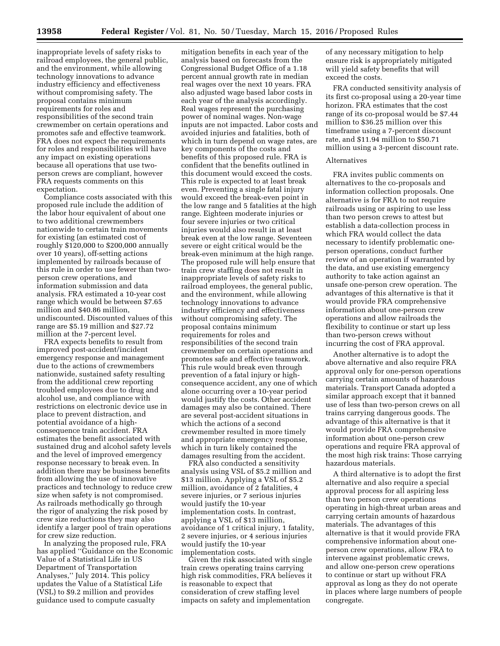inappropriate levels of safety risks to railroad employees, the general public, and the environment, while allowing technology innovations to advance industry efficiency and effectiveness without compromising safety. The proposal contains minimum requirements for roles and responsibilities of the second train crewmember on certain operations and promotes safe and effective teamwork. FRA does not expect the requirements for roles and responsibilities will have any impact on existing operations because all operations that use twoperson crews are compliant, however FRA requests comments on this expectation.

Compliance costs associated with this proposed rule include the addition of the labor hour equivalent of about one to two additional crewmembers nationwide to certain train movements for existing (an estimated cost of roughly \$120,000 to \$200,000 annually over 10 years), off-setting actions implemented by railroads because of this rule in order to use fewer than twoperson crew operations, and information submission and data analysis. FRA estimated a 10-year cost range which would be between \$7.65 million and \$40.86 million, undiscounted. Discounted values of this range are \$5.19 million and \$27.72 million at the 7-percent level.

FRA expects benefits to result from improved post-accident/incident emergency response and management due to the actions of crewmembers nationwide, sustained safety resulting from the additional crew reporting troubled employees due to drug and alcohol use, and compliance with restrictions on electronic device use in place to prevent distraction, and potential avoidance of a highconsequence train accident. FRA estimates the benefit associated with sustained drug and alcohol safety levels and the level of improved emergency response necessary to break even. In addition there may be business benefits from allowing the use of innovative practices and technology to reduce crew size when safety is not compromised. As railroads methodically go through the rigor of analyzing the risk posed by crew size reductions they may also identify a larger pool of train operations for crew size reduction.

In analyzing the proposed rule, FRA has applied ''Guidance on the Economic Value of a Statistical Life in US Department of Transportation Analyses,'' July 2014. This policy updates the Value of a Statistical Life (VSL) to \$9.2 million and provides guidance used to compute casualty

mitigation benefits in each year of the analysis based on forecasts from the Congressional Budget Office of a 1.18 percent annual growth rate in median real wages over the next 10 years. FRA also adjusted wage based labor costs in each year of the analysis accordingly. Real wages represent the purchasing power of nominal wages. Non-wage inputs are not impacted. Labor costs and avoided injuries and fatalities, both of which in turn depend on wage rates, are key components of the costs and benefits of this proposed rule. FRA is confident that the benefits outlined in this document would exceed the costs. This rule is expected to at least break even. Preventing a single fatal injury would exceed the break-even point in the low range and 5 fatalities at the high range. Eighteen moderate injuries or four severe injuries or two critical injuries would also result in at least break even at the low range. Seventeen severe or eight critical would be the break-even minimum at the high range. The proposed rule will help ensure that train crew staffing does not result in inappropriate levels of safety risks to railroad employees, the general public, and the environment, while allowing technology innovations to advance industry efficiency and effectiveness without compromising safety. The proposal contains minimum requirements for roles and responsibilities of the second train crewmember on certain operations and promotes safe and effective teamwork. This rule would break even through prevention of a fatal injury or highconsequence accident, any one of which alone occurring over a 10-year period would justify the costs. Other accident damages may also be contained. There are several post-accident situations in which the actions of a second crewmember resulted in more timely and appropriate emergency response, which in turn likely contained the damages resulting from the accident.

FRA also conducted a sensitivity analysis using VSL of \$5.2 million and \$13 million. Applying a VSL of \$5.2 million, avoidance of 2 fatalities, 4 severe injuries, or 7 serious injuries would justify the 10-year implementation costs. In contrast, applying a VSL of \$13 million, avoidance of 1 critical injury, 1 fatality, 2 severe injuries, or 4 serious injuries would justify the 10-year implementation costs.

Given the risk associated with single train crews operating trains carrying high risk commodities, FRA believes it is reasonable to expect that consideration of crew staffing level impacts on safety and implementation

of any necessary mitigation to help ensure risk is appropriately mitigated will yield safety benefits that will exceed the costs.

FRA conducted sensitivity analysis of its first co-proposal using a 20-year time horizon. FRA estimates that the cost range of its co-proposal would be \$7.44 million to \$36.25 million over this timeframe using a 7-percent discount rate, and \$11.94 million to \$50.71 million using a 3-percent discount rate.

#### Alternatives

FRA invites public comments on alternatives to the co-proposals and information collection proposals. One alternative is for FRA to not require railroads using or aspiring to use less than two person crews to attest but establish a data-collection process in which FRA would collect the data necessary to identify problematic oneperson operations, conduct further review of an operation if warranted by the data, and use existing emergency authority to take action against an unsafe one-person crew operation. The advantages of this alternative is that it would provide FRA comprehensive information about one-person crew operations and allow railroads the flexibility to continue or start up less than two-person crews without incurring the cost of FRA approval.

Another alternative is to adopt the above alternative and also require FRA approval only for one-person operations carrying certain amounts of hazardous materials. Transport Canada adopted a similar approach except that it banned use of less than two-person crews on all trains carrying dangerous goods. The advantage of this alternative is that it would provide FRA comprehensive information about one-person crew operations and require FRA approval of the most high risk trains: Those carrying hazardous materials.

A third alternative is to adopt the first alternative and also require a special approval process for all aspiring less than two person crew operations operating in high-threat urban areas and carrying certain amounts of hazardous materials. The advantages of this alternative is that it would provide FRA comprehensive information about oneperson crew operations, allow FRA to intervene against problematic crews, and allow one-person crew operations to continue or start up without FRA approval as long as they do not operate in places where large numbers of people congregate.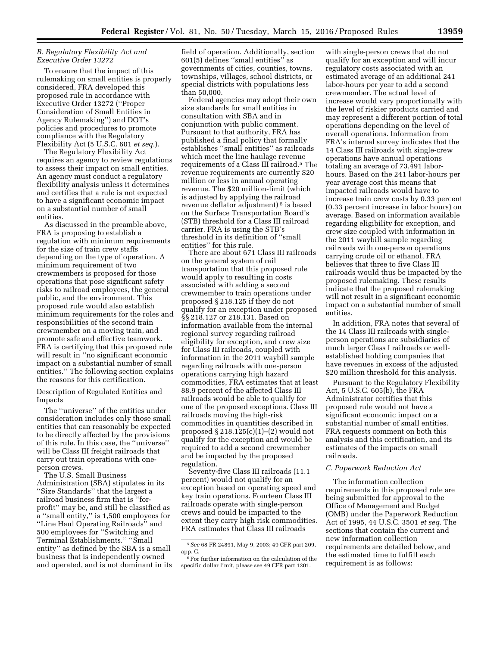#### *B. Regulatory Flexibility Act and Executive Order 13272*

To ensure that the impact of this rulemaking on small entities is properly considered, FRA developed this proposed rule in accordance with Executive Order 13272 (''Proper Consideration of Small Entities in Agency Rulemaking'') and DOT's policies and procedures to promote compliance with the Regulatory Flexibility Act (5 U.S.C. 601 *et seq.*).

The Regulatory Flexibility Act requires an agency to review regulations to assess their impact on small entities. An agency must conduct a regulatory flexibility analysis unless it determines and certifies that a rule is not expected to have a significant economic impact on a substantial number of small entities.

As discussed in the preamble above, FRA is proposing to establish a regulation with minimum requirements for the size of train crew staffs depending on the type of operation. A minimum requirement of two crewmembers is proposed for those operations that pose significant safety risks to railroad employees, the general public, and the environment. This proposed rule would also establish minimum requirements for the roles and responsibilities of the second train crewmember on a moving train, and promote safe and effective teamwork. FRA is certifying that this proposed rule will result in ''no significant economic impact on a substantial number of small entities.'' The following section explains the reasons for this certification.

Description of Regulated Entities and Impacts

The ''universe'' of the entities under consideration includes only those small entities that can reasonably be expected to be directly affected by the provisions of this rule. In this case, the ''universe'' will be Class III freight railroads that carry out train operations with oneperson crews.

The U.S. Small Business Administration (SBA) stipulates in its ''Size Standards'' that the largest a railroad business firm that is ''forprofit'' may be, and still be classified as a ''small entity,'' is 1,500 employees for ''Line Haul Operating Railroads'' and 500 employees for ''Switching and Terminal Establishments.'' ''Small entity'' as defined by the SBA is a small business that is independently owned and operated, and is not dominant in its field of operation. Additionally, section 601(5) defines ''small entities'' as governments of cities, counties, towns, townships, villages, school districts, or special districts with populations less than 50,000.

Federal agencies may adopt their own size standards for small entities in consultation with SBA and in conjunction with public comment. Pursuant to that authority, FRA has published a final policy that formally establishes ''small entities'' as railroads which meet the line haulage revenue requirements of a Class III railroad.5 The revenue requirements are currently \$20 million or less in annual operating revenue. The \$20 million-limit (which is adjusted by applying the railroad revenue deflator adjustment) 6 is based on the Surface Transportation Board's (STB) threshold for a Class III railroad carrier. FRA is using the STB's threshold in its definition of ''small entities'' for this rule.

There are about 671 Class III railroads on the general system of rail transportation that this proposed rule would apply to resulting in costs associated with adding a second crewmember to train operations under proposed § 218.125 if they do not qualify for an exception under proposed §§ 218.127 or 218.131. Based on information available from the internal regional survey regarding railroad eligibility for exception, and crew size for Class III railroads, coupled with information in the 2011 waybill sample regarding railroads with one-person operations carrying high hazard commodities, FRA estimates that at least 88.9 percent of the affected Class III railroads would be able to qualify for one of the proposed exceptions. Class III railroads moving the high-risk commodities in quantities described in proposed § 218.125(c)(1)–(2) would not qualify for the exception and would be required to add a second crewmember and be impacted by the proposed regulation.

Seventy-five Class III railroads (11.1 percent) would not qualify for an exception based on operating speed and key train operations. Fourteen Class III railroads operate with single-person crews and could be impacted to the extent they carry high risk commodities. FRA estimates that Class III railroads

with single-person crews that do not qualify for an exception and will incur regulatory costs associated with an estimated average of an additional 241 labor-hours per year to add a second crewmember. The actual level of increase would vary proportionally with the level of riskier products carried and may represent a different portion of total operations depending on the level of overall operations. Information from FRA's internal survey indicates that the 14 Class III railroads with single-crew operations have annual operations totaling an average of 73,491 laborhours. Based on the 241 labor-hours per year average cost this means that impacted railroads would have to increase train crew costs by 0.33 percent (0.33 percent increase in labor hours) on average. Based on information available regarding eligibility for exception, and crew size coupled with information in the 2011 waybill sample regarding railroads with one-person operations carrying crude oil or ethanol, FRA believes that three to five Class III railroads would thus be impacted by the proposed rulemaking. These results indicate that the proposed rulemaking will not result in a significant economic impact on a substantial number of small entities.

In addition, FRA notes that several of the 14 Class III railroads with singleperson operations are subsidiaries of much larger Class I railroads or wellestablished holding companies that have revenues in excess of the adjusted \$20 million threshold for this analysis.

Pursuant to the Regulatory Flexibility Act, 5 U.S.C. 605(b), the FRA Administrator certifies that this proposed rule would not have a significant economic impact on a substantial number of small entities. FRA requests comment on both this analysis and this certification, and its estimates of the impacts on small railroads.

# *C. Paperwork Reduction Act*

The information collection requirements in this proposed rule are being submitted for approval to the Office of Management and Budget (OMB) under the Paperwork Reduction Act of 1995, 44 U.S.C. 3501 *et seq.* The sections that contain the current and new information collection requirements are detailed below, and the estimated time to fulfill each requirement is as follows:

<sup>5</sup>*See* 68 FR 24891, May 9, 2003; 49 CFR part 209, app. C.

 $^{\rm 6}$  For further information on the calculation of the specific dollar limit, please see 49 CFR part 1201.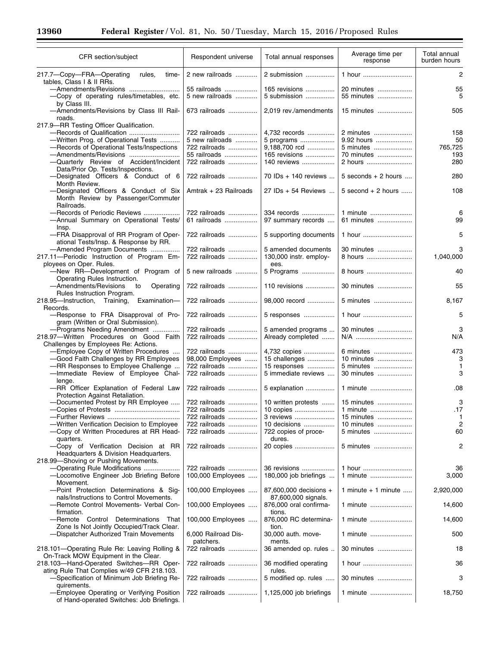Ξ

٠

| CFR section/subject                                                                                                                                                               | Respondent universe                                               | Total annual responses                                        | Average time per<br>response                       | Total annual<br>burden hours |
|-----------------------------------------------------------------------------------------------------------------------------------------------------------------------------------|-------------------------------------------------------------------|---------------------------------------------------------------|----------------------------------------------------|------------------------------|
| 217.7-Copy-FRA-Operating<br>rules,<br>time-<br>tables, Class I & II RRs.                                                                                                          | 2 new railroads                                                   | 2 submission                                                  | 1 hour                                             | 2                            |
| -Copy of operating rules/timetables, etc.                                                                                                                                         | 55 railroads<br>5 new railroads                                   | 165 revisions<br>5 submission                                 | 20 minutes<br>55 minutes                           | 55<br>5                      |
| by Class III.<br>-Amendments/Revisions by Class III Rail-<br>roads.                                                                                                               | 673 railroads                                                     | 2,019 rev./amendments                                         | 15 minutes                                         | 505                          |
| 217.9-RR Testing Officer Qualification.<br>-Records of Qualification<br>-Written Prog. of Operational Tests<br>-Records of Operational Tests/Inspections<br>-Amendments/Revisions | 722 railroads<br>5 new railroads<br>722 railroads<br>55 railroads | 4,732 records<br>5 programs<br>9,188,700 rcd<br>165 revisions | 2 minutes<br>9.92 hours<br>5 minutes<br>70 minutes | 158<br>50<br>765,725<br>193  |
| -Quarterly Review of Accident/Incident<br>Data/Prior Op. Tests/Inspections.                                                                                                       | 722 railroads                                                     | 140 reviews                                                   | 2 hours                                            | 280                          |
| -Designated Officers & Conduct of 6<br>Month Review.                                                                                                                              | 722 railroads                                                     | 70 IDs + 140 reviews                                          | $5$ seconds + 2 hours                              | 280                          |
| -Designated Officers & Conduct of Six<br>Month Review by Passenger/Commuter<br>Railroads.                                                                                         | Amtrak + 23 Railroads                                             | 27 IDs + 54 Reviews                                           | $5$ second $+2$ hours                              | 108                          |
| -Records of Periodic Reviews<br>-Annual Summary on Operational Tests/<br>Insp.                                                                                                    | 722 railroads<br>61 railroads                                     | 334 records<br>97 summary records                             | 1 minute<br>61 minutes                             | 6<br>99                      |
| -FRA Disapproval of RR Program of Oper-<br>ational Tests/Insp. & Response by RR.                                                                                                  | 722 railroads                                                     | 5 supporting documents                                        | 1 hour                                             | 5                            |
| -Amended Program Documents<br>217.11-Periodic Instruction of Program Em-<br>ployees on Oper. Rules.                                                                               | 722 railroads<br>722 railroads                                    | 5 amended documents<br>130,000 instr. employ-<br>ees.         | 30 minutes<br>8 hours                              | 3<br>1,040,000               |
| -New RR-Development of Program of<br>Operating Rules Instruction.                                                                                                                 | 5 new railroads                                                   | 5 Programs                                                    | 8 hours                                            | 40                           |
| -Amendments/Revisions<br>Operating<br>to<br>Rules Instruction Program.                                                                                                            | 722 railroads                                                     | 110 revisions                                                 | 30 minutes                                         | 55                           |
| 218.95-Instruction, Training,<br>Examination-<br>Records.                                                                                                                         | 722 railroads                                                     | 98,000 record                                                 | 5 minutes                                          | 8,167                        |
| -Response to FRA Disapproval of Pro-<br>gram (Written or Oral Submission).                                                                                                        | 722 railroads                                                     | 5 responses                                                   | 1 hour                                             | 5                            |
| -Programs Needing Amendment<br>218.97-Written Procedures on Good Faith<br>Challenges by Employees Re: Actions.                                                                    | 722 railroads<br>722 railroads                                    | 5 amended programs<br>Already completed                       | 30 minutes<br>N/A                                  | 3<br>N/A                     |
| -Employee Copy of Written Procedures                                                                                                                                              | 722 railroads                                                     | 4,732 copies                                                  | 6 minutes                                          | 473                          |
| -Good Faith Challenges by RR Employees                                                                                                                                            | 98,000 Employees<br>722 railroads                                 | 15 challenges                                                 | 10 minutes<br>5 minutes                            | 3                            |
| -RR Responses to Employee Challenge<br>-Immediate Review of Employee Chal-<br>lenge.                                                                                              | 722 railroads                                                     | 15 responses<br>5 immediate reviews                           | 30 minutes                                         | $\mathbf{1}$<br>3            |
| -RR Officer Explanation of Federal Law<br>Protection Against Retaliation.                                                                                                         | 722 railroads                                                     | 5 explanation                                                 | 1 minute                                           | .08                          |
| -Documented Protest by RR Employee                                                                                                                                                | 722 railroads                                                     | 10 written protests                                           | 15 minutes                                         | 3                            |
|                                                                                                                                                                                   | 722 railroads                                                     |                                                               | 1 minute                                           | .17                          |
|                                                                                                                                                                                   | 722 railroads                                                     | 3 reviews                                                     | 15 minutes                                         | 1                            |
| -Written Verification Decision to Employee                                                                                                                                        | 722 railroads                                                     | 10 decisions                                                  | 10 minutes                                         | $\overline{c}$               |
| -Copy of Written Procedures at RR Head-<br>quarters.                                                                                                                              | 722 railroads                                                     | 722 copies of proce-<br>dures.                                | 5 minutes                                          | 60                           |
| -Copy of Verification Decision at RR<br>Headquarters & Division Headquarters.<br>218.99-Shoving or Pushing Movements.                                                             | 722 railroads                                                     | 20 copies                                                     | 5 minutes                                          | 2                            |
| -Operating Rule Modifications<br>-Locomotive Engineer Job Briefing Before<br>Movement.                                                                                            | 722 railroads<br>100,000 Employees                                | 36 revisions<br>180,000 job briefings                         | 1 hour<br>1 minute                                 | 36<br>3,000                  |
| -Point Protection Determinations & Sig-<br>nals/Instructions to Control Movements.                                                                                                | 100,000 Employees                                                 | 87,600,000 decisions +<br>87,600,000 signals.                 | 1 minute $+$ 1 minute                              | 2,920,000                    |
| -Remote Control Movements- Verbal Con-<br>firmation.                                                                                                                              | 100,000 Employees                                                 | 876,000 oral confirma-<br>tions.                              | 1 minute                                           | 14,600                       |
| -Remote Control Determinations<br>That<br>Zone Is Not Jointly Occupied/Track Clear.                                                                                               | 100,000 Employees                                                 | 876,000 RC determina-<br>tion.                                | 1 minute                                           | 14,600                       |
| -Dispatcher Authorized Train Movements                                                                                                                                            | 6,000 Railroad Dis-<br>patchers.                                  | 30,000 auth. move-<br>ments.                                  | 1 minute                                           | 500                          |
| 218.101-Operating Rule Re: Leaving Rolling &<br>On-Track MOW Equipment in the Clear.                                                                                              | 722 railroads                                                     | 36 amended op. rules                                          | 30 minutes                                         | 18                           |
| 218.103-Hand-Operated Switches-RR Oper-<br>ating Rule That Complies w/49 CFR 218.103.                                                                                             | 722 railroads                                                     | 36 modified operating<br>rules.                               | 1 hour                                             | 36                           |
| -Specification of Minimum Job Briefing Re-<br>quirements.                                                                                                                         | 722 railroads                                                     | 5 modified op. rules                                          | 30 minutes                                         | 3                            |
| -Employee Operating or Verifying Position<br>of Hand-operated Switches: Job Briefings.                                                                                            | 722 railroads                                                     | 1,125,000 job briefings                                       | 1 minute                                           | 18,750                       |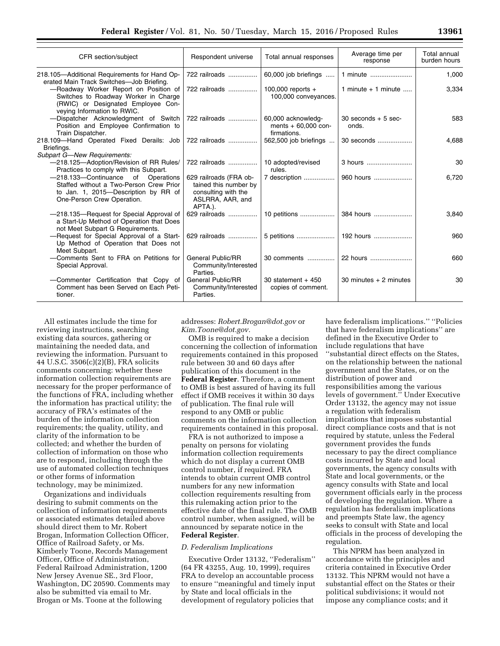| CFR section/subject                                                                                                                                       | Respondent universe                                                                                   | Total annual responses                                    | Average time per<br>response    | Total annual<br>burden hours |
|-----------------------------------------------------------------------------------------------------------------------------------------------------------|-------------------------------------------------------------------------------------------------------|-----------------------------------------------------------|---------------------------------|------------------------------|
| 218.105-Additional Requirements for Hand Op-<br>erated Main Track Switches-Job Briefing.                                                                  | 722 railroads                                                                                         | 60,000 job briefings                                      | 1 minute                        | 1,000                        |
| -Roadway Worker Report on Position of<br>Switches to Roadway Worker in Charge<br>(RWIC) or Designated Employee Con-<br>veying Information to RWIC.        | 722 railroads                                                                                         | 100,000 reports $+$<br>100,000 conveyances.               | 1 minute $+$ 1 minute           | 3,334                        |
| -Dispatcher Acknowledgment of Switch<br>Position and Employee Confirmation to<br>Train Dispatcher.                                                        | 722 railroads                                                                                         | 60,000 acknowledg-<br>ments $+60,000$ con-<br>firmations. | $30$ seconds $+5$ sec-<br>onds. | 583                          |
| 218.109-Hand Operated Fixed Derails: Job<br>Briefings.<br><b>Subpart G-New Requirements:</b>                                                              | 722 railroads                                                                                         | 562,500 job briefings                                     | 30 seconds                      | 4,688                        |
| -218.125-Adoption/Revision of RR Rules/<br>Practices to comply with this Subpart.                                                                         | 722 railroads                                                                                         | 10 adopted/revised<br>rules.                              | 3 hours                         | 30                           |
| -218.133-Continuance<br>of<br>Operations<br>Staffed without a Two-Person Crew Prior<br>to Jan. 1, 2015-Description by RR of<br>One-Person Crew Operation. | 629 railroads (FRA ob-<br>tained this number by<br>consulting with the<br>ASLRRA, AAR, and<br>APTA.). | 7 description                                             | 960 hours                       | 6,720                        |
| -218.135-Request for Special Approval of<br>a Start-Up Method of Operation that Does<br>not Meet Subpart G Requirements.                                  | 629 railroads                                                                                         |                                                           | 384 hours                       | 3,840                        |
| -Request for Special Approval of a Start-<br>Up Method of Operation that Does not<br>Meet Subpart.                                                        | 629 railroads                                                                                         |                                                           |                                 | 960                          |
| -Comments Sent to FRA on Petitions for<br>Special Approval.                                                                                               | General Public/RR<br>Community/Interested<br>Parties.                                                 | 30 comments                                               | 22 hours                        | 660                          |
| -Commenter Certification that Copy of<br>Comment has been Served on Each Peti-<br>tioner.                                                                 | <b>General Public/RR</b><br>Community/Interested<br>Parties.                                          | 30 statement $+450$<br>copies of comment.                 | 30 minutes $+2$ minutes         | 30                           |

All estimates include the time for reviewing instructions, searching existing data sources, gathering or maintaining the needed data, and reviewing the information. Pursuant to 44 U.S.C. 3506(c)(2)(B), FRA solicits comments concerning: whether these information collection requirements are necessary for the proper performance of the functions of FRA, including whether the information has practical utility; the accuracy of FRA's estimates of the burden of the information collection requirements; the quality, utility, and clarity of the information to be collected; and whether the burden of collection of information on those who are to respond, including through the use of automated collection techniques or other forms of information technology, may be minimized.

Organizations and individuals desiring to submit comments on the collection of information requirements or associated estimates detailed above should direct them to Mr. Robert Brogan, Information Collection Officer, Office of Railroad Safety, or Ms. Kimberly Toone, Records Management Officer, Office of Administration, Federal Railroad Administration, 1200 New Jersey Avenue SE., 3rd Floor, Washington, DC 20590. Comments may also be submitted via email to Mr. Brogan or Ms. Toone at the following

addresses: *[Robert.Brogan@dot.gov](mailto:Robert.Brogan@dot.gov)* or *[Kim.Toone@dot.gov.](mailto:Kim.Toone@dot.gov)* 

OMB is required to make a decision concerning the collection of information requirements contained in this proposed rule between 30 and 60 days after publication of this document in the **Federal Register**. Therefore, a comment to OMB is best assured of having its full effect if OMB receives it within 30 days of publication. The final rule will respond to any OMB or public comments on the information collection requirements contained in this proposal.

FRA is not authorized to impose a penalty on persons for violating information collection requirements which do not display a current OMB control number, if required. FRA intends to obtain current OMB control numbers for any new information collection requirements resulting from this rulemaking action prior to the effective date of the final rule. The OMB control number, when assigned, will be announced by separate notice in the **Federal Register**.

#### *D. Federalism Implications*

Executive Order 13132, ''Federalism'' (64 FR 43255, Aug. 10, 1999), requires FRA to develop an accountable process to ensure ''meaningful and timely input by State and local officials in the development of regulatory policies that

have federalism implications.'' ''Policies that have federalism implications'' are defined in the Executive Order to include regulations that have ''substantial direct effects on the States, on the relationship between the national government and the States, or on the distribution of power and responsibilities among the various levels of government.'' Under Executive Order 13132, the agency may not issue a regulation with federalism implications that imposes substantial direct compliance costs and that is not required by statute, unless the Federal government provides the funds necessary to pay the direct compliance costs incurred by State and local governments, the agency consults with State and local governments, or the agency consults with State and local government officials early in the process of developing the regulation. Where a regulation has federalism implications and preempts State law, the agency seeks to consult with State and local officials in the process of developing the regulation.

This NPRM has been analyzed in accordance with the principles and criteria contained in Executive Order 13132. This NPRM would not have a substantial effect on the States or their political subdivisions; it would not impose any compliance costs; and it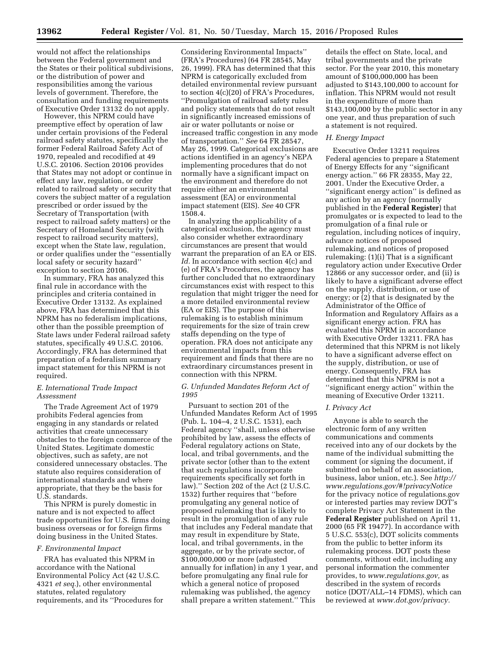would not affect the relationships between the Federal government and the States or their political subdivisions, or the distribution of power and responsibilities among the various levels of government. Therefore, the consultation and funding requirements of Executive Order 13132 do not apply.

However, this NPRM could have preemptive effect by operation of law under certain provisions of the Federal railroad safety statutes, specifically the former Federal Railroad Safety Act of 1970, repealed and recodified at 49 U.S.C. 20106. Section 20106 provides that States may not adopt or continue in effect any law, regulation, or order related to railroad safety or security that covers the subject matter of a regulation prescribed or order issued by the Secretary of Transportation (with respect to railroad safety matters) or the Secretary of Homeland Security (with respect to railroad security matters), except when the State law, regulation, or order qualifies under the ''essentially local safety or security hazard'' exception to section 20106.

In summary, FRA has analyzed this final rule in accordance with the principles and criteria contained in Executive Order 13132. As explained above, FRA has determined that this NPRM has no federalism implications, other than the possible preemption of State laws under Federal railroad safety statutes, specifically 49 U.S.C. 20106. Accordingly, FRA has determined that preparation of a federalism summary impact statement for this NPRM is not required.

# *E. International Trade Impact Assessment*

The Trade Agreement Act of 1979 prohibits Federal agencies from engaging in any standards or related activities that create unnecessary obstacles to the foreign commerce of the United States. Legitimate domestic objectives, such as safety, are not considered unnecessary obstacles. The statute also requires consideration of international standards and where appropriate, that they be the basis for U.S. standards.

This NPRM is purely domestic in nature and is not expected to affect trade opportunities for U.S. firms doing business overseas or for foreign firms doing business in the United States.

#### *F. Environmental Impact*

FRA has evaluated this NPRM in accordance with the National Environmental Policy Act (42 U.S.C. 4321 *et seq.*), other environmental statutes, related regulatory requirements, and its ''Procedures for

Considering Environmental Impacts'' (FRA's Procedures) (64 FR 28545, May 26, 1999). FRA has determined that this NPRM is categorically excluded from detailed environmental review pursuant to section 4(c)(20) of FRA's Procedures, ''Promulgation of railroad safety rules and policy statements that do not result in significantly increased emissions of air or water pollutants or noise or increased traffic congestion in any mode of transportation.'' *See* 64 FR 28547, May 26, 1999. Categorical exclusions are actions identified in an agency's NEPA implementing procedures that do not normally have a significant impact on the environment and therefore do not require either an environmental assessment (EA) or environmental impact statement (EIS). *See* 40 CFR 1508.4.

In analyzing the applicability of a categorical exclusion, the agency must also consider whether extraordinary circumstances are present that would warrant the preparation of an EA or EIS. *Id.* In accordance with section 4(c) and (e) of FRA's Procedures, the agency has further concluded that no extraordinary circumstances exist with respect to this regulation that might trigger the need for a more detailed environmental review (EA or EIS). The purpose of this rulemaking is to establish minimum requirements for the size of train crew staffs depending on the type of operation. FRA does not anticipate any environmental impacts from this requirement and finds that there are no extraordinary circumstances present in connection with this NPRM.

#### *G. Unfunded Mandates Reform Act of 1995*

Pursuant to section 201 of the Unfunded Mandates Reform Act of 1995 (Pub. L. 104–4, 2 U.S.C. 1531), each Federal agency ''shall, unless otherwise prohibited by law, assess the effects of Federal regulatory actions on State, local, and tribal governments, and the private sector (other than to the extent that such regulations incorporate requirements specifically set forth in law).'' Section 202 of the Act (2 U.S.C. 1532) further requires that ''before promulgating any general notice of proposed rulemaking that is likely to result in the promulgation of any rule that includes any Federal mandate that may result in expenditure by State, local, and tribal governments, in the aggregate, or by the private sector, of \$100,000,000 or more (adjusted annually for inflation) in any 1 year, and before promulgating any final rule for which a general notice of proposed rulemaking was published, the agency shall prepare a written statement.'' This

details the effect on State, local, and tribal governments and the private sector. For the year 2010, this monetary amount of \$100,000,000 has been adjusted to \$143,100,000 to account for inflation. This NPRM would not result in the expenditure of more than \$143,100,000 by the public sector in any one year, and thus preparation of such a statement is not required.

#### *H. Energy Impact*

Executive Order 13211 requires Federal agencies to prepare a Statement of Energy Effects for any ''significant energy action.'' 66 FR 28355, May 22, 2001. Under the Executive Order, a ''significant energy action'' is defined as any action by an agency (normally published in the **Federal Register**) that promulgates or is expected to lead to the promulgation of a final rule or regulation, including notices of inquiry, advance notices of proposed rulemaking, and notices of proposed rulemaking: (1)(i) That is a significant regulatory action under Executive Order 12866 or any successor order, and (ii) is likely to have a significant adverse effect on the supply, distribution, or use of energy; or (2) that is designated by the Administrator of the Office of Information and Regulatory Affairs as a significant energy action. FRA has evaluated this NPRM in accordance with Executive Order 13211. FRA has determined that this NPRM is not likely to have a significant adverse effect on the supply, distribution, or use of energy. Consequently, FRA has determined that this NPRM is not a ''significant energy action'' within the meaning of Executive Order 13211.

#### *I. Privacy Act*

Anyone is able to search the electronic form of any written communications and comments received into any of our dockets by the name of the individual submitting the comment (or signing the document, if submitted on behalf of an association, business, labor union, etc.). See *[http://](http://www.regulations.gov/#!privacyNotice) [www.regulations.gov/#!privacyNotice](http://www.regulations.gov/#!privacyNotice)*  for the privacy notice of regulations.gov or interested parties may review DOT's complete Privacy Act Statement in the **Federal Register** published on April 11, 2000 (65 FR 19477). In accordance with 5 U.S.C. 553(c), DOT solicits comments from the public to better inform its rulemaking process. DOT posts these comments, without edit, including any personal information the commenter provides, to *[www.regulations.gov,](http://www.regulations.gov)* as described in the system of records notice (DOT/ALL–14 FDMS), which can be reviewed at *[www.dot.gov/privacy.](http://www.dot.gov/privacy)*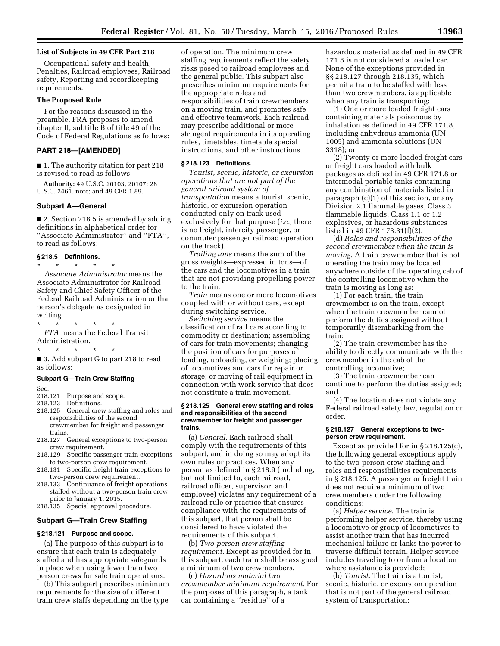# **List of Subjects in 49 CFR Part 218**

Occupational safety and health, Penalties, Railroad employees, Railroad safety, Reporting and recordkeeping requirements.

#### **The Proposed Rule**

For the reasons discussed in the preamble, FRA proposes to amend chapter II, subtitle B of title 49 of the Code of Federal Regulations as follows:

# **PART 218—[AMENDED]**

■ 1. The authority citation for part 218 is revised to read as follows:

**Authority:** 49 U.S.C. 20103, 20107; 28 U.S.C. 2461, note; and 49 CFR 1.89.

#### **Subpart A—General**

■ 2. Section 218.5 is amended by adding definitions in alphabetical order for ''Associate Administrator'' and ''FTA'', to read as follows:

#### **§ 218.5 Definitions.**

\* \* \* \* \* *Associate Administrator* means the Associate Administrator for Railroad Safety and Chief Safety Officer of the Federal Railroad Administration or that person's delegate as designated in writing.

# \* \* \* \* \*

*FTA* means the Federal Transit Administration.

\* \* \* \* \*

■ 3. Add subpart G to part 218 to read as follows:

#### **Subpart G—Train Crew Staffing**

Sec.

# 218.121 Purpose and scope.

- 218.123 Definitions.
- 218.125 General crew staffing and roles and responsibilities of the second crewmember for freight and passenger trains.
- 218.127 General exceptions to two-person crew requirement.
- 218.129 Specific passenger train exceptions to two-person crew requirement.
- 218.131 Specific freight train exceptions to two-person crew requirement.
- 218.133 Continuance of freight operations staffed without a two-person train crew prior to January 1, 2015.
- 218.135 Special approval procedure.

# **Subpart G—Train Crew Staffing**

# **§ 218.121 Purpose and scope.**

(a) The purpose of this subpart is to ensure that each train is adequately staffed and has appropriate safeguards in place when using fewer than two person crews for safe train operations.

(b) This subpart prescribes minimum requirements for the size of different train crew staffs depending on the type

of operation. The minimum crew staffing requirements reflect the safety risks posed to railroad employees and the general public. This subpart also prescribes minimum requirements for the appropriate roles and responsibilities of train crewmembers on a moving train, and promotes safe and effective teamwork. Each railroad may prescribe additional or more stringent requirements in its operating rules, timetables, timetable special instructions, and other instructions.

#### **§ 218.123 Definitions.**

*Tourist, scenic, historic, or excursion operations that are not part of the general railroad system of transportation* means a tourist, scenic, historic, or excursion operation conducted only on track used exclusively for that purpose (*i.e.,* there is no freight, intercity passenger, or commuter passenger railroad operation on the track).

*Trailing tons* means the sum of the gross weights—expressed in tons—of the cars and the locomotives in a train that are not providing propelling power to the train.

*Train* means one or more locomotives coupled with or without cars, except during switching service.

*Switching service* means the classification of rail cars according to commodity or destination; assembling of cars for train movements; changing the position of cars for purposes of loading, unloading, or weighing; placing of locomotives and cars for repair or storage; or moving of rail equipment in connection with work service that does not constitute a train movement.

#### **§ 218.125 General crew staffing and roles and responsibilities of the second crewmember for freight and passenger trains.**

(a) *General.* Each railroad shall comply with the requirements of this subpart, and in doing so may adopt its own rules or practices. When any person as defined in § 218.9 (including, but not limited to, each railroad, railroad officer, supervisor, and employee) violates any requirement of a railroad rule or practice that ensures compliance with the requirements of this subpart, that person shall be considered to have violated the requirements of this subpart.

(b) *Two-person crew staffing requirement.* Except as provided for in this subpart, each train shall be assigned a minimum of two crewmembers.

(c) *Hazardous material two crewmember minimum requirement.* For the purposes of this paragraph, a tank car containing a ''residue'' of a

hazardous material as defined in 49 CFR 171.8 is not considered a loaded car. None of the exceptions provided in §§ 218.127 through 218.135, which permit a train to be staffed with less than two crewmembers, is applicable when any train is transporting:

(1) One or more loaded freight cars containing materials poisonous by inhalation as defined in 49 CFR 171.8, including anhydrous ammonia (UN 1005) and ammonia solutions (UN 3318); or

(2) Twenty or more loaded freight cars or freight cars loaded with bulk packages as defined in 49 CFR 171.8 or intermodal portable tanks containing any combination of materials listed in paragraph (c)(1) of this section, or any Division 2.1 flammable gases, Class 3 flammable liquids, Class 1.1 or 1.2 explosives, or hazardous substances listed in 49 CFR 173.31(f)(2).

(d) *Roles and responsibilities of the second crewmember when the train is moving.* A train crewmember that is not operating the train may be located anywhere outside of the operating cab of the controlling locomotive when the train is moving as long as:

(1) For each train, the train crewmember is on the train, except when the train crewmember cannot perform the duties assigned without temporarily disembarking from the train;

(2) The train crewmember has the ability to directly communicate with the crewmember in the cab of the controlling locomotive;

(3) The train crewmember can continue to perform the duties assigned; and

(4) The location does not violate any Federal railroad safety law, regulation or order.

#### **§ 218.127 General exceptions to twoperson crew requirement.**

Except as provided for in § 218.125(c), the following general exceptions apply to the two-person crew staffing and roles and responsibilities requirements in § 218.125. A passenger or freight train does not require a minimum of two crewmembers under the following conditions:

(a) *Helper service.* The train is performing helper service, thereby using a locomotive or group of locomotives to assist another train that has incurred mechanical failure or lacks the power to traverse difficult terrain. Helper service includes traveling to or from a location where assistance is provided;

(b) *Tourist.* The train is a tourist, scenic, historic, or excursion operation that is not part of the general railroad system of transportation;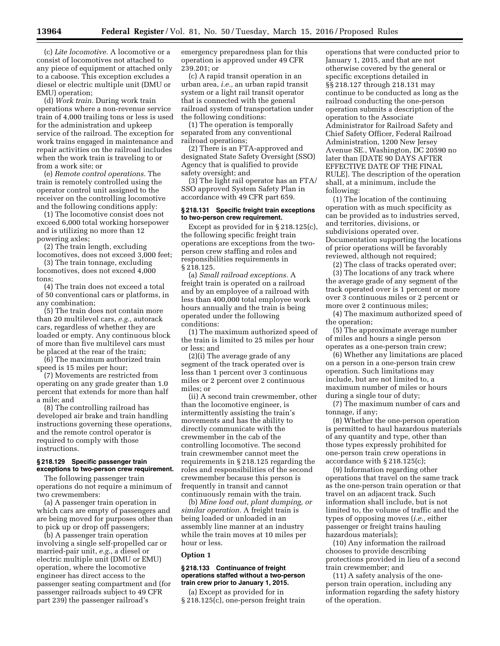(c) *Lite locomotive.* A locomotive or a consist of locomotives not attached to any piece of equipment or attached only to a caboose. This exception excludes a diesel or electric multiple unit (DMU or EMU) operation;

(d) *Work train.* During work train operations where a non-revenue service train of 4,000 trailing tons or less is used for the administration and upkeep service of the railroad. The exception for work trains engaged in maintenance and repair activities on the railroad includes when the work train is traveling to or from a work site; or

(e) *Remote control operations.* The train is remotely controlled using the operator control unit assigned to the receiver on the controlling locomotive and the following conditions apply:

(1) The locomotive consist does not exceed 6,000 total working horsepower and is utilizing no more than 12 powering axles;

(2) The train length, excluding locomotives, does not exceed 3,000 feet;

(3) The train tonnage, excluding locomotives, does not exceed 4,000 tons;

(4) The train does not exceed a total of 50 conventional cars or platforms, in any combination;

(5) The train does not contain more than 20 multilevel cars, *e.g.,* autorack cars, regardless of whether they are loaded or empty. Any continuous block of more than five multilevel cars must be placed at the rear of the train;

(6) The maximum authorized train speed is 15 miles per hour;

(7) Movements are restricted from operating on any grade greater than 1.0 percent that extends for more than half a mile; and

(8) The controlling railroad has developed air brake and train handling instructions governing these operations, and the remote control operator is required to comply with those instructions.

#### **§ 218.129 Specific passenger train exceptions to two-person crew requirement.**

The following passenger train operations do not require a minimum of two crewmembers:

(a) A passenger train operation in which cars are empty of passengers and are being moved for purposes other than to pick up or drop off passengers;

(b) A passenger train operation involving a single self-propelled car or married-pair unit, *e.g.,* a diesel or electric multiple unit (DMU or EMU) operation, where the locomotive engineer has direct access to the passenger seating compartment and (for passenger railroads subject to 49 CFR part 239) the passenger railroad's

emergency preparedness plan for this operation is approved under 49 CFR 239.201; or

(c) A rapid transit operation in an urban area, *i.e.,* an urban rapid transit system or a light rail transit operator that is connected with the general railroad system of transportation under the following conditions:

(1) The operation is temporally separated from any conventional railroad operations;

(2) There is an FTA-approved and designated State Safety Oversight (SSO) Agency that is qualified to provide safety oversight; and

(3) The light rail operator has an FTA/ SSO approved System Safety Plan in accordance with 49 CFR part 659.

#### **§ 218.131 Specific freight train exceptions to two-person crew requirement.**

Except as provided for in § 218.125(c), the following specific freight train operations are exceptions from the twoperson crew staffing and roles and responsibilities requirements in § 218.125.

(a) *Small railroad exceptions.* A freight train is operated on a railroad and by an employee of a railroad with less than 400,000 total employee work hours annually and the train is being operated under the following conditions:

(1) The maximum authorized speed of the train is limited to 25 miles per hour or less; and

(2)(i) The average grade of any segment of the track operated over is less than 1 percent over 3 continuous miles or 2 percent over 2 continuous miles; or

(ii) A second train crewmember, other than the locomotive engineer, is intermittently assisting the train's movements and has the ability to directly communicate with the crewmember in the cab of the controlling locomotive. The second train crewmember cannot meet the requirements in § 218.125 regarding the roles and responsibilities of the second crewmember because this person is frequently in transit and cannot continuously remain with the train.

(b) *Mine load out, plant dumping, or similar operation.* A freight train is being loaded or unloaded in an assembly line manner at an industry while the train moves at 10 miles per hour or less.

# **Option 1**

#### **§ 218.133 Continuance of freight operations staffed without a two-person train crew prior to January 1, 2015.**

(a) Except as provided for in § 218.125(c), one-person freight train

operations that were conducted prior to January 1, 2015, and that are not otherwise covered by the general or specific exceptions detailed in §§ 218.127 through 218.131 may continue to be conducted as long as the railroad conducting the one-person operation submits a description of the operation to the Associate Administrator for Railroad Safety and Chief Safety Officer, Federal Railroad Administration, 1200 New Jersey Avenue SE., Washington, DC 20590 no later than [DATE 90 DAYS AFTER EFFECTIVE DATE OF THE FINAL RULE]. The description of the operation shall, at a minimum, include the following:

(1) The location of the continuing operation with as much specificity as can be provided as to industries served, and territories, divisions, or subdivisions operated over. Documentation supporting the locations of prior operations will be favorably reviewed, although not required;

(2) The class of tracks operated over; (3) The locations of any track where the average grade of any segment of the track operated over is 1 percent or more over 3 continuous miles or 2 percent or more over 2 continuous miles;

(4) The maximum authorized speed of the operation;

(5) The approximate average number of miles and hours a single person operates as a one-person train crew;

(6) Whether any limitations are placed on a person in a one-person train crew operation. Such limitations may include, but are not limited to, a maximum number of miles or hours during a single tour of duty;

(7) The maximum number of cars and tonnage, if any;

(8) Whether the one-person operation is permitted to haul hazardous materials of any quantity and type, other than those types expressly prohibited for one-person train crew operations in accordance with § 218.125(c);

(9) Information regarding other operations that travel on the same track as the one-person train operation or that travel on an adjacent track. Such information shall include, but is not limited to, the volume of traffic and the types of opposing moves (*i.e.,* either passenger or freight trains hauling hazardous materials);

(10) Any information the railroad chooses to provide describing protections provided in lieu of a second train crewmember; and

(11) A safety analysis of the oneperson train operation, including any information regarding the safety history of the operation.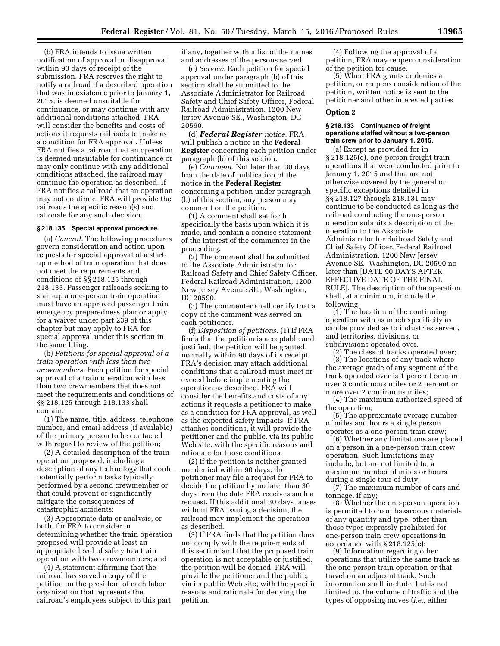(b) FRA intends to issue written notification of approval or disapproval within 90 days of receipt of the submission. FRA reserves the right to notify a railroad if a described operation that was in existence prior to January 1, 2015, is deemed unsuitable for continuance, or may continue with any additional conditions attached. FRA will consider the benefits and costs of actions it requests railroads to make as a condition for FRA approval. Unless FRA notifies a railroad that an operation is deemed unsuitable for continuance or may only continue with any additional conditions attached, the railroad may continue the operation as described. If FRA notifies a railroad that an operation may not continue, FRA will provide the railroads the specific reason(s) and rationale for any such decision.

#### **§ 218.135 Special approval procedure.**

(a) *General.* The following procedures govern consideration and action upon requests for special approval of a startup method of train operation that does not meet the requirements and conditions of §§ 218.125 through 218.133. Passenger railroads seeking to start-up a one-person train operation must have an approved passenger train emergency preparedness plan or apply for a waiver under part 239 of this chapter but may apply to FRA for special approval under this section in the same filing.

(b) *Petitions for special approval of a train operation with less than two crewmembers.* Each petition for special approval of a train operation with less than two crewmembers that does not meet the requirements and conditions of §§ 218.125 through 218.133 shall contain:

(1) The name, title, address, telephone number, and email address (if available) of the primary person to be contacted with regard to review of the petition;

(2) A detailed description of the train operation proposed, including a description of any technology that could potentially perform tasks typically performed by a second crewmember or that could prevent or significantly mitigate the consequences of catastrophic accidents;

(3) Appropriate data or analysis, or both, for FRA to consider in determining whether the train operation proposed will provide at least an appropriate level of safety to a train operation with two crewmembers; and

(4) A statement affirming that the railroad has served a copy of the petition on the president of each labor organization that represents the railroad's employees subject to this part, if any, together with a list of the names and addresses of the persons served.

(c) *Service.* Each petition for special approval under paragraph (b) of this section shall be submitted to the Associate Administrator for Railroad Safety and Chief Safety Officer, Federal Railroad Administration, 1200 New Jersey Avenue SE., Washington, DC 20590.

(d) *Federal Register notice*. FRA will publish a notice in the **Federal Register** concerning each petition under paragraph (b) of this section.

(e) *Comment.* Not later than 30 days from the date of publication of the notice in the **Federal Register**  concerning a petition under paragraph (b) of this section, any person may comment on the petition.

(1) A comment shall set forth specifically the basis upon which it is made, and contain a concise statement of the interest of the commenter in the proceeding.

(2) The comment shall be submitted to the Associate Administrator for Railroad Safety and Chief Safety Officer, Federal Railroad Administration, 1200 New Jersey Avenue SE., Washington, DC 20590.

(3) The commenter shall certify that a copy of the comment was served on each petitioner.

(f) *Disposition of petitions.* (1) If FRA finds that the petition is acceptable and justified, the petition will be granted, normally within 90 days of its receipt. FRA's decision may attach additional conditions that a railroad must meet or exceed before implementing the operation as described. FRA will consider the benefits and costs of any actions it requests a petitioner to make as a condition for FRA approval, as well as the expected safety impacts. If FRA attaches conditions, it will provide the petitioner and the public, via its public Web site, with the specific reasons and rationale for those conditions.

(2) If the petition is neither granted nor denied within 90 days, the petitioner may file a request for FRA to decide the petition by no later than 30 days from the date FRA receives such a request. If this additional 30 days lapses without FRA issuing a decision, the railroad may implement the operation as described.

(3) If FRA finds that the petition does not comply with the requirements of this section and that the proposed train operation is not acceptable or justified, the petition will be denied. FRA will provide the petitioner and the public, via its public Web site, with the specific reasons and rationale for denying the petition.

(4) Following the approval of a petition, FRA may reopen consideration of the petition for cause.

(5) When FRA grants or denies a petition, or reopens consideration of the petition, written notice is sent to the petitioner and other interested parties.

#### **Option 2**

# **§ 218.133 Continuance of freight operations staffed without a two-person train crew prior to January 1, 2015.**

(a) Except as provided for in § 218.125(c), one-person freight train operations that were conducted prior to January 1, 2015 and that are not otherwise covered by the general or specific exceptions detailed in §§ 218.127 through 218.131 may continue to be conducted as long as the railroad conducting the one-person operation submits a description of the operation to the Associate Administrator for Railroad Safety and Chief Safety Officer, Federal Railroad Administration, 1200 New Jersey Avenue SE., Washington, DC 20590 no later than [DATE 90 DAYS AFTER EFFECTIVE DATE OF THE FINAL RULE]. The description of the operation shall, at a minimum, include the following:

(1) The location of the continuing operation with as much specificity as can be provided as to industries served, and territories, divisions, or subdivisions operated over.

(2) The class of tracks operated over;

(3) The locations of any track where the average grade of any segment of the track operated over is 1 percent or more over 3 continuous miles or 2 percent or more over 2 continuous miles;

(4) The maximum authorized speed of the operation;

(5) The approximate average number of miles and hours a single person operates as a one-person train crew;

(6) Whether any limitations are placed on a person in a one-person train crew operation. Such limitations may include, but are not limited to, a maximum number of miles or hours during a single tour of duty;

(7) The maximum number of cars and tonnage, if any;

(8) Whether the one-person operation is permitted to haul hazardous materials of any quantity and type, other than those types expressly prohibited for one-person train crew operations in accordance with § 218.125(c);

(9) Information regarding other operations that utilize the same track as the one-person train operation or that travel on an adjacent track. Such information shall include, but is not limited to, the volume of traffic and the types of opposing moves (*i.e.,* either